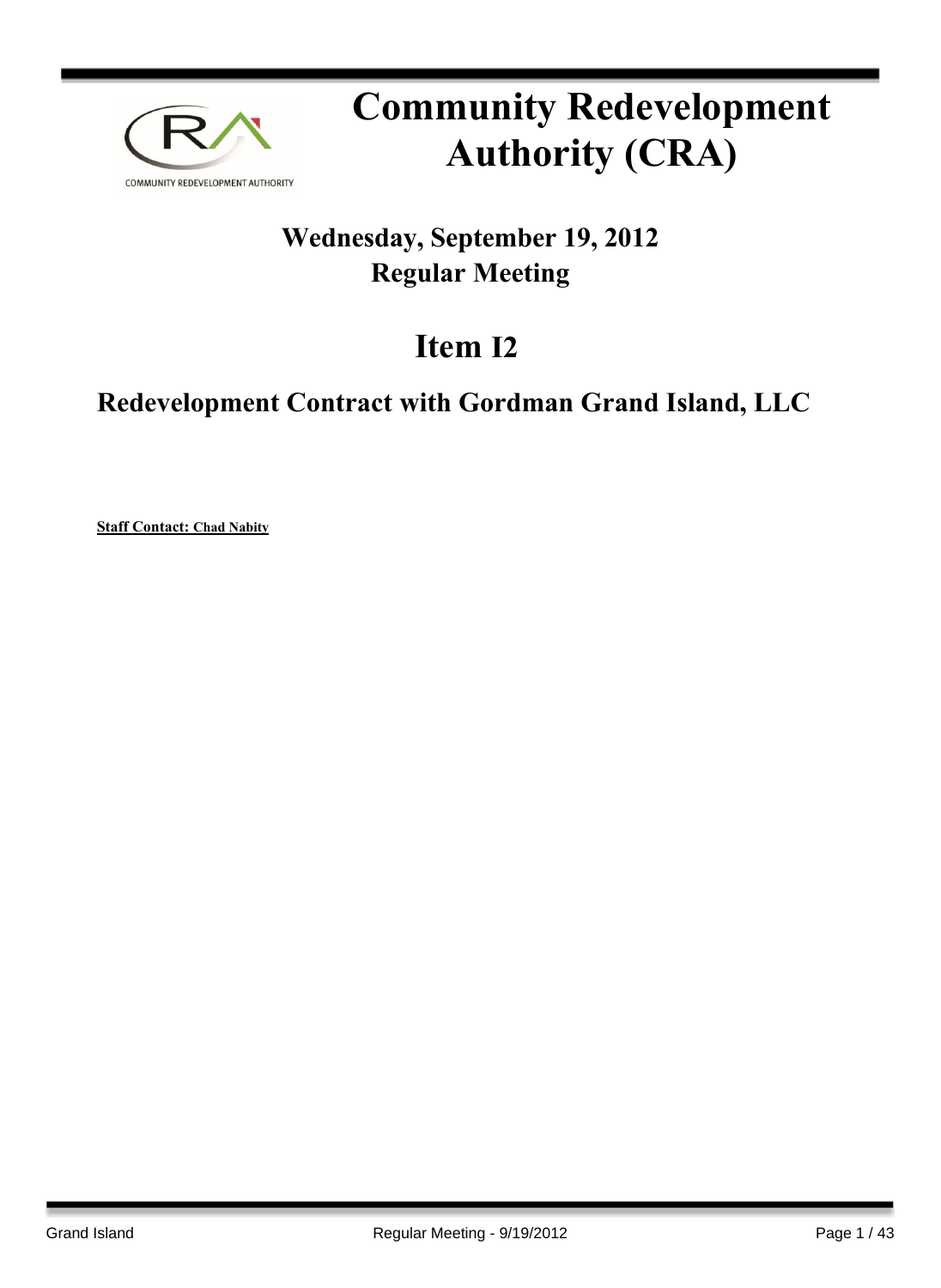

# **Community Redevelopment Authority (CRA)**

## **Wednesday, September 19, 2012 Regular Meeting**

# **Item I2**

## **Redevelopment Contract with Gordman Grand Island, LLC**

**Staff Contact: Chad Nabity**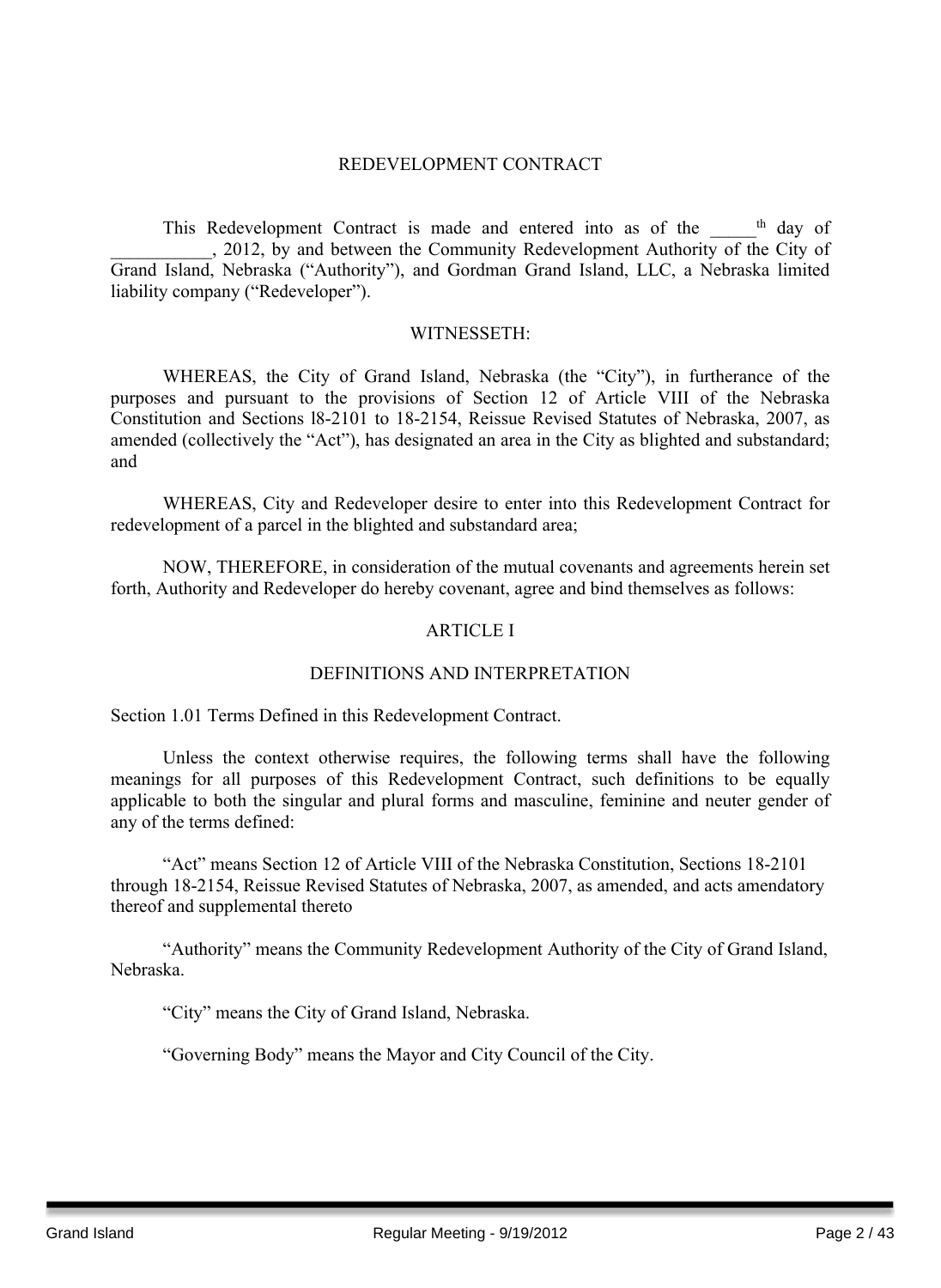#### REDEVELOPMENT CONTRACT

This Redevelopment Contract is made and entered into as of the \_\_\_\_\_<sup>th</sup> day of . 2012, by and between the Community Redevelopment Authority of the City of Grand Island, Nebraska ("Authority"), and Gordman Grand Island, LLC, a Nebraska limited liability company ("Redeveloper").

#### WITNESSETH:

WHEREAS, the City of Grand Island, Nebraska (the "City"), in furtherance of the purposes and pursuant to the provisions of Section 12 of Article VIII of the Nebraska Constitution and Sections l8-2101 to 18-2154, Reissue Revised Statutes of Nebraska, 2007, as amended (collectively the "Act"), has designated an area in the City as blighted and substandard; and

WHEREAS, City and Redeveloper desire to enter into this Redevelopment Contract for redevelopment of a parcel in the blighted and substandard area;

NOW, THEREFORE, in consideration of the mutual covenants and agreements herein set forth, Authority and Redeveloper do hereby covenant, agree and bind themselves as follows:

#### ARTICLE I

#### DEFINITIONS AND INTERPRETATION

Section 1.01 Terms Defined in this Redevelopment Contract.

Unless the context otherwise requires, the following terms shall have the following meanings for all purposes of this Redevelopment Contract, such definitions to be equally applicable to both the singular and plural forms and masculine, feminine and neuter gender of any of the terms defined:

"Act" means Section 12 of Article VIII of the Nebraska Constitution, Sections 18-2101 through 18-2154, Reissue Revised Statutes of Nebraska, 2007, as amended, and acts amendatory thereof and supplemental thereto

"Authority" means the Community Redevelopment Authority of the City of Grand Island, Nebraska.

"City" means the City of Grand Island, Nebraska.

"Governing Body" means the Mayor and City Council of the City.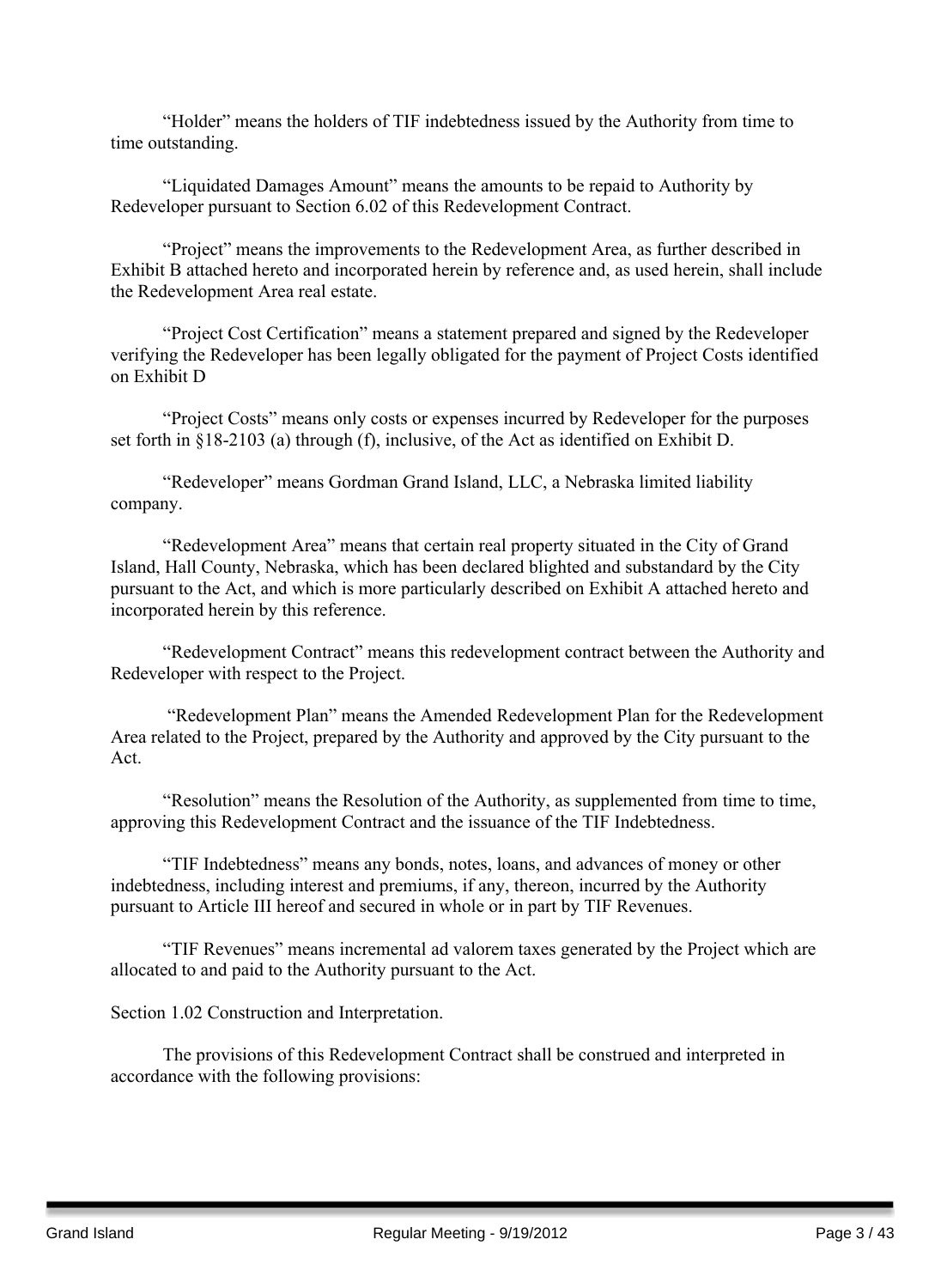"Holder" means the holders of TIF indebtedness issued by the Authority from time to time outstanding.

"Liquidated Damages Amount" means the amounts to be repaid to Authority by Redeveloper pursuant to Section 6.02 of this Redevelopment Contract.

"Project" means the improvements to the Redevelopment Area, as further described in Exhibit B attached hereto and incorporated herein by reference and, as used herein, shall include the Redevelopment Area real estate.

"Project Cost Certification" means a statement prepared and signed by the Redeveloper verifying the Redeveloper has been legally obligated for the payment of Project Costs identified on Exhibit D

"Project Costs" means only costs or expenses incurred by Redeveloper for the purposes set forth in §18-2103 (a) through (f), inclusive, of the Act as identified on Exhibit D.

"Redeveloper" means Gordman Grand Island, LLC, a Nebraska limited liability company.

"Redevelopment Area" means that certain real property situated in the City of Grand Island, Hall County, Nebraska, which has been declared blighted and substandard by the City pursuant to the Act, and which is more particularly described on Exhibit A attached hereto and incorporated herein by this reference.

"Redevelopment Contract" means this redevelopment contract between the Authority and Redeveloper with respect to the Project.

"Redevelopment Plan" means the Amended Redevelopment Plan for the Redevelopment Area related to the Project, prepared by the Authority and approved by the City pursuant to the Act.

"Resolution" means the Resolution of the Authority, as supplemented from time to time, approving this Redevelopment Contract and the issuance of the TIF Indebtedness.

"TIF Indebtedness" means any bonds, notes, loans, and advances of money or other indebtedness, including interest and premiums, if any, thereon, incurred by the Authority pursuant to Article III hereof and secured in whole or in part by TIF Revenues.

"TIF Revenues" means incremental ad valorem taxes generated by the Project which are allocated to and paid to the Authority pursuant to the Act.

Section 1.02 Construction and Interpretation.

The provisions of this Redevelopment Contract shall be construed and interpreted in accordance with the following provisions: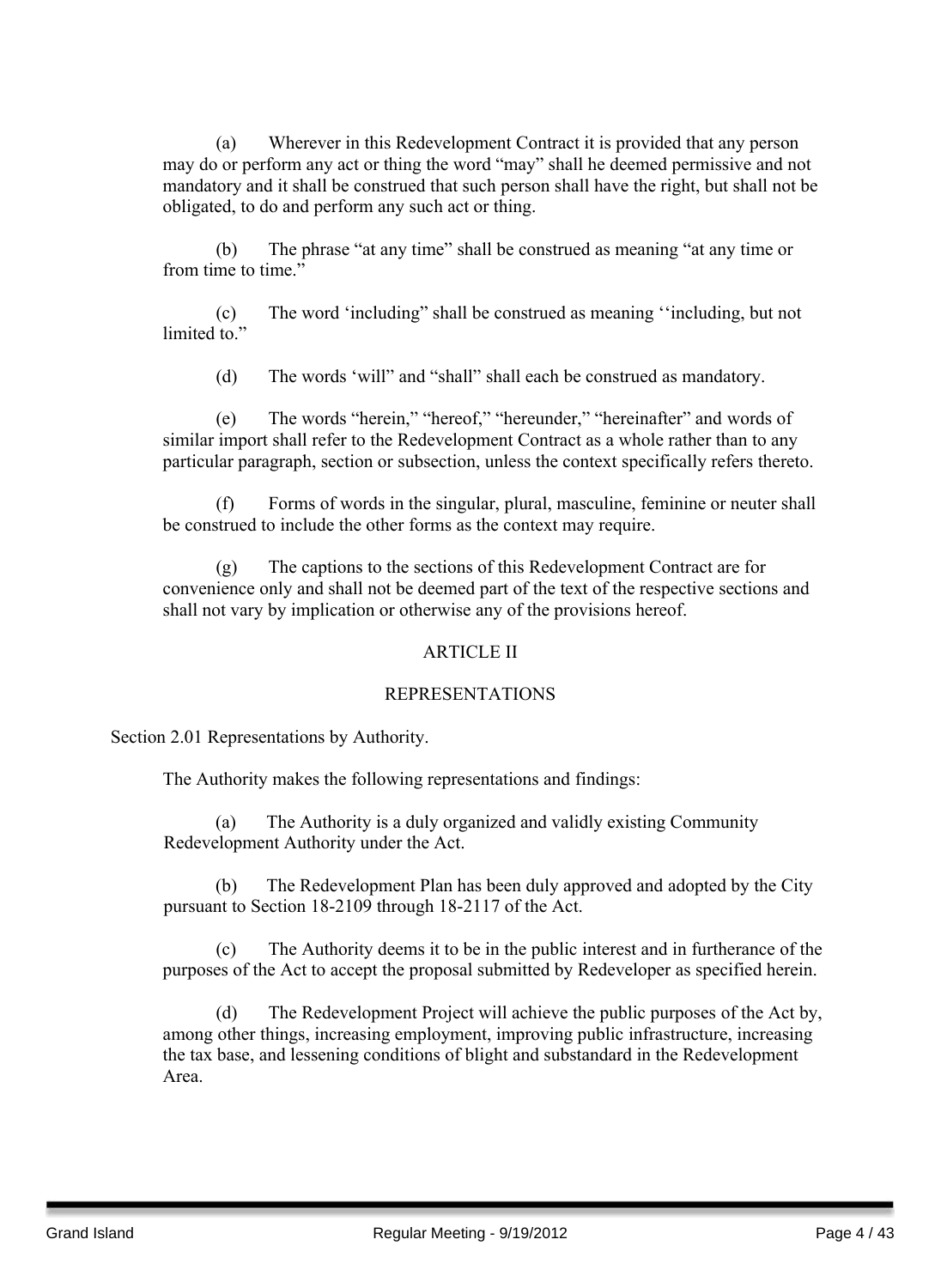(a) Wherever in this Redevelopment Contract it is provided that any person may do or perform any act or thing the word "may" shall he deemed permissive and not mandatory and it shall be construed that such person shall have the right, but shall not be obligated, to do and perform any such act or thing.

(b) The phrase "at any time" shall be construed as meaning "at any time or from time to time."

(c) The word 'including" shall be construed as meaning ''including, but not limited to."

(d) The words 'will" and "shall" shall each be construed as mandatory.

(e) The words "herein," "hereof," "hereunder," "hereinafter" and words of similar import shall refer to the Redevelopment Contract as a whole rather than to any particular paragraph, section or subsection, unless the context specifically refers thereto.

(f) Forms of words in the singular, plural, masculine, feminine or neuter shall be construed to include the other forms as the context may require.

(g) The captions to the sections of this Redevelopment Contract are for convenience only and shall not be deemed part of the text of the respective sections and shall not vary by implication or otherwise any of the provisions hereof.

#### ARTICLE II

#### REPRESENTATIONS

Section 2.01 Representations by Authority.

The Authority makes the following representations and findings:

(a) The Authority is a duly organized and validly existing Community Redevelopment Authority under the Act.

(b) The Redevelopment Plan has been duly approved and adopted by the City pursuant to Section 18-2109 through 18-2117 of the Act.

(c) The Authority deems it to be in the public interest and in furtherance of the purposes of the Act to accept the proposal submitted by Redeveloper as specified herein.

(d) The Redevelopment Project will achieve the public purposes of the Act by, among other things, increasing employment, improving public infrastructure, increasing the tax base, and lessening conditions of blight and substandard in the Redevelopment Area.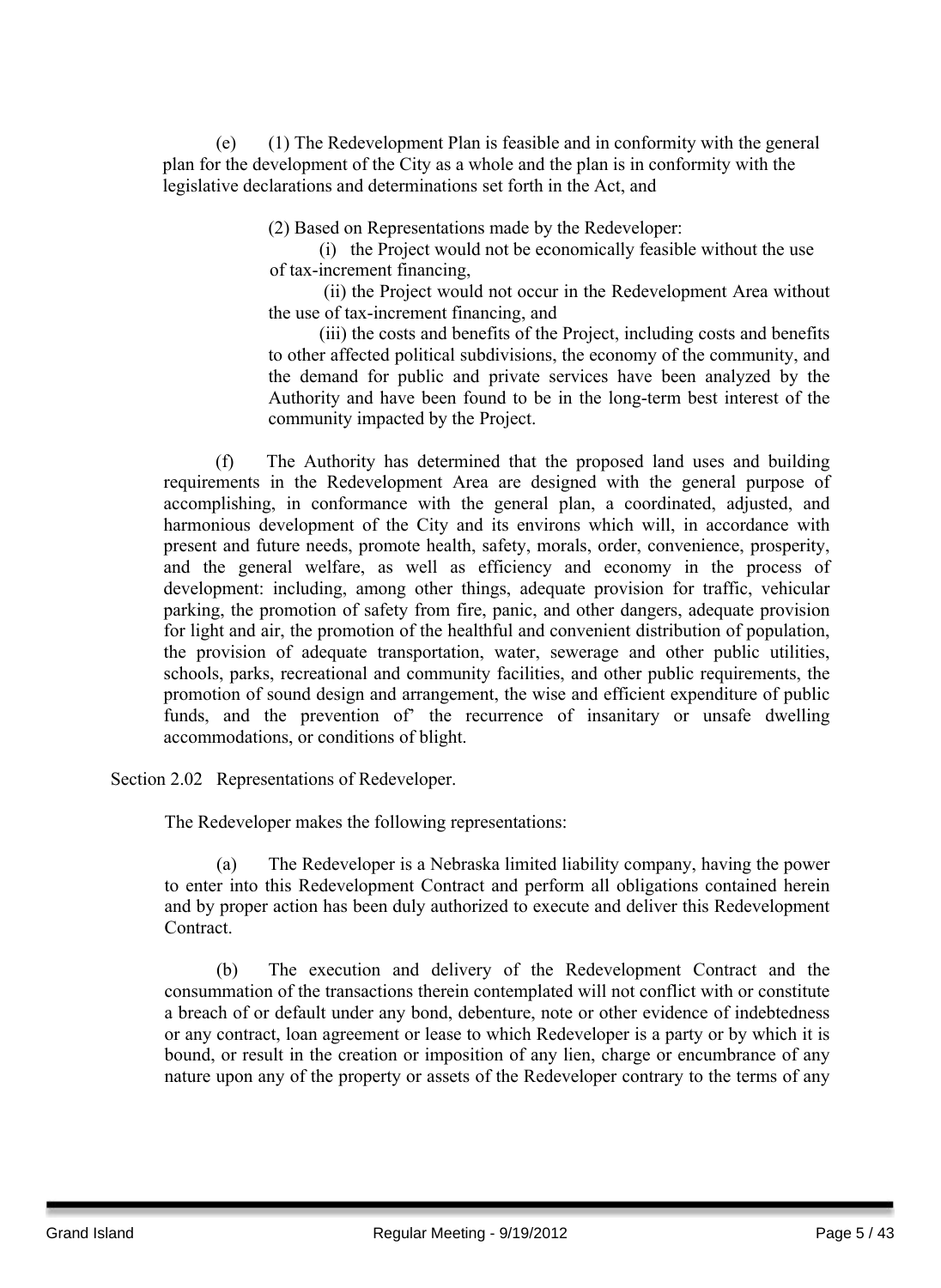(e) (1) The Redevelopment Plan is feasible and in conformity with the general plan for the development of the City as a whole and the plan is in conformity with the legislative declarations and determinations set forth in the Act, and

(2) Based on Representations made by the Redeveloper:

(i) the Project would not be economically feasible without the use of tax-increment financing,

(ii) the Project would not occur in the Redevelopment Area without the use of tax-increment financing, and

(iii) the costs and benefits of the Project, including costs and benefits to other affected political subdivisions, the economy of the community, and the demand for public and private services have been analyzed by the Authority and have been found to be in the long-term best interest of the community impacted by the Project.

(f) The Authority has determined that the proposed land uses and building requirements in the Redevelopment Area are designed with the general purpose of accomplishing, in conformance with the general plan, a coordinated, adjusted, and harmonious development of the City and its environs which will, in accordance with present and future needs, promote health, safety, morals, order, convenience, prosperity, and the general welfare, as well as efficiency and economy in the process of development: including, among other things, adequate provision for traffic, vehicular parking, the promotion of safety from fire, panic, and other dangers, adequate provision for light and air, the promotion of the healthful and convenient distribution of population, the provision of adequate transportation, water, sewerage and other public utilities, schools, parks, recreational and community facilities, and other public requirements, the promotion of sound design and arrangement, the wise and efficient expenditure of public funds, and the prevention of' the recurrence of insanitary or unsafe dwelling accommodations, or conditions of blight.

Section 2.02 Representations of Redeveloper.

The Redeveloper makes the following representations:

(a) The Redeveloper is a Nebraska limited liability company, having the power to enter into this Redevelopment Contract and perform all obligations contained herein and by proper action has been duly authorized to execute and deliver this Redevelopment Contract.

(b) The execution and delivery of the Redevelopment Contract and the consummation of the transactions therein contemplated will not conflict with or constitute a breach of or default under any bond, debenture, note or other evidence of indebtedness or any contract, loan agreement or lease to which Redeveloper is a party or by which it is bound, or result in the creation or imposition of any lien, charge or encumbrance of any nature upon any of the property or assets of the Redeveloper contrary to the terms of any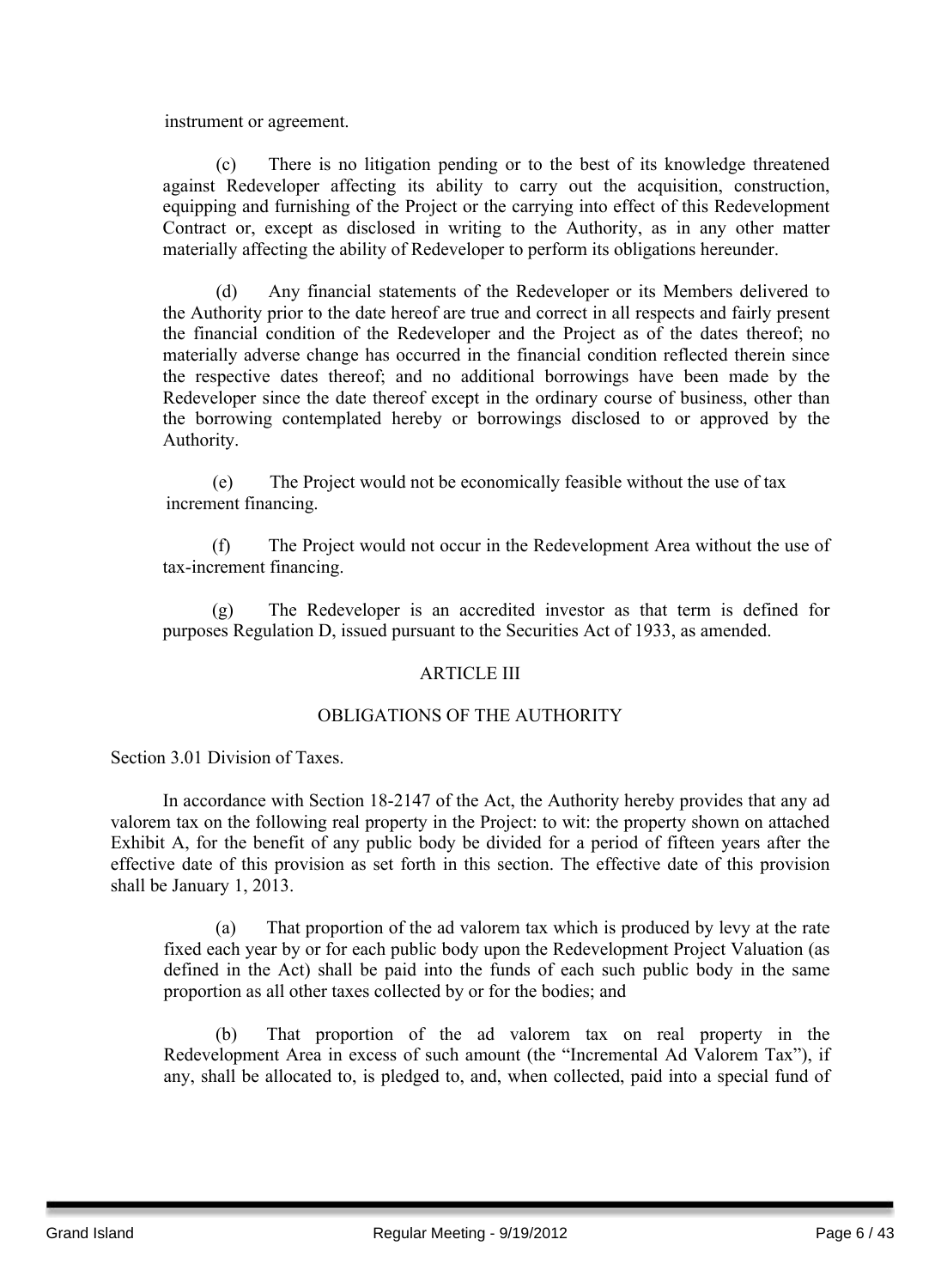instrument or agreement.

(c) There is no litigation pending or to the best of its knowledge threatened against Redeveloper affecting its ability to carry out the acquisition, construction, equipping and furnishing of the Project or the carrying into effect of this Redevelopment Contract or, except as disclosed in writing to the Authority, as in any other matter materially affecting the ability of Redeveloper to perform its obligations hereunder.

(d) Any financial statements of the Redeveloper or its Members delivered to the Authority prior to the date hereof are true and correct in all respects and fairly present the financial condition of the Redeveloper and the Project as of the dates thereof; no materially adverse change has occurred in the financial condition reflected therein since the respective dates thereof; and no additional borrowings have been made by the Redeveloper since the date thereof except in the ordinary course of business, other than the borrowing contemplated hereby or borrowings disclosed to or approved by the Authority.

(e) The Project would not be economically feasible without the use of tax increment financing.

(f) The Project would not occur in the Redevelopment Area without the use of tax-increment financing.

(g) The Redeveloper is an accredited investor as that term is defined for purposes Regulation D, issued pursuant to the Securities Act of 1933, as amended.

#### ARTICLE III

#### OBLIGATIONS OF THE AUTHORITY

Section 3.01 Division of Taxes.

In accordance with Section 18-2147 of the Act, the Authority hereby provides that any ad valorem tax on the following real property in the Project: to wit: the property shown on attached Exhibit A, for the benefit of any public body be divided for a period of fifteen years after the effective date of this provision as set forth in this section. The effective date of this provision shall be January 1, 2013.

(a) That proportion of the ad valorem tax which is produced by levy at the rate fixed each year by or for each public body upon the Redevelopment Project Valuation (as defined in the Act) shall be paid into the funds of each such public body in the same proportion as all other taxes collected by or for the bodies; and

(b) That proportion of the ad valorem tax on real property in the Redevelopment Area in excess of such amount (the "Incremental Ad Valorem Tax"), if any, shall be allocated to, is pledged to, and, when collected, paid into a special fund of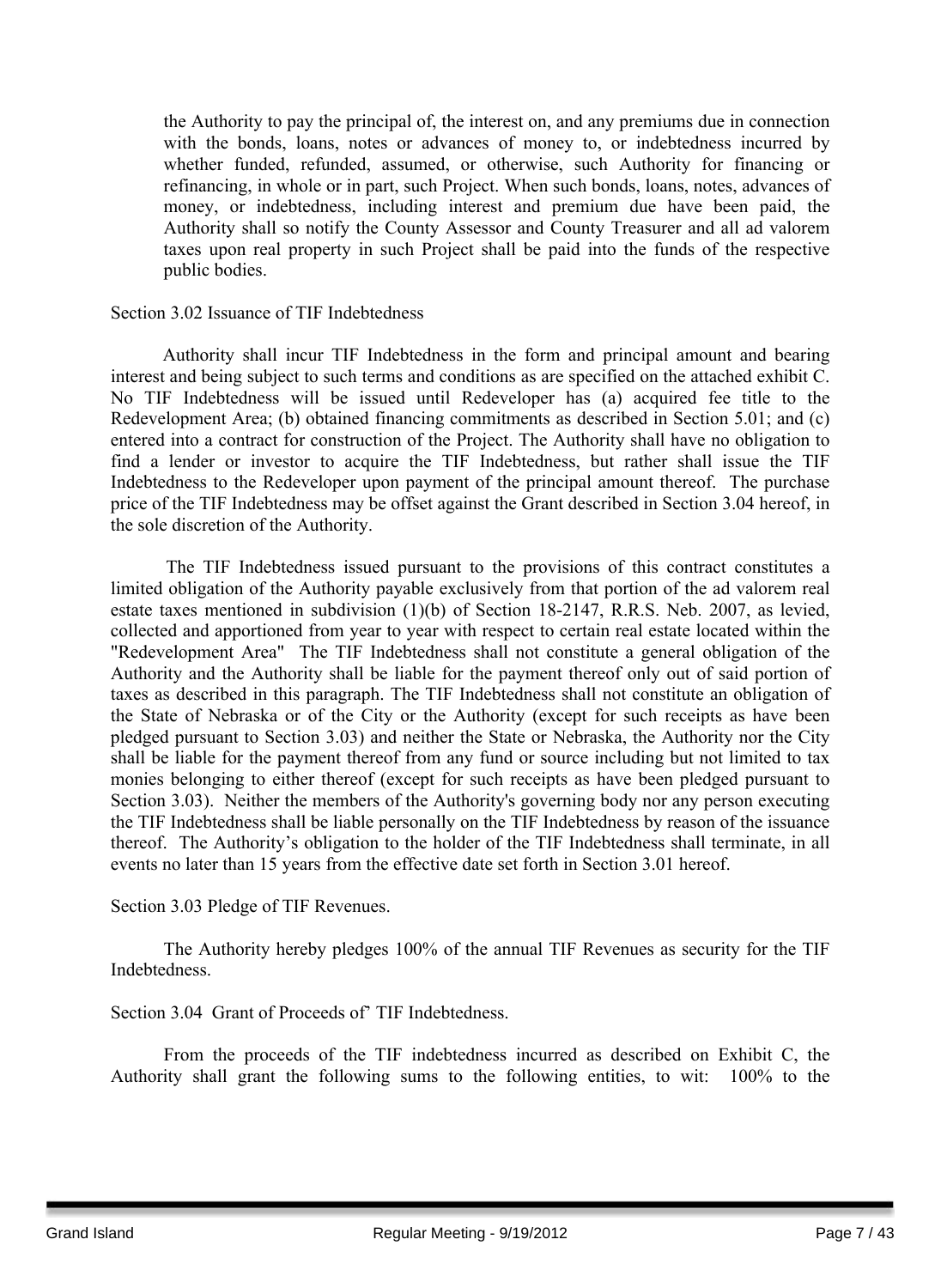the Authority to pay the principal of, the interest on, and any premiums due in connection with the bonds, loans, notes or advances of money to, or indebtedness incurred by whether funded, refunded, assumed, or otherwise, such Authority for financing or refinancing, in whole or in part, such Project. When such bonds, loans, notes, advances of money, or indebtedness, including interest and premium due have been paid, the Authority shall so notify the County Assessor and County Treasurer and all ad valorem taxes upon real property in such Project shall be paid into the funds of the respective public bodies.

#### Section 3.02 Issuance of TIF Indebtedness

Authority shall incur TIF Indebtedness in the form and principal amount and bearing interest and being subject to such terms and conditions as are specified on the attached exhibit C. No TIF Indebtedness will be issued until Redeveloper has (a) acquired fee title to the Redevelopment Area; (b) obtained financing commitments as described in Section 5.01; and (c) entered into a contract for construction of the Project. The Authority shall have no obligation to find a lender or investor to acquire the TIF Indebtedness, but rather shall issue the TIF Indebtedness to the Redeveloper upon payment of the principal amount thereof. The purchase price of the TIF Indebtedness may be offset against the Grant described in Section 3.04 hereof, in the sole discretion of the Authority.

The TIF Indebtedness issued pursuant to the provisions of this contract constitutes a limited obligation of the Authority payable exclusively from that portion of the ad valorem real estate taxes mentioned in subdivision (1)(b) of Section 18-2147, R.R.S. Neb. 2007, as levied, collected and apportioned from year to year with respect to certain real estate located within the "Redevelopment Area" The TIF Indebtedness shall not constitute a general obligation of the Authority and the Authority shall be liable for the payment thereof only out of said portion of taxes as described in this paragraph. The TIF Indebtedness shall not constitute an obligation of the State of Nebraska or of the City or the Authority (except for such receipts as have been pledged pursuant to Section 3.03) and neither the State or Nebraska, the Authority nor the City shall be liable for the payment thereof from any fund or source including but not limited to tax monies belonging to either thereof (except for such receipts as have been pledged pursuant to Section 3.03). Neither the members of the Authority's governing body nor any person executing the TIF Indebtedness shall be liable personally on the TIF Indebtedness by reason of the issuance thereof. The Authority's obligation to the holder of the TIF Indebtedness shall terminate, in all events no later than 15 years from the effective date set forth in Section 3.01 hereof.

Section 3.03 Pledge of TIF Revenues.

The Authority hereby pledges 100% of the annual TIF Revenues as security for the TIF Indebtedness.

Section 3.04 Grant of Proceeds of' TIF Indebtedness.

From the proceeds of the TIF indebtedness incurred as described on Exhibit C, the Authority shall grant the following sums to the following entities, to wit: 100% to the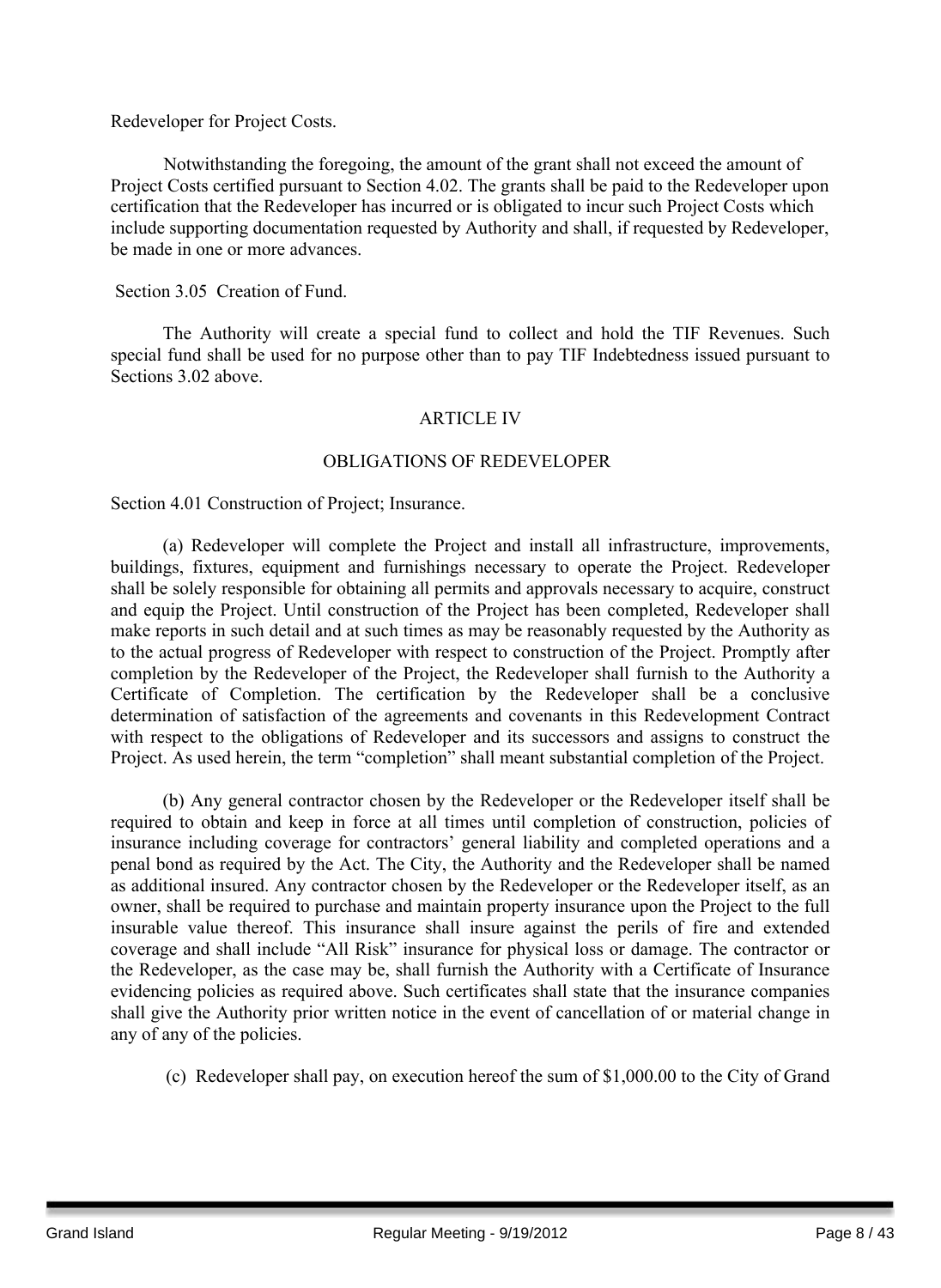Redeveloper for Project Costs.

Notwithstanding the foregoing, the amount of the grant shall not exceed the amount of Project Costs certified pursuant to Section 4.02. The grants shall be paid to the Redeveloper upon certification that the Redeveloper has incurred or is obligated to incur such Project Costs which include supporting documentation requested by Authority and shall, if requested by Redeveloper, be made in one or more advances.

Section 3.05 Creation of Fund.

The Authority will create a special fund to collect and hold the TIF Revenues. Such special fund shall be used for no purpose other than to pay TIF Indebtedness issued pursuant to Sections 3.02 above.

#### ARTICLE IV

#### OBLIGATIONS OF REDEVELOPER

Section 4.01 Construction of Project; Insurance.

(a) Redeveloper will complete the Project and install all infrastructure, improvements, buildings, fixtures, equipment and furnishings necessary to operate the Project. Redeveloper shall be solely responsible for obtaining all permits and approvals necessary to acquire, construct and equip the Project. Until construction of the Project has been completed, Redeveloper shall make reports in such detail and at such times as may be reasonably requested by the Authority as to the actual progress of Redeveloper with respect to construction of the Project. Promptly after completion by the Redeveloper of the Project, the Redeveloper shall furnish to the Authority a Certificate of Completion. The certification by the Redeveloper shall be a conclusive determination of satisfaction of the agreements and covenants in this Redevelopment Contract with respect to the obligations of Redeveloper and its successors and assigns to construct the Project. As used herein, the term "completion" shall meant substantial completion of the Project.

(b) Any general contractor chosen by the Redeveloper or the Redeveloper itself shall be required to obtain and keep in force at all times until completion of construction, policies of insurance including coverage for contractors' general liability and completed operations and a penal bond as required by the Act. The City, the Authority and the Redeveloper shall be named as additional insured. Any contractor chosen by the Redeveloper or the Redeveloper itself, as an owner, shall be required to purchase and maintain property insurance upon the Project to the full insurable value thereof. This insurance shall insure against the perils of fire and extended coverage and shall include "All Risk" insurance for physical loss or damage. The contractor or the Redeveloper, as the case may be, shall furnish the Authority with a Certificate of Insurance evidencing policies as required above. Such certificates shall state that the insurance companies shall give the Authority prior written notice in the event of cancellation of or material change in any of any of the policies.

(c) Redeveloper shall pay, on execution hereof the sum of \$1,000.00 to the City of Grand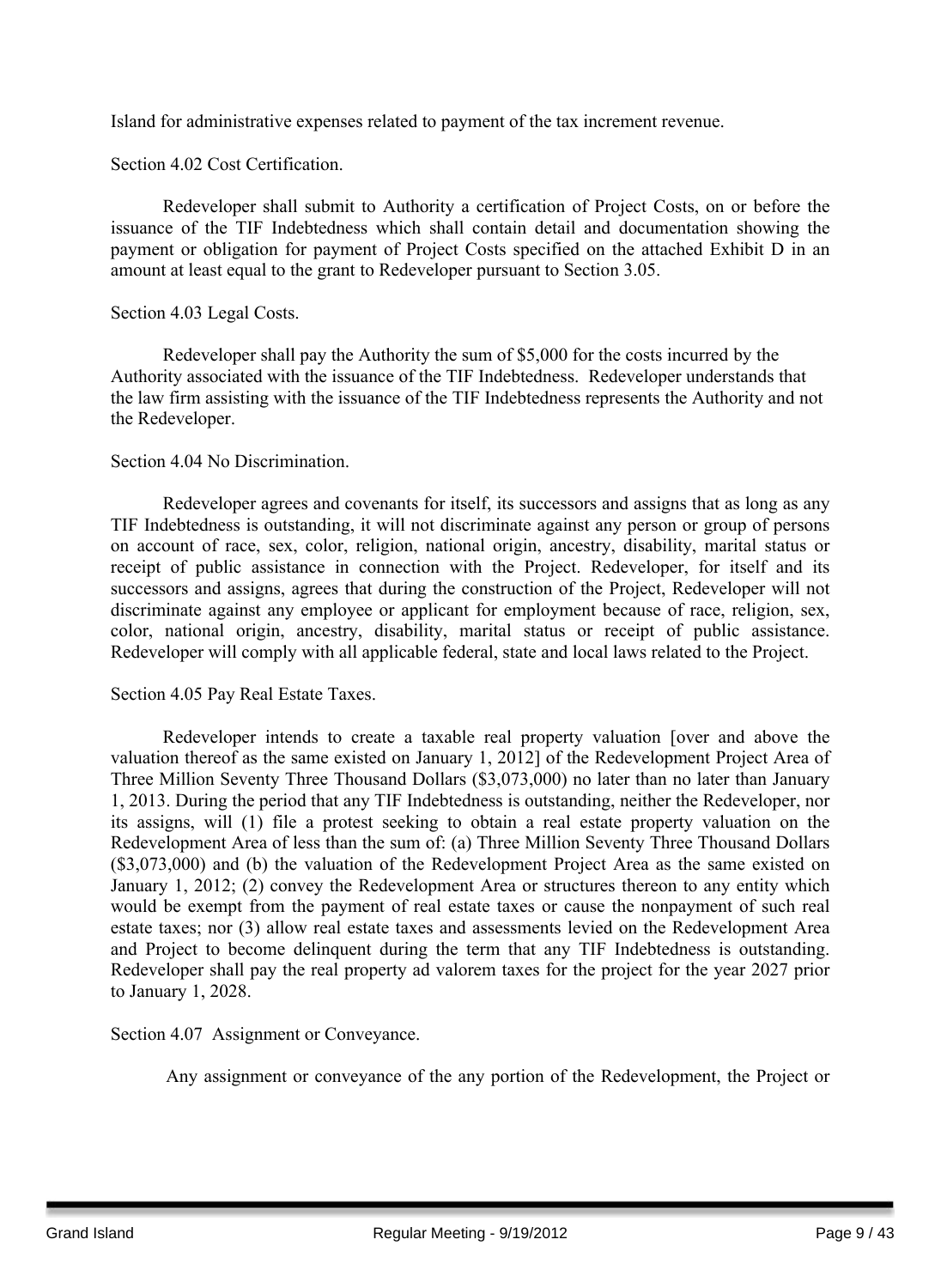Island for administrative expenses related to payment of the tax increment revenue.

Section 4.02 Cost Certification.

Redeveloper shall submit to Authority a certification of Project Costs, on or before the issuance of the TIF Indebtedness which shall contain detail and documentation showing the payment or obligation for payment of Project Costs specified on the attached Exhibit D in an amount at least equal to the grant to Redeveloper pursuant to Section 3.05.

#### Section 4.03 Legal Costs.

Redeveloper shall pay the Authority the sum of \$5,000 for the costs incurred by the Authority associated with the issuance of the TIF Indebtedness. Redeveloper understands that the law firm assisting with the issuance of the TIF Indebtedness represents the Authority and not the Redeveloper.

#### Section 4.04 No Discrimination.

Redeveloper agrees and covenants for itself, its successors and assigns that as long as any TIF Indebtedness is outstanding, it will not discriminate against any person or group of persons on account of race, sex, color, religion, national origin, ancestry, disability, marital status or receipt of public assistance in connection with the Project. Redeveloper, for itself and its successors and assigns, agrees that during the construction of the Project, Redeveloper will not discriminate against any employee or applicant for employment because of race, religion, sex, color, national origin, ancestry, disability, marital status or receipt of public assistance. Redeveloper will comply with all applicable federal, state and local laws related to the Project.

#### Section 4.05 Pay Real Estate Taxes.

Redeveloper intends to create a taxable real property valuation [over and above the valuation thereof as the same existed on January 1, 2012] of the Redevelopment Project Area of Three Million Seventy Three Thousand Dollars (\$3,073,000) no later than no later than January 1, 2013. During the period that any TIF Indebtedness is outstanding, neither the Redeveloper, nor its assigns, will (1) file a protest seeking to obtain a real estate property valuation on the Redevelopment Area of less than the sum of: (a) Three Million Seventy Three Thousand Dollars (\$3,073,000) and (b) the valuation of the Redevelopment Project Area as the same existed on January 1, 2012; (2) convey the Redevelopment Area or structures thereon to any entity which would be exempt from the payment of real estate taxes or cause the nonpayment of such real estate taxes; nor (3) allow real estate taxes and assessments levied on the Redevelopment Area and Project to become delinquent during the term that any TIF Indebtedness is outstanding. Redeveloper shall pay the real property ad valorem taxes for the project for the year 2027 prior to January 1, 2028.

Section 4.07 Assignment or Conveyance.

Any assignment or conveyance of the any portion of the Redevelopment, the Project or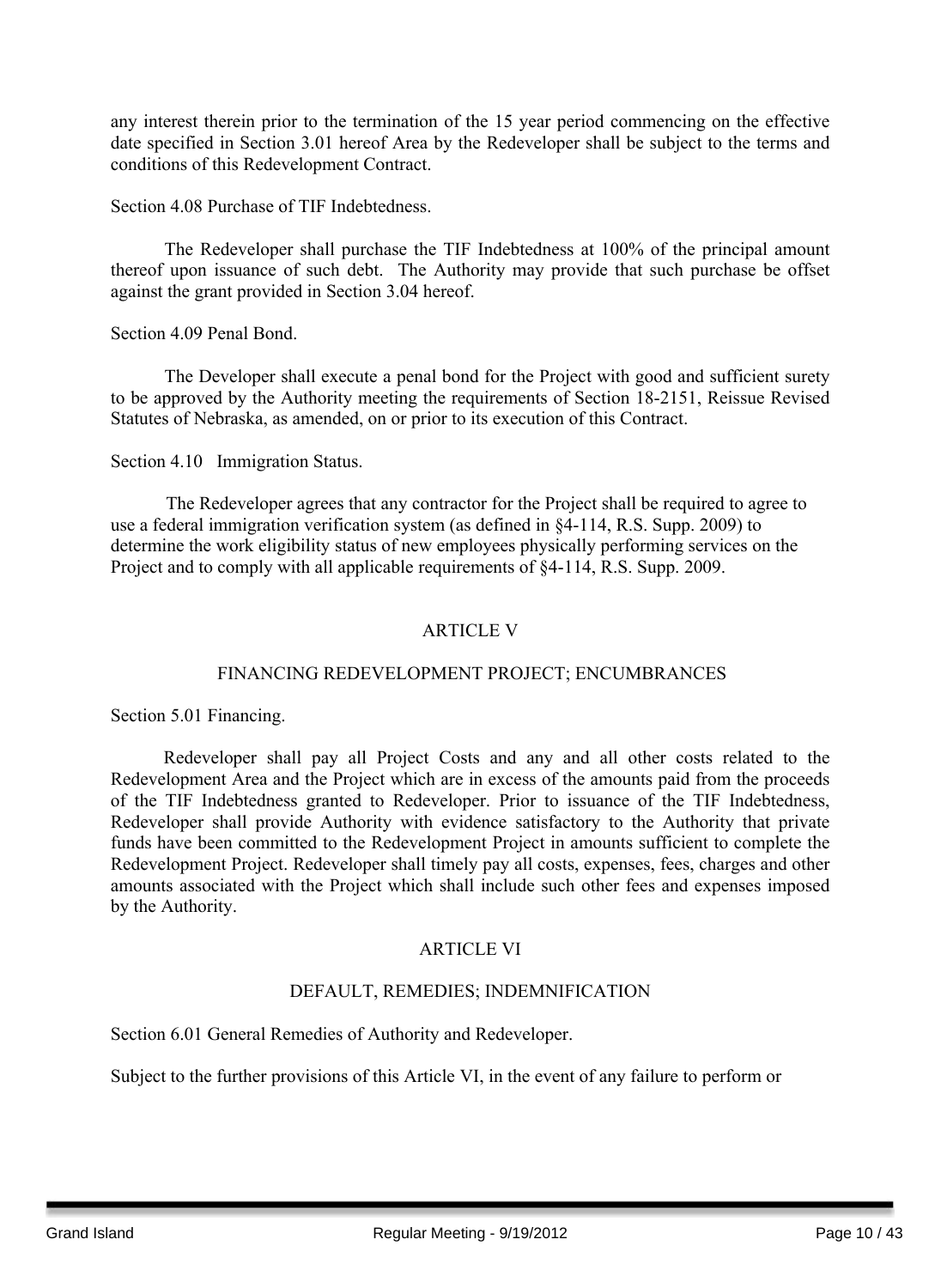any interest therein prior to the termination of the 15 year period commencing on the effective date specified in Section 3.01 hereof Area by the Redeveloper shall be subject to the terms and conditions of this Redevelopment Contract.

#### Section 4.08 Purchase of TIF Indebtedness.

The Redeveloper shall purchase the TIF Indebtedness at 100% of the principal amount thereof upon issuance of such debt. The Authority may provide that such purchase be offset against the grant provided in Section 3.04 hereof.

Section 4.09 Penal Bond.

The Developer shall execute a penal bond for the Project with good and sufficient surety to be approved by the Authority meeting the requirements of Section 18-2151, Reissue Revised Statutes of Nebraska, as amended, on or prior to its execution of this Contract.

Section 4.10 Immigration Status.

The Redeveloper agrees that any contractor for the Project shall be required to agree to use a federal immigration verification system (as defined in §4-114, R.S. Supp. 2009) to determine the work eligibility status of new employees physically performing services on the Project and to comply with all applicable requirements of §4-114, R.S. Supp. 2009.

#### ARTICLE V

#### FINANCING REDEVELOPMENT PROJECT; ENCUMBRANCES

Section 5.01 Financing.

Redeveloper shall pay all Project Costs and any and all other costs related to the Redevelopment Area and the Project which are in excess of the amounts paid from the proceeds of the TIF Indebtedness granted to Redeveloper. Prior to issuance of the TIF Indebtedness, Redeveloper shall provide Authority with evidence satisfactory to the Authority that private funds have been committed to the Redevelopment Project in amounts sufficient to complete the Redevelopment Project. Redeveloper shall timely pay all costs, expenses, fees, charges and other amounts associated with the Project which shall include such other fees and expenses imposed by the Authority.

#### ARTICLE VI

#### DEFAULT, REMEDIES; INDEMNIFICATION

Section 6.01 General Remedies of Authority and Redeveloper.

Subject to the further provisions of this Article VI, in the event of any failure to perform or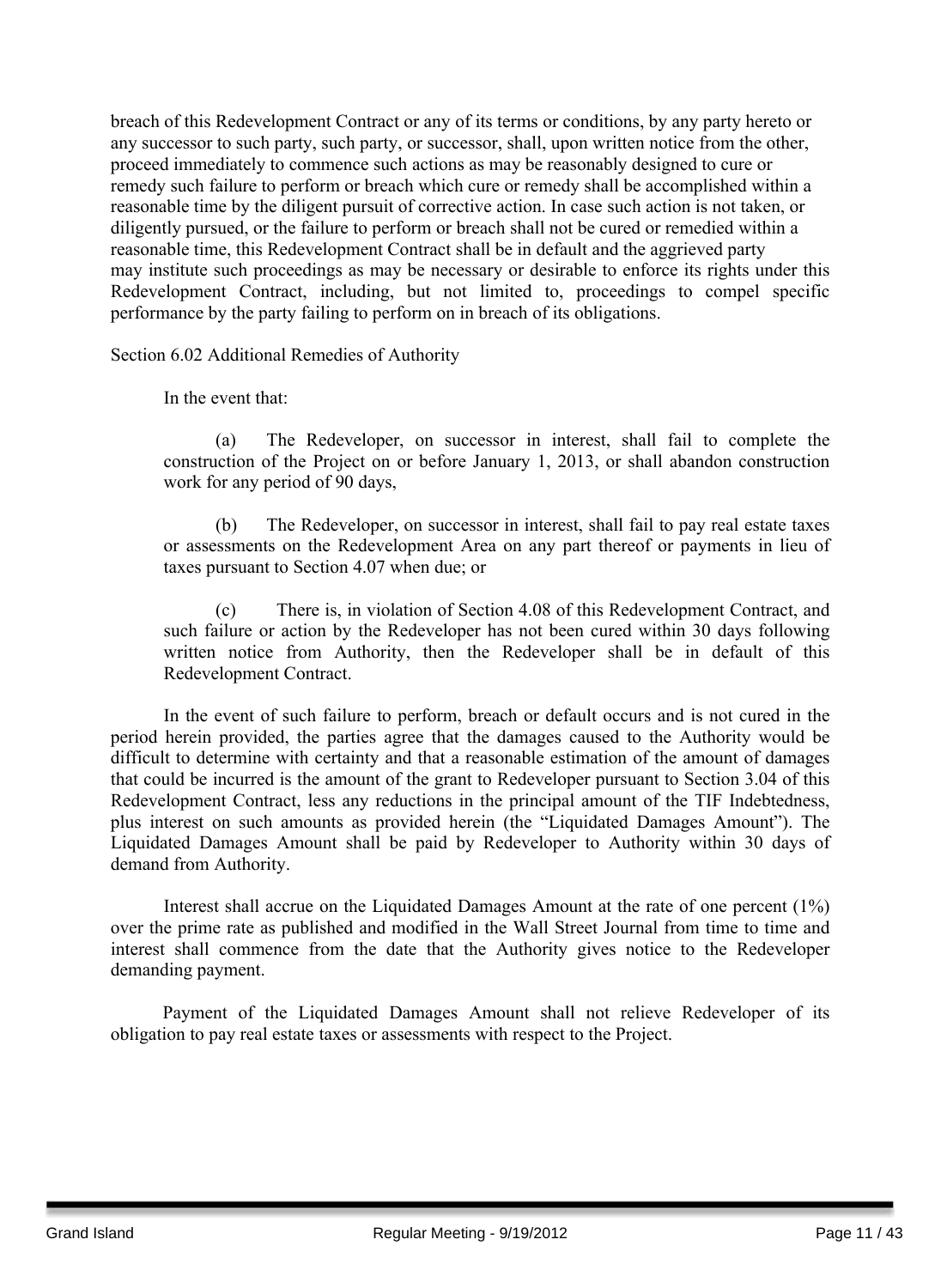breach of this Redevelopment Contract or any of its terms or conditions, by any party hereto or any successor to such party, such party, or successor, shall, upon written notice from the other, proceed immediately to commence such actions as may be reasonably designed to cure or remedy such failure to perform or breach which cure or remedy shall be accomplished within a reasonable time by the diligent pursuit of corrective action. In case such action is not taken, or diligently pursued, or the failure to perform or breach shall not be cured or remedied within a reasonable time, this Redevelopment Contract shall be in default and the aggrieved party may institute such proceedings as may be necessary or desirable to enforce its rights under this Redevelopment Contract, including, but not limited to, proceedings to compel specific performance by the party failing to perform on in breach of its obligations.

Section 6.02 Additional Remedies of Authority

In the event that:

(a) The Redeveloper, on successor in interest, shall fail to complete the construction of the Project on or before January 1, 2013, or shall abandon construction work for any period of 90 days,

(b) The Redeveloper, on successor in interest, shall fail to pay real estate taxes or assessments on the Redevelopment Area on any part thereof or payments in lieu of taxes pursuant to Section 4.07 when due; or

(c) There is, in violation of Section 4.08 of this Redevelopment Contract, and such failure or action by the Redeveloper has not been cured within 30 days following written notice from Authority, then the Redeveloper shall be in default of this Redevelopment Contract.

In the event of such failure to perform, breach or default occurs and is not cured in the period herein provided, the parties agree that the damages caused to the Authority would be difficult to determine with certainty and that a reasonable estimation of the amount of damages that could be incurred is the amount of the grant to Redeveloper pursuant to Section 3.04 of this Redevelopment Contract, less any reductions in the principal amount of the TIF Indebtedness, plus interest on such amounts as provided herein (the "Liquidated Damages Amount"). The Liquidated Damages Amount shall be paid by Redeveloper to Authority within 30 days of demand from Authority.

Interest shall accrue on the Liquidated Damages Amount at the rate of one percent (1%) over the prime rate as published and modified in the Wall Street Journal from time to time and interest shall commence from the date that the Authority gives notice to the Redeveloper demanding payment.

Payment of the Liquidated Damages Amount shall not relieve Redeveloper of its obligation to pay real estate taxes or assessments with respect to the Project.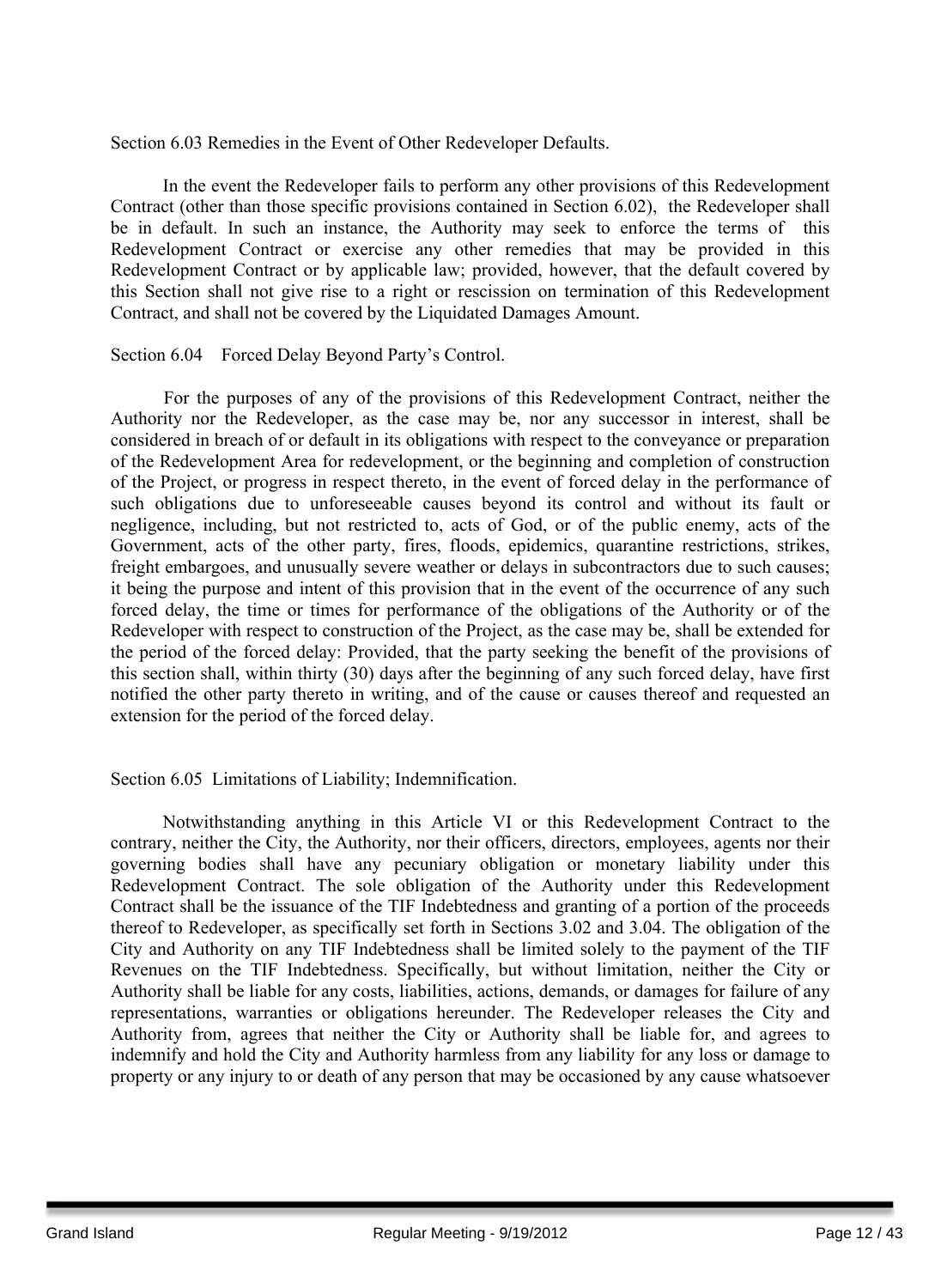Section 6.03 Remedies in the Event of Other Redeveloper Defaults.

In the event the Redeveloper fails to perform any other provisions of this Redevelopment Contract (other than those specific provisions contained in Section 6.02), the Redeveloper shall be in default. In such an instance, the Authority may seek to enforce the terms of this Redevelopment Contract or exercise any other remedies that may be provided in this Redevelopment Contract or by applicable law; provided, however, that the default covered by this Section shall not give rise to a right or rescission on termination of this Redevelopment Contract, and shall not be covered by the Liquidated Damages Amount.

Section 6.04 Forced Delay Beyond Party's Control.

For the purposes of any of the provisions of this Redevelopment Contract, neither the Authority nor the Redeveloper, as the case may be, nor any successor in interest, shall be considered in breach of or default in its obligations with respect to the conveyance or preparation of the Redevelopment Area for redevelopment, or the beginning and completion of construction of the Project, or progress in respect thereto, in the event of forced delay in the performance of such obligations due to unforeseeable causes beyond its control and without its fault or negligence, including, but not restricted to, acts of God, or of the public enemy, acts of the Government, acts of the other party, fires, floods, epidemics, quarantine restrictions, strikes, freight embargoes, and unusually severe weather or delays in subcontractors due to such causes; it being the purpose and intent of this provision that in the event of the occurrence of any such forced delay, the time or times for performance of the obligations of the Authority or of the Redeveloper with respect to construction of the Project, as the case may be, shall be extended for the period of the forced delay: Provided, that the party seeking the benefit of the provisions of this section shall, within thirty (30) days after the beginning of any such forced delay, have first notified the other party thereto in writing, and of the cause or causes thereof and requested an extension for the period of the forced delay.

Section 6.05 Limitations of Liability; Indemnification.

Notwithstanding anything in this Article VI or this Redevelopment Contract to the contrary, neither the City, the Authority, nor their officers, directors, employees, agents nor their governing bodies shall have any pecuniary obligation or monetary liability under this Redevelopment Contract. The sole obligation of the Authority under this Redevelopment Contract shall be the issuance of the TIF Indebtedness and granting of a portion of the proceeds thereof to Redeveloper, as specifically set forth in Sections 3.02 and 3.04. The obligation of the City and Authority on any TIF Indebtedness shall be limited solely to the payment of the TIF Revenues on the TIF Indebtedness. Specifically, but without limitation, neither the City or Authority shall be liable for any costs, liabilities, actions, demands, or damages for failure of any representations, warranties or obligations hereunder. The Redeveloper releases the City and Authority from, agrees that neither the City or Authority shall be liable for, and agrees to indemnify and hold the City and Authority harmless from any liability for any loss or damage to property or any injury to or death of any person that may be occasioned by any cause whatsoever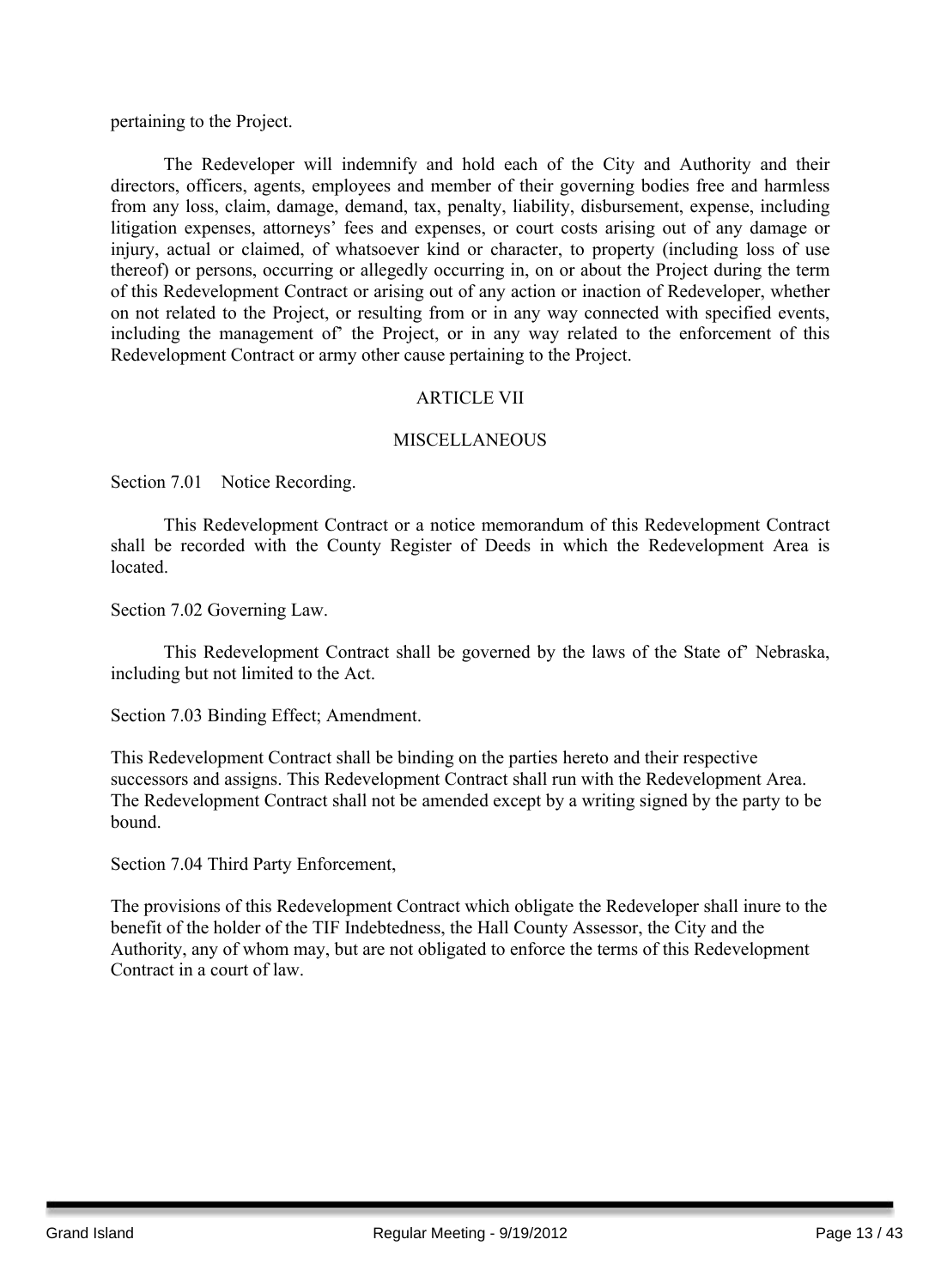pertaining to the Project.

The Redeveloper will indemnify and hold each of the City and Authority and their directors, officers, agents, employees and member of their governing bodies free and harmless from any loss, claim, damage, demand, tax, penalty, liability, disbursement, expense, including litigation expenses, attorneys' fees and expenses, or court costs arising out of any damage or injury, actual or claimed, of whatsoever kind or character, to property (including loss of use thereof) or persons, occurring or allegedly occurring in, on or about the Project during the term of this Redevelopment Contract or arising out of any action or inaction of Redeveloper, whether on not related to the Project, or resulting from or in any way connected with specified events, including the management of' the Project, or in any way related to the enforcement of this Redevelopment Contract or army other cause pertaining to the Project.

#### ARTICLE VII

#### **MISCELLANEOUS**

Section 7.01 Notice Recording.

This Redevelopment Contract or a notice memorandum of this Redevelopment Contract shall be recorded with the County Register of Deeds in which the Redevelopment Area is located.

Section 7.02 Governing Law.

This Redevelopment Contract shall be governed by the laws of the State of' Nebraska, including but not limited to the Act.

Section 7.03 Binding Effect; Amendment.

This Redevelopment Contract shall be binding on the parties hereto and their respective successors and assigns. This Redevelopment Contract shall run with the Redevelopment Area. The Redevelopment Contract shall not be amended except by a writing signed by the party to be bound.

Section 7.04 Third Party Enforcement,

The provisions of this Redevelopment Contract which obligate the Redeveloper shall inure to the benefit of the holder of the TIF Indebtedness, the Hall County Assessor, the City and the Authority, any of whom may, but are not obligated to enforce the terms of this Redevelopment Contract in a court of law.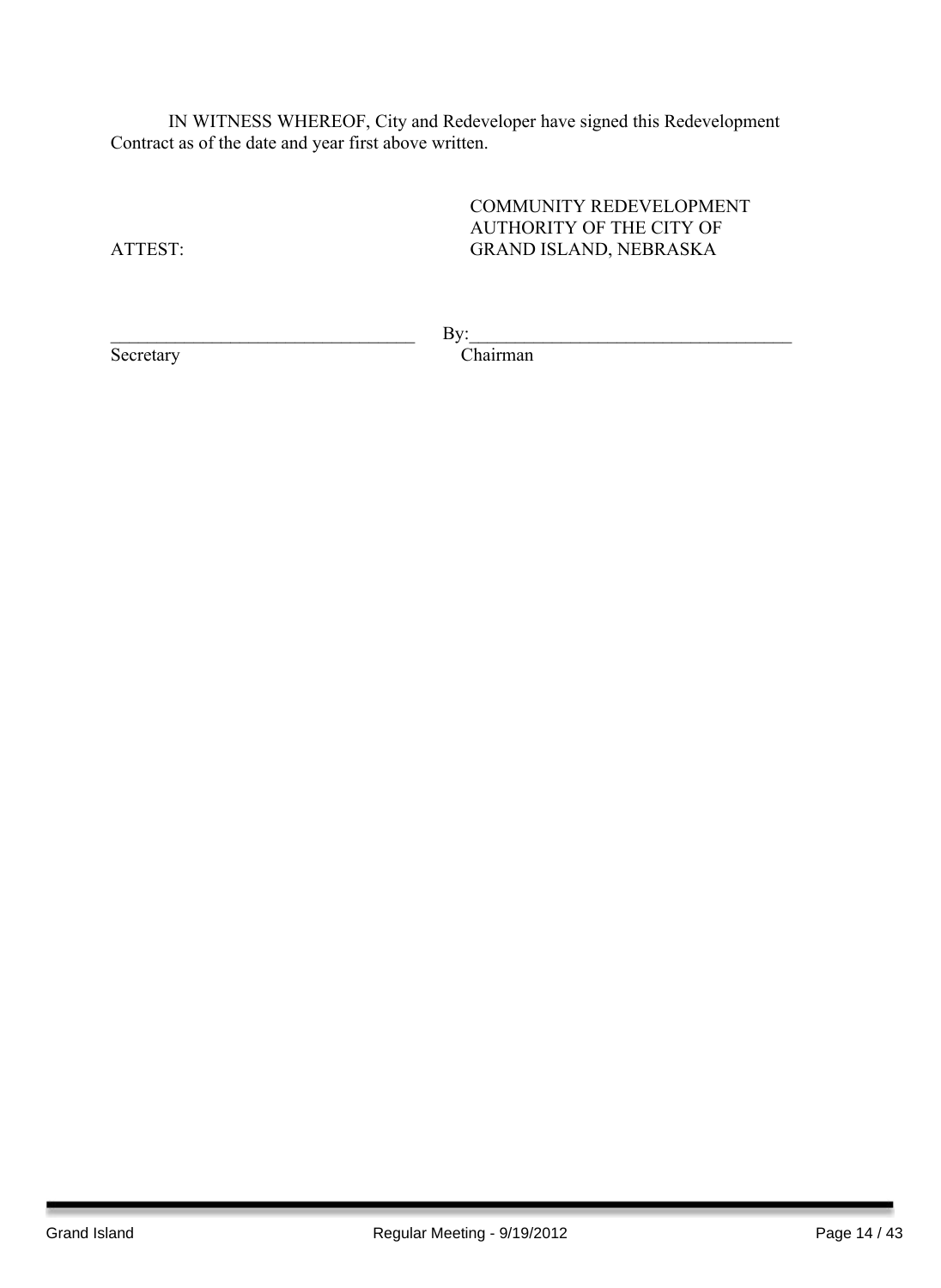IN WITNESS WHEREOF, City and Redeveloper have signed this Redevelopment Contract as of the date and year first above written.

COMMUNITY REDEVELOPMENT AUTHORITY OF THE CITY OF ATTEST: GRAND ISLAND, NEBRASKA

 $\qquad \qquad \text{By:} \qquad$ 

Secretary Chairman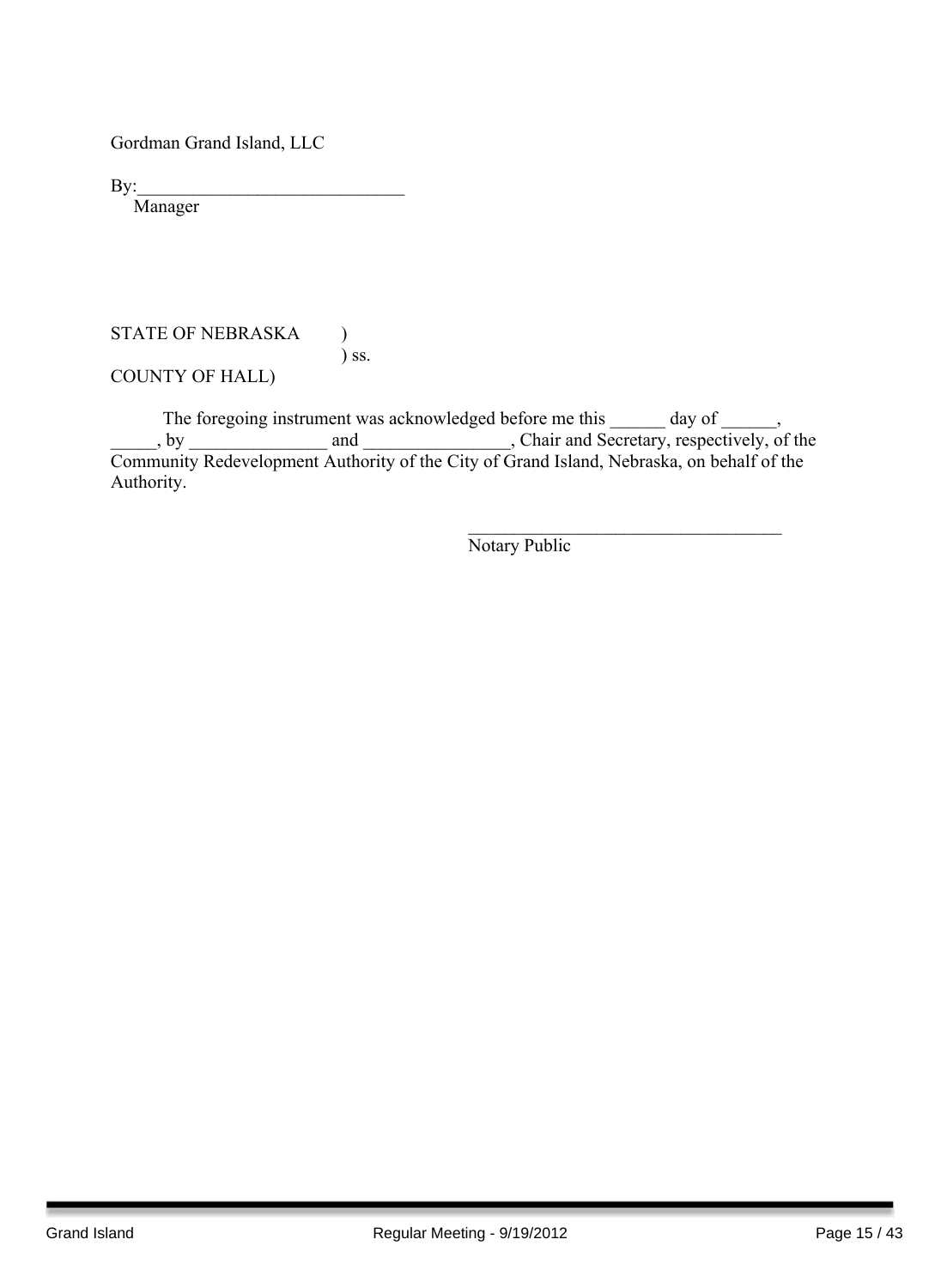Gordman Grand Island, LLC

 $By:$ 

Manager

#### STATE OF NEBRASKA ) ) ss.

COUNTY OF HALL)

The foregoing instrument was acknowledged before me this \_\_\_\_\_\_ day of \_\_\_\_\_\_, by and and containing and chair and Secretary, respectively, of the Community Redevelopment Authority of the City of Grand Island, Nebraska, on behalf of the Authority.

> $\mathcal{L}_\text{max}$  , and the set of the set of the set of the set of the set of the set of the set of the set of the set of the set of the set of the set of the set of the set of the set of the set of the set of the set of the Notary Public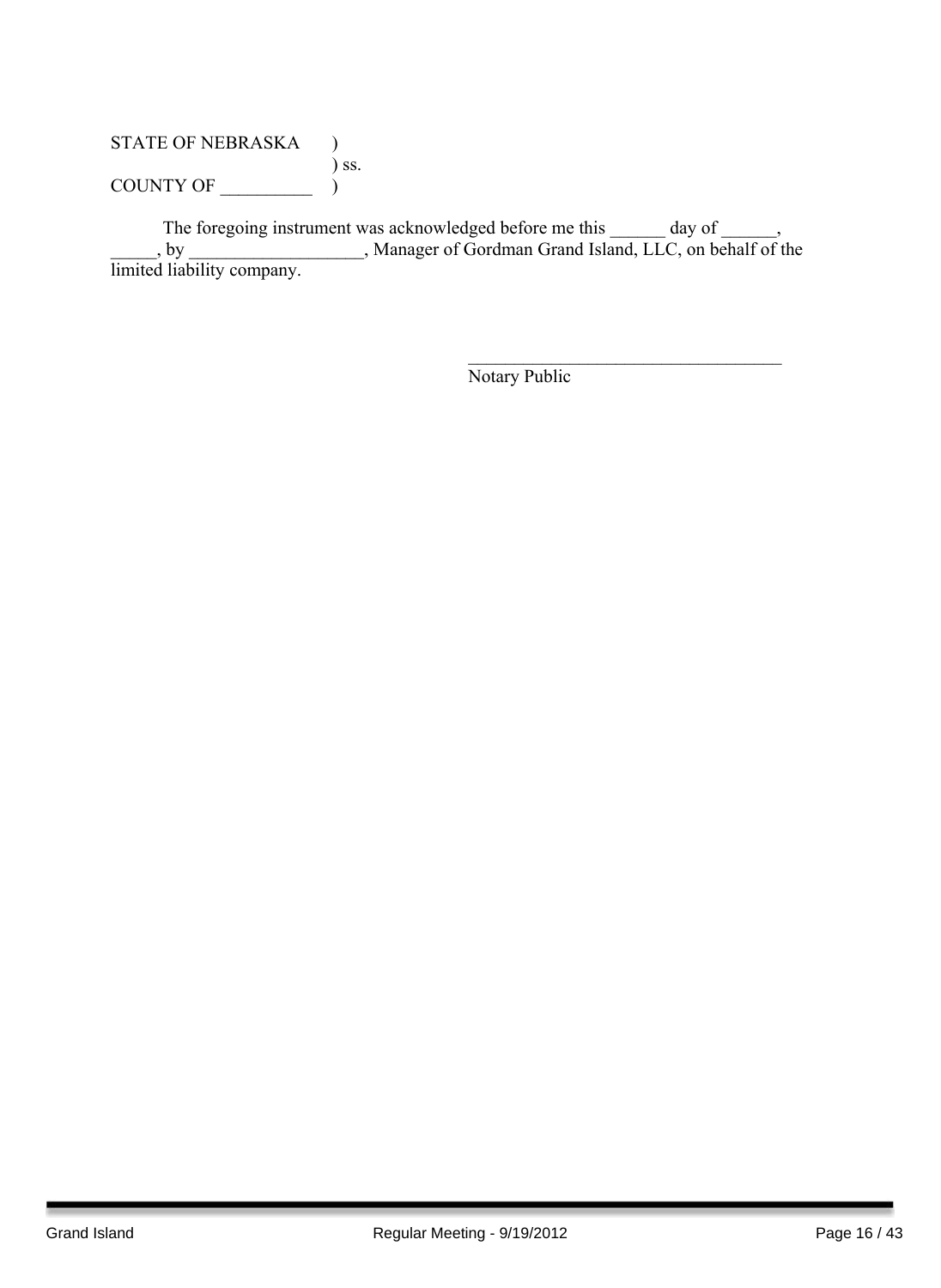## STATE OF NEBRASKA ) ) ss. COUNTY OF  $\_\_\_\_\_\_$

The foregoing instrument was acknowledged before me this \_\_\_\_\_\_ day of \_\_\_\_\_\_, \_\_\_\_\_, by \_\_\_\_\_\_\_\_\_\_\_\_\_\_\_\_\_\_\_, Manager of Gordman Grand Island, LLC, on behalf of the limited liability company.

Notary Public

 $\mathcal{L}_\text{max}$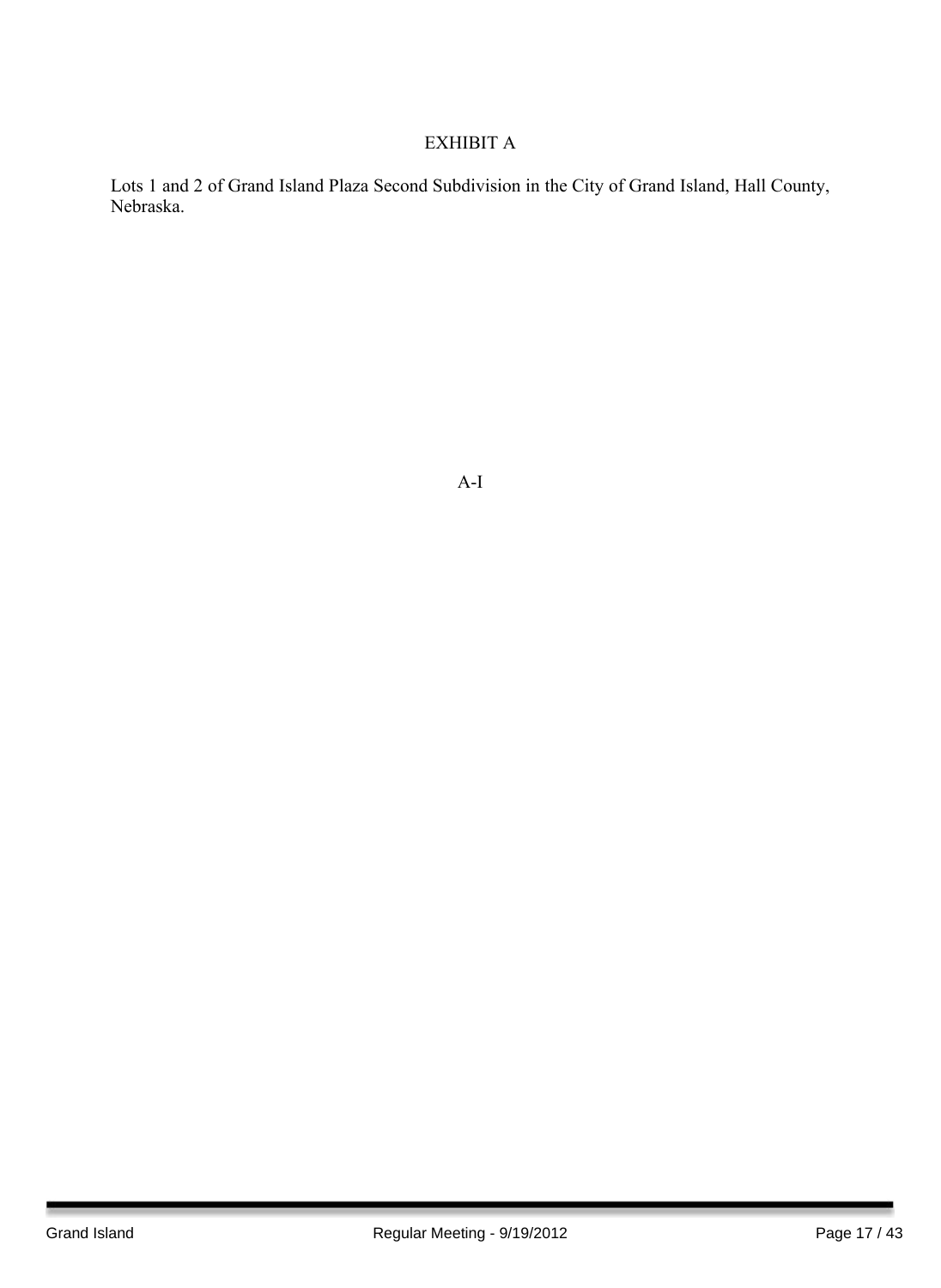## EXHIBIT A

Lots 1 and 2 of Grand Island Plaza Second Subdivision in the City of Grand Island, Hall County, Nebraska.

A-I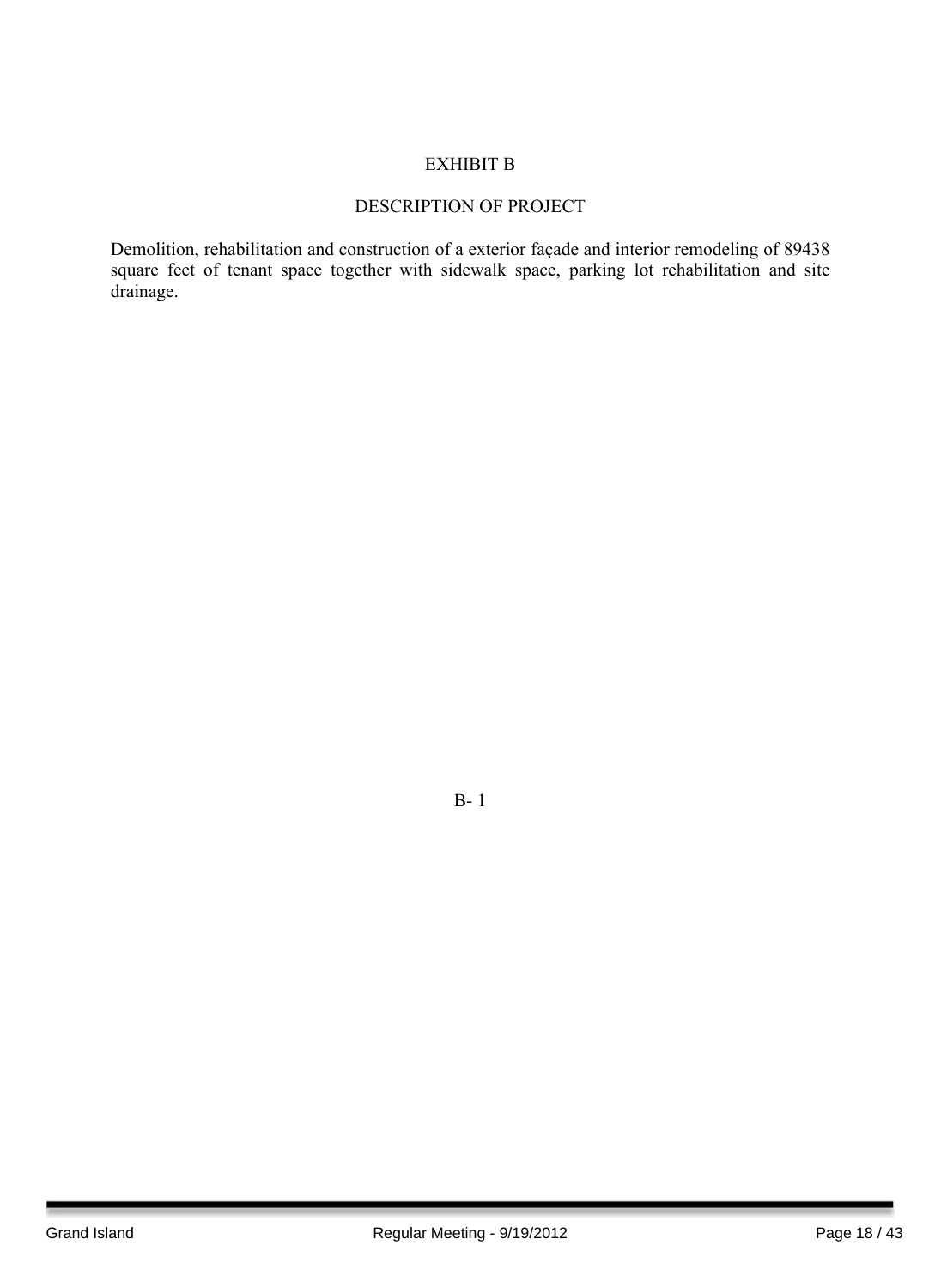#### EXHIBIT B

#### DESCRIPTION OF PROJECT

Demolition, rehabilitation and construction of a exterior façade and interior remodeling of 89438 square feet of tenant space together with sidewalk space, parking lot rehabilitation and site drainage.

B- 1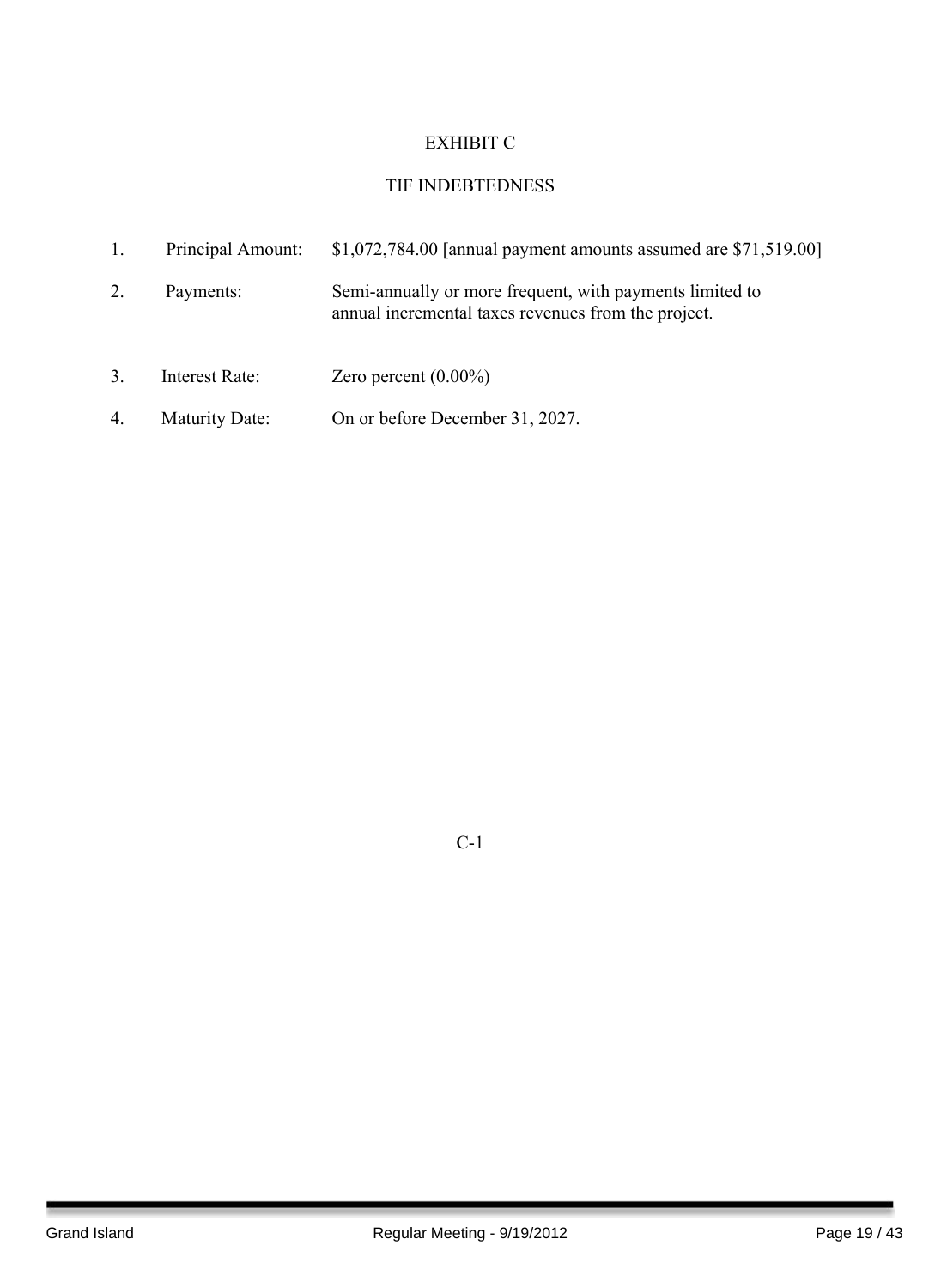## EXHIBIT C

## TIF INDEBTEDNESS

|    | Principal Amount:     | $$1,072,784.00$ [annual payment amounts assumed are $$71,519.00$ ]                                              |
|----|-----------------------|-----------------------------------------------------------------------------------------------------------------|
| 2. | Payments:             | Semi-annually or more frequent, with payments limited to<br>annual incremental taxes revenues from the project. |
| 3. | Interest Rate:        | Zero percent $(0.00\%)$                                                                                         |
| 4. | <b>Maturity Date:</b> | On or before December 31, 2027.                                                                                 |

C-1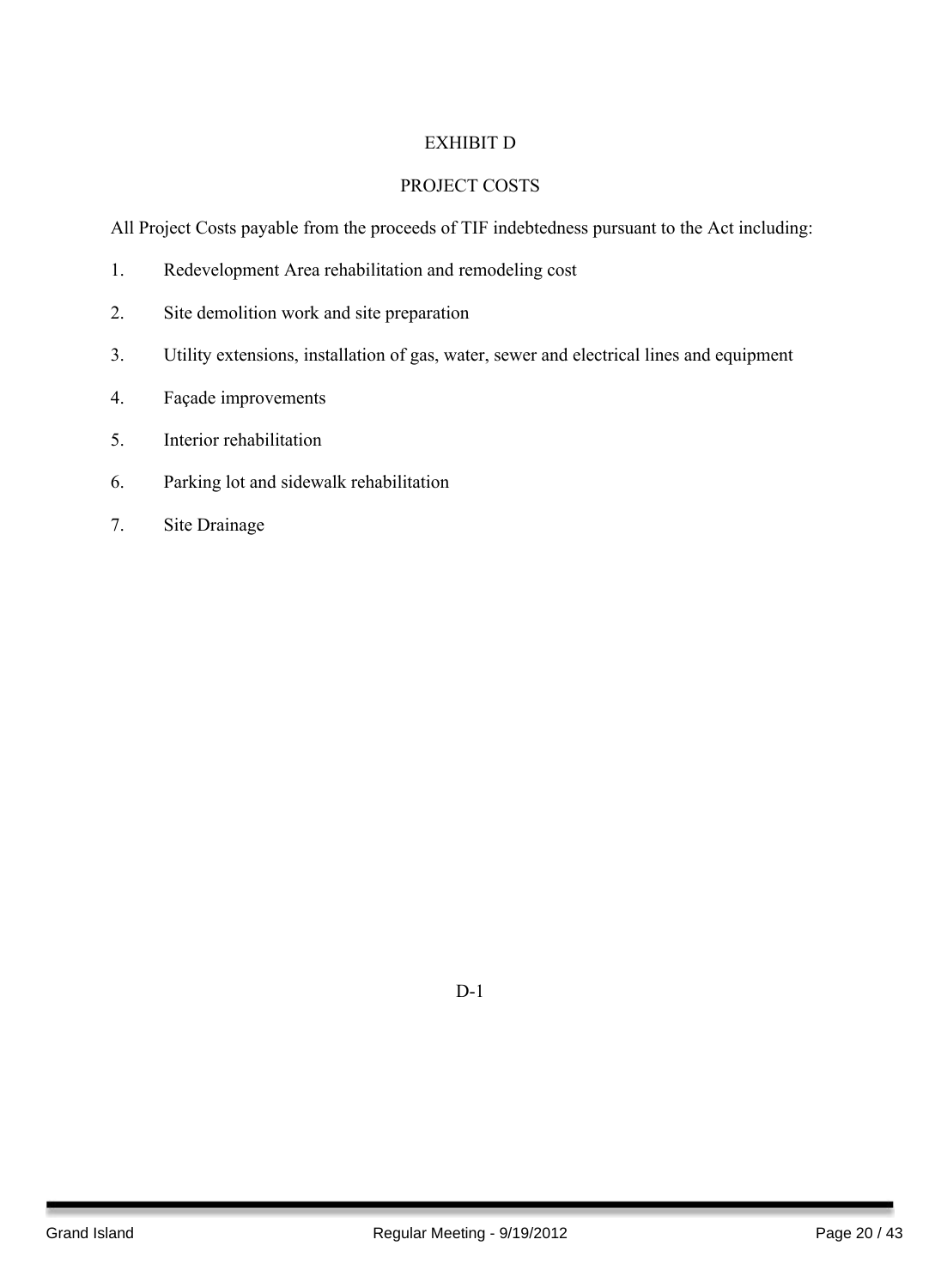### EXHIBIT D

#### PROJECT COSTS

All Project Costs payable from the proceeds of TIF indebtedness pursuant to the Act including:

- 1. Redevelopment Area rehabilitation and remodeling cost
- 2. Site demolition work and site preparation
- 3. Utility extensions, installation of gas, water, sewer and electrical lines and equipment
- 4. Façade improvements
- 5. Interior rehabilitation
- 6. Parking lot and sidewalk rehabilitation
- 7. Site Drainage

D-1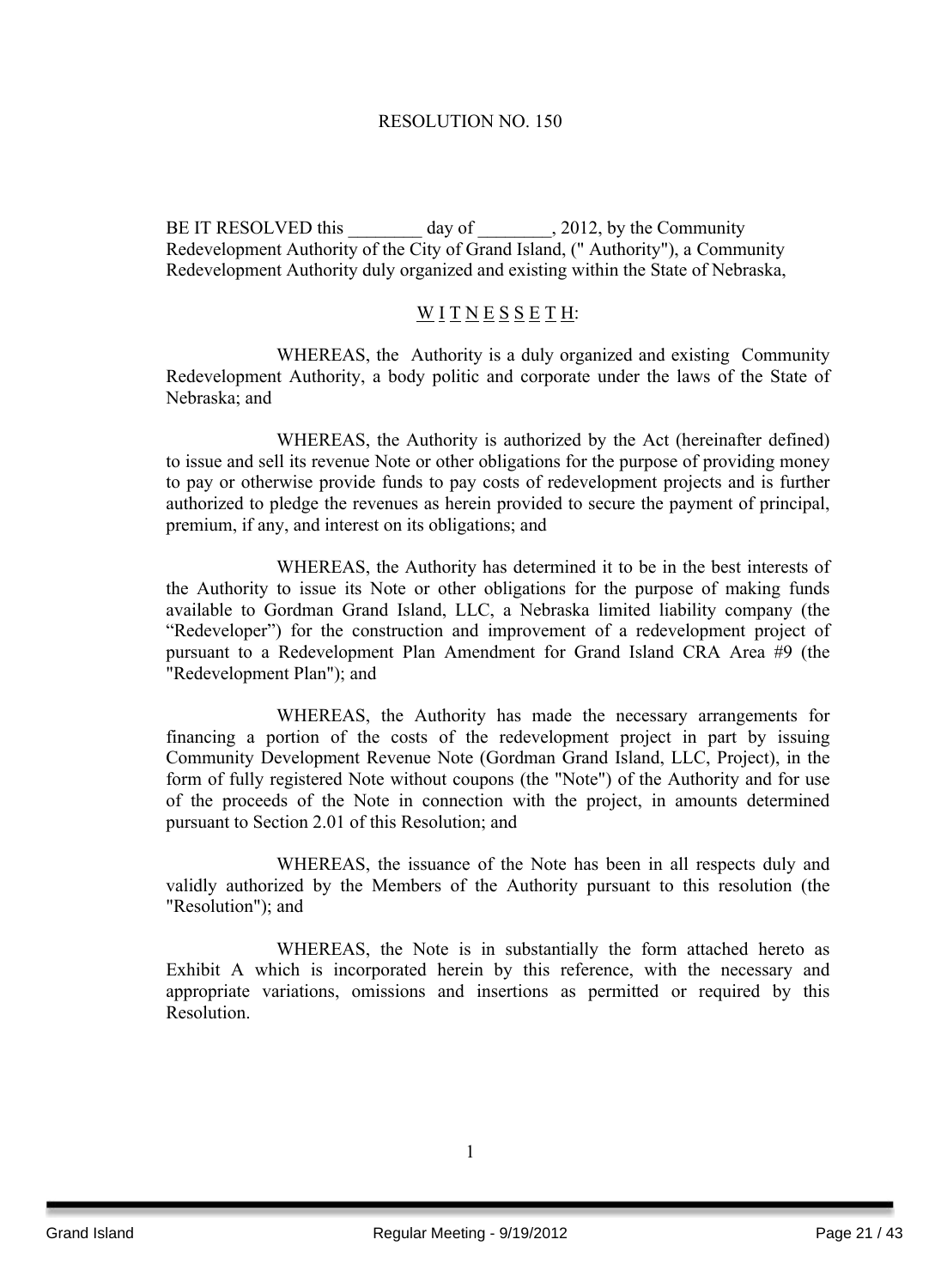#### RESOLUTION NO. 150

BE IT RESOLVED this \_\_\_\_\_\_\_\_ day of \_\_\_\_\_\_\_\_\_, 2012, by the Community Redevelopment Authority of the City of Grand Island, (" Authority"), a Community Redevelopment Authority duly organized and existing within the State of Nebraska,

#### WITNESSETH:

WHEREAS, the Authority is a duly organized and existing Community Redevelopment Authority, a body politic and corporate under the laws of the State of Nebraska; and

WHEREAS, the Authority is authorized by the Act (hereinafter defined) to issue and sell its revenue Note or other obligations for the purpose of providing money to pay or otherwise provide funds to pay costs of redevelopment projects and is further authorized to pledge the revenues as herein provided to secure the payment of principal, premium, if any, and interest on its obligations; and

WHEREAS, the Authority has determined it to be in the best interests of the Authority to issue its Note or other obligations for the purpose of making funds available to Gordman Grand Island, LLC, a Nebraska limited liability company (the "Redeveloper") for the construction and improvement of a redevelopment project of pursuant to a Redevelopment Plan Amendment for Grand Island CRA Area #9 (the "Redevelopment Plan"); and

WHEREAS, the Authority has made the necessary arrangements for financing a portion of the costs of the redevelopment project in part by issuing Community Development Revenue Note (Gordman Grand Island, LLC, Project), in the form of fully registered Note without coupons (the "Note") of the Authority and for use of the proceeds of the Note in connection with the project, in amounts determined pursuant to Section 2.01 of this Resolution; and

WHEREAS, the issuance of the Note has been in all respects duly and validly authorized by the Members of the Authority pursuant to this resolution (the "Resolution"); and

WHEREAS, the Note is in substantially the form attached hereto as Exhibit A which is incorporated herein by this reference, with the necessary and appropriate variations, omissions and insertions as permitted or required by this Resolution.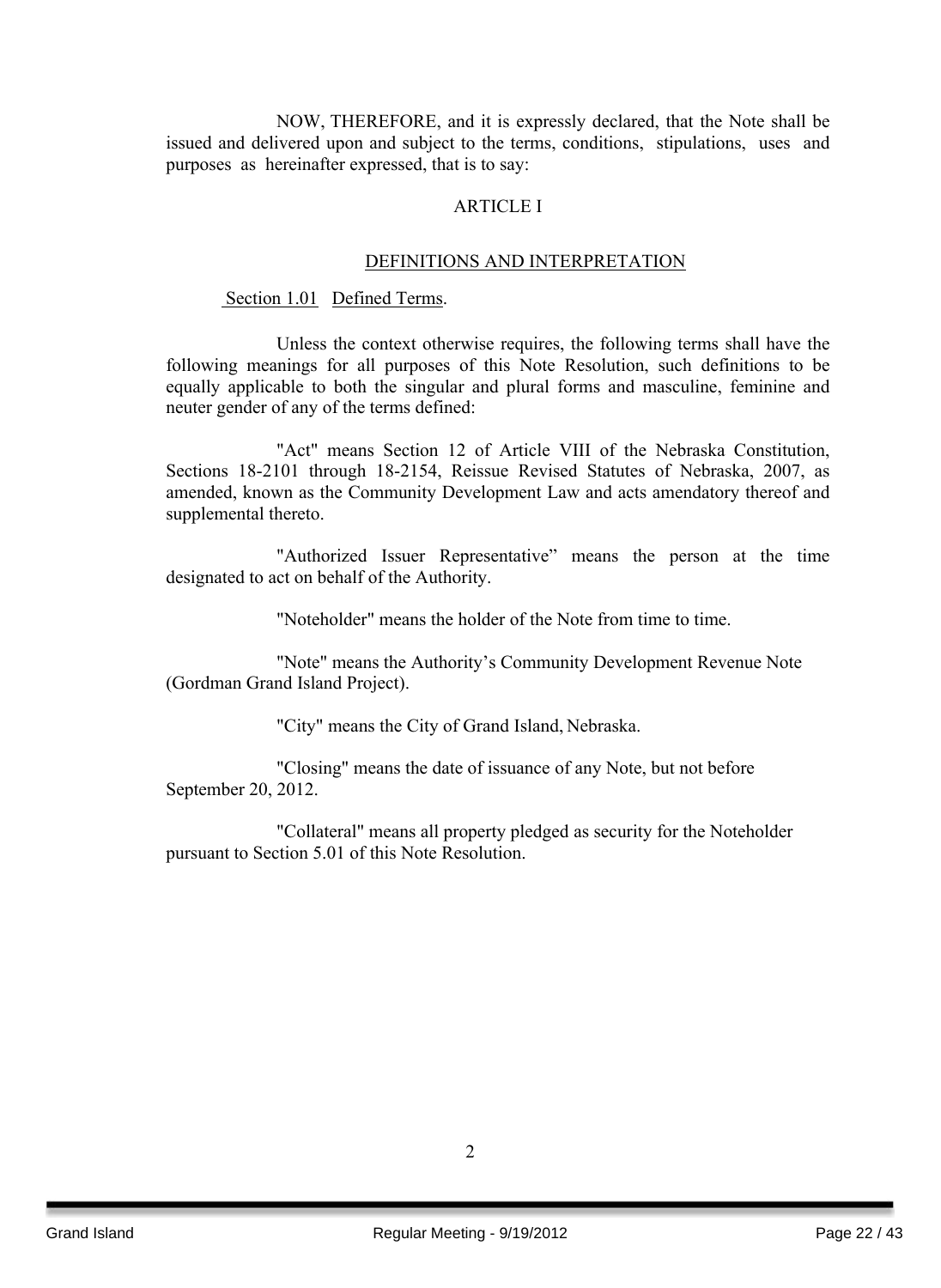NOW, THEREFORE, and it is expressly declared, that the Note shall be issued and delivered upon and subject to the terms, conditions, stipulations, uses and purposes as hereinafter expressed, that is to say:

#### ARTICLE I

#### DEFINITIONS AND INTERPRETATION

#### Section 1.01 Defined Terms.

Unless the context otherwise requires, the following terms shall have the following meanings for all purposes of this Note Resolution, such definitions to be equally applicable to both the singular and plural forms and masculine, feminine and neuter gender of any of the terms defined:

"Act" means Section 12 of Article VIII of the Nebraska Constitution, Sections 18-2101 through 18-2154, Reissue Revised Statutes of Nebraska, 2007, as amended, known as the Community Development Law and acts amendatory thereof and supplemental thereto.

"Authorized Issuer Representative" means the person at the time designated to act on behalf of the Authority.

"Noteholder" means the holder of the Note from time to time.

"Note" means the Authority's Community Development Revenue Note (Gordman Grand Island Project).

"City" means the City of Grand Island, Nebraska.

"Closing" means the date of issuance of any Note, but not before September 20, 2012.

"Collateral" means all property pledged as security for the Noteholder pursuant to Section 5.01 of this Note Resolution.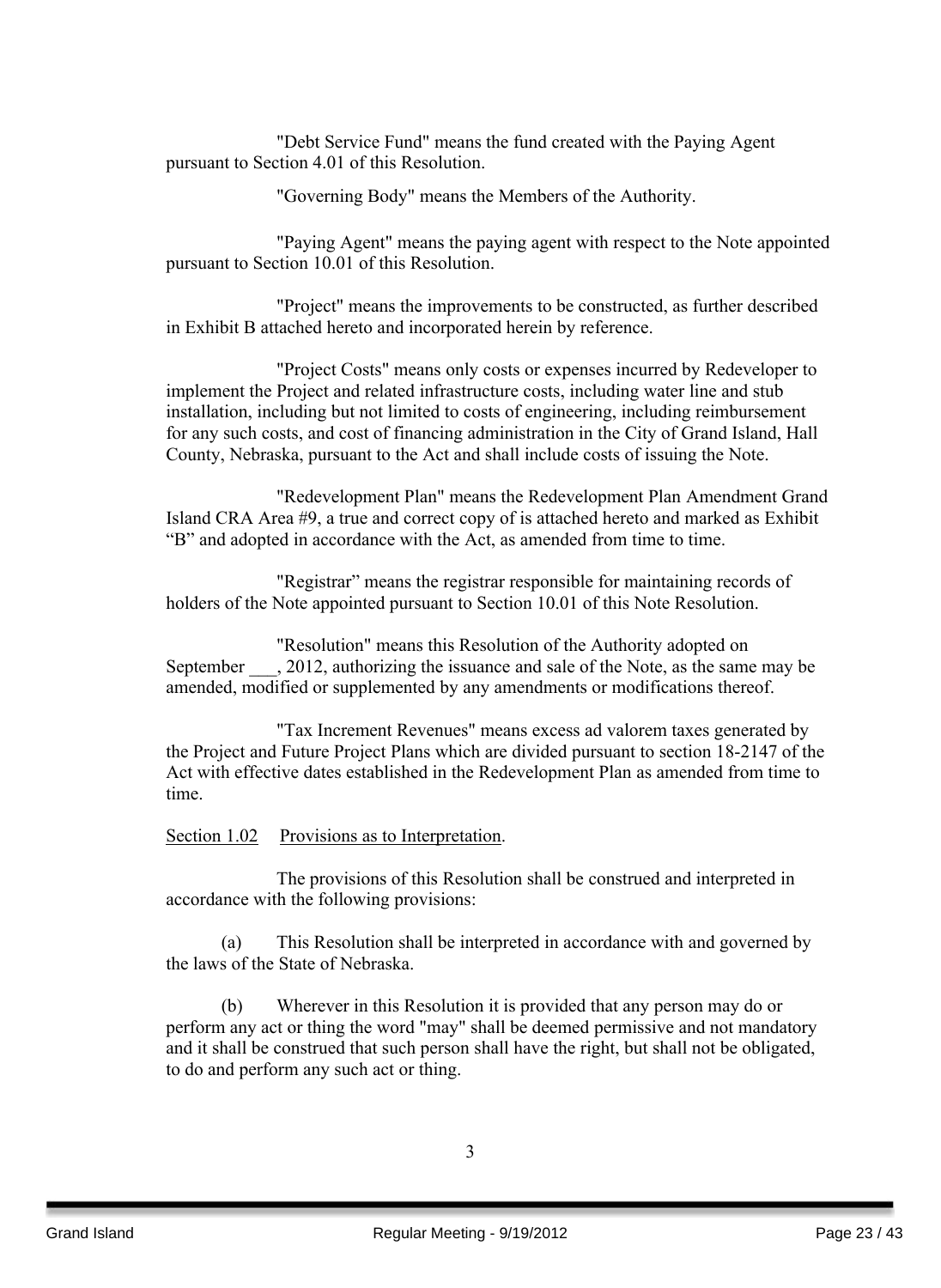"Debt Service Fund" means the fund created with the Paying Agent pursuant to Section 4.01 of this Resolution.

"Governing Body" means the Members of the Authority.

"Paying Agent" means the paying agent with respect to the Note appointed pursuant to Section 10.01 of this Resolution.

"Project" means the improvements to be constructed, as further described in Exhibit B attached hereto and incorporated herein by reference.

"Project Costs" means only costs or expenses incurred by Redeveloper to implement the Project and related infrastructure costs, including water line and stub installation, including but not limited to costs of engineering, including reimbursement for any such costs, and cost of financing administration in the City of Grand Island, Hall County, Nebraska, pursuant to the Act and shall include costs of issuing the Note.

"Redevelopment Plan" means the Redevelopment Plan Amendment Grand Island CRA Area #9, a true and correct copy of is attached hereto and marked as Exhibit "B" and adopted in accordance with the Act, as amended from time to time.

"Registrar" means the registrar responsible for maintaining records of holders of the Note appointed pursuant to Section 10.01 of this Note Resolution.

"Resolution" means this Resolution of the Authority adopted on September  $\qquad$ , 2012, authorizing the issuance and sale of the Note, as the same may be amended, modified or supplemented by any amendments or modifications thereof.

"Tax Increment Revenues" means excess ad valorem taxes generated by the Project and Future Project Plans which are divided pursuant to section 18-2147 of the Act with effective dates established in the Redevelopment Plan as amended from time to time.

#### Section 1.02 Provisions as to Interpretation.

The provisions of this Resolution shall be construed and interpreted in accordance with the following provisions:

(a) This Resolution shall be interpreted in accordance with and governed by the laws of the State of Nebraska.

(b) Wherever in this Resolution it is provided that any person may do or perform any act or thing the word "may" shall be deemed permissive and not mandatory and it shall be construed that such person shall have the right, but shall not be obligated, to do and perform any such act or thing.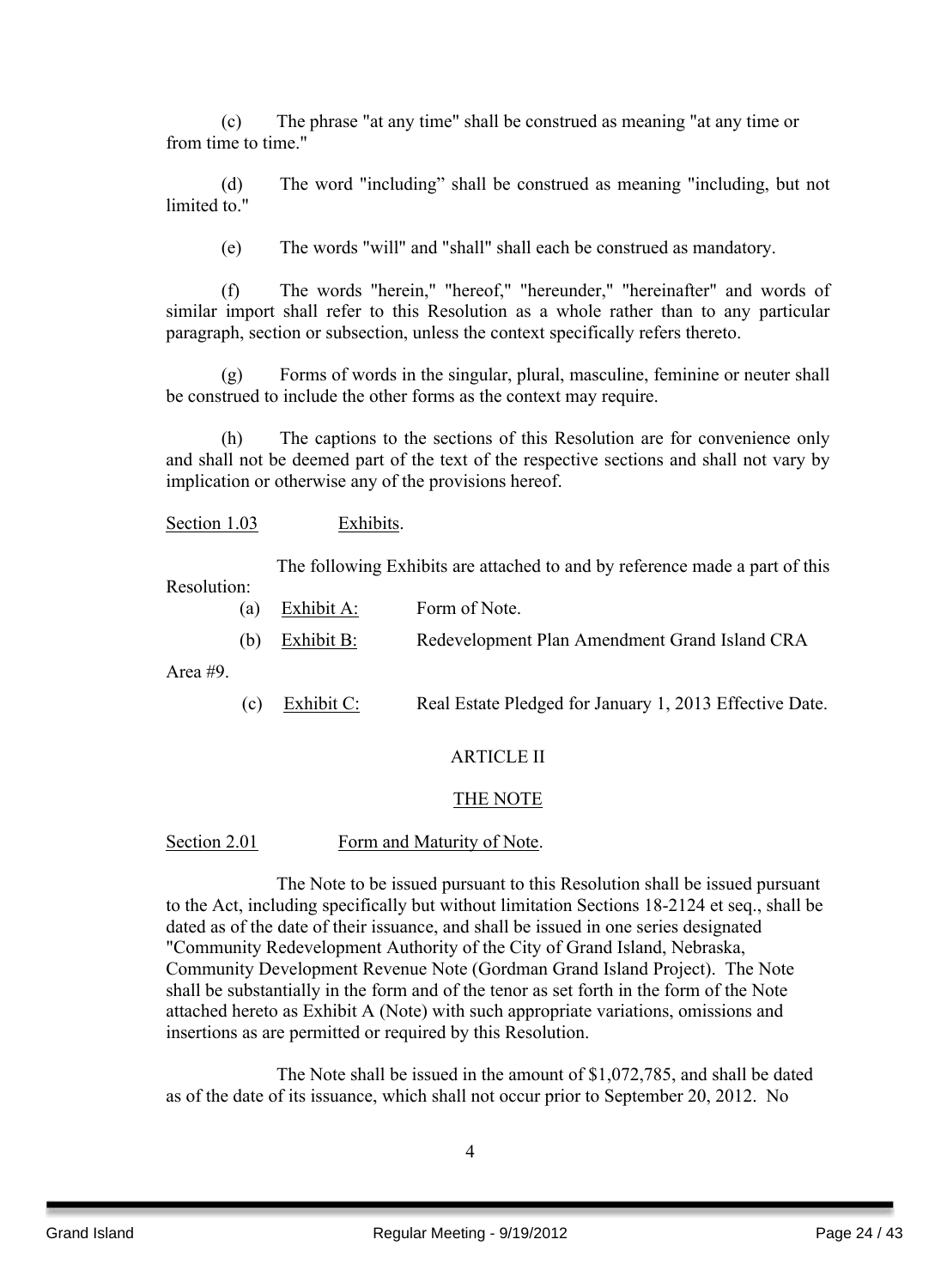(c) The phrase "at any time" shall be construed as meaning "at any time or from time to time."

(d) The word "including" shall be construed as meaning "including, but not limited to "

(e) The words "will" and "shall" shall each be construed as mandatory.

(f) The words "herein," "hereof," "hereunder," "hereinafter" and words of similar import shall refer to this Resolution as a whole rather than to any particular paragraph, section or subsection, unless the context specifically refers thereto.

(g) Forms of words in the singular, plural, masculine, feminine or neuter shall be construed to include the other forms as the context may require.

(h) The captions to the sections of this Resolution are for convenience only and shall not be deemed part of the text of the respective sections and shall not vary by implication or otherwise any of the provisions hereof.

Section 1.03 Exhibits.

The following Exhibits are attached to and by reference made a part of this

Resolution:

- (a) Exhibit A: Form of Note.
- (b) Exhibit B: Redevelopment Plan Amendment Grand Island CRA

Area #9.

(c) Exhibit C: Real Estate Pledged for January 1, 2013 Effective Date.

#### ARTICLE II

#### THE NOTE

#### Section 2.01 Form and Maturity of Note.

The Note to be issued pursuant to this Resolution shall be issued pursuant to the Act, including specifically but without limitation Sections 18-2124 et seq., shall be dated as of the date of their issuance, and shall be issued in one series designated "Community Redevelopment Authority of the City of Grand Island, Nebraska, Community Development Revenue Note (Gordman Grand Island Project). The Note shall be substantially in the form and of the tenor as set forth in the form of the Note attached hereto as Exhibit A (Note) with such appropriate variations, omissions and insertions as are permitted or required by this Resolution.

The Note shall be issued in the amount of \$1,072,785, and shall be dated as of the date of its issuance, which shall not occur prior to September 20, 2012. No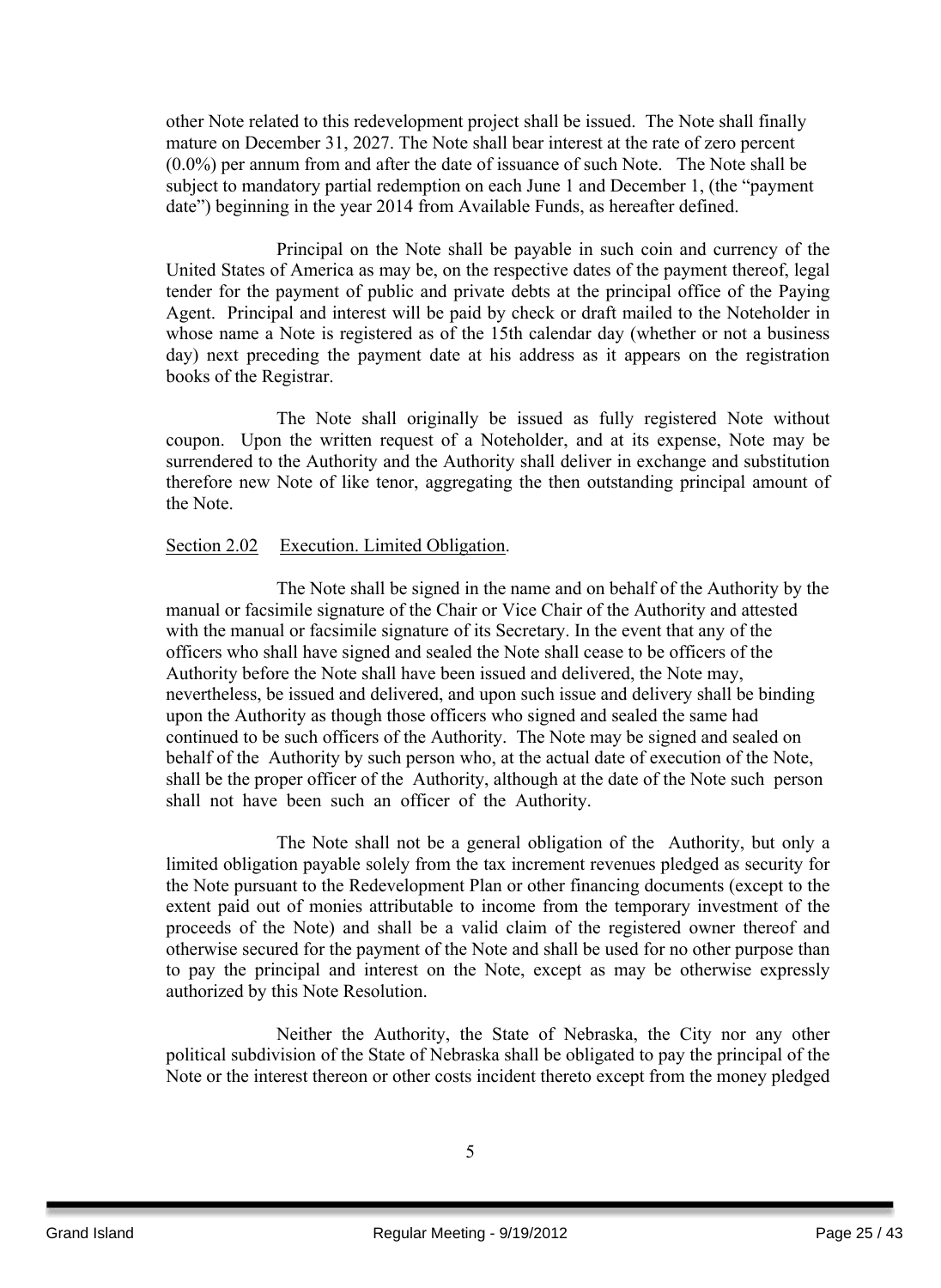other Note related to this redevelopment project shall be issued. The Note shall finally mature on December 31, 2027. The Note shall bear interest at the rate of zero percent (0.0%) per annum from and after the date of issuance of such Note. The Note shall be subject to mandatory partial redemption on each June 1 and December 1, (the "payment date") beginning in the year 2014 from Available Funds, as hereafter defined.

Principal on the Note shall be payable in such coin and currency of the United States of America as may be, on the respective dates of the payment thereof, legal tender for the payment of public and private debts at the principal office of the Paying Agent. Principal and interest will be paid by check or draft mailed to the Noteholder in whose name a Note is registered as of the 15th calendar day (whether or not a business day) next preceding the payment date at his address as it appears on the registration books of the Registrar.

The Note shall originally be issued as fully registered Note without coupon. Upon the written request of a Noteholder, and at its expense, Note may be surrendered to the Authority and the Authority shall deliver in exchange and substitution therefore new Note of like tenor, aggregating the then outstanding principal amount of the Note.

#### Section 2.02 Execution. Limited Obligation.

The Note shall be signed in the name and on behalf of the Authority by the manual or facsimile signature of the Chair or Vice Chair of the Authority and attested with the manual or facsimile signature of its Secretary. In the event that any of the officers who shall have signed and sealed the Note shall cease to be officers of the Authority before the Note shall have been issued and delivered, the Note may, nevertheless, be issued and delivered, and upon such issue and delivery shall be binding upon the Authority as though those officers who signed and sealed the same had continued to be such officers of the Authority. The Note may be signed and sealed on behalf of the Authority by such person who, at the actual date of execution of the Note, shall be the proper officer of the Authority, although at the date of the Note such person shall not have been such an officer of the Authority.

The Note shall not be a general obligation of the Authority, but only a limited obligation payable solely from the tax increment revenues pledged as security for the Note pursuant to the Redevelopment Plan or other financing documents (except to the extent paid out of monies attributable to income from the temporary investment of the proceeds of the Note) and shall be a valid claim of the registered owner thereof and otherwise secured for the payment of the Note and shall be used for no other purpose than to pay the principal and interest on the Note, except as may be otherwise expressly authorized by this Note Resolution.

Neither the Authority, the State of Nebraska, the City nor any other political subdivision of the State of Nebraska shall be obligated to pay the principal of the Note or the interest thereon or other costs incident thereto except from the money pledged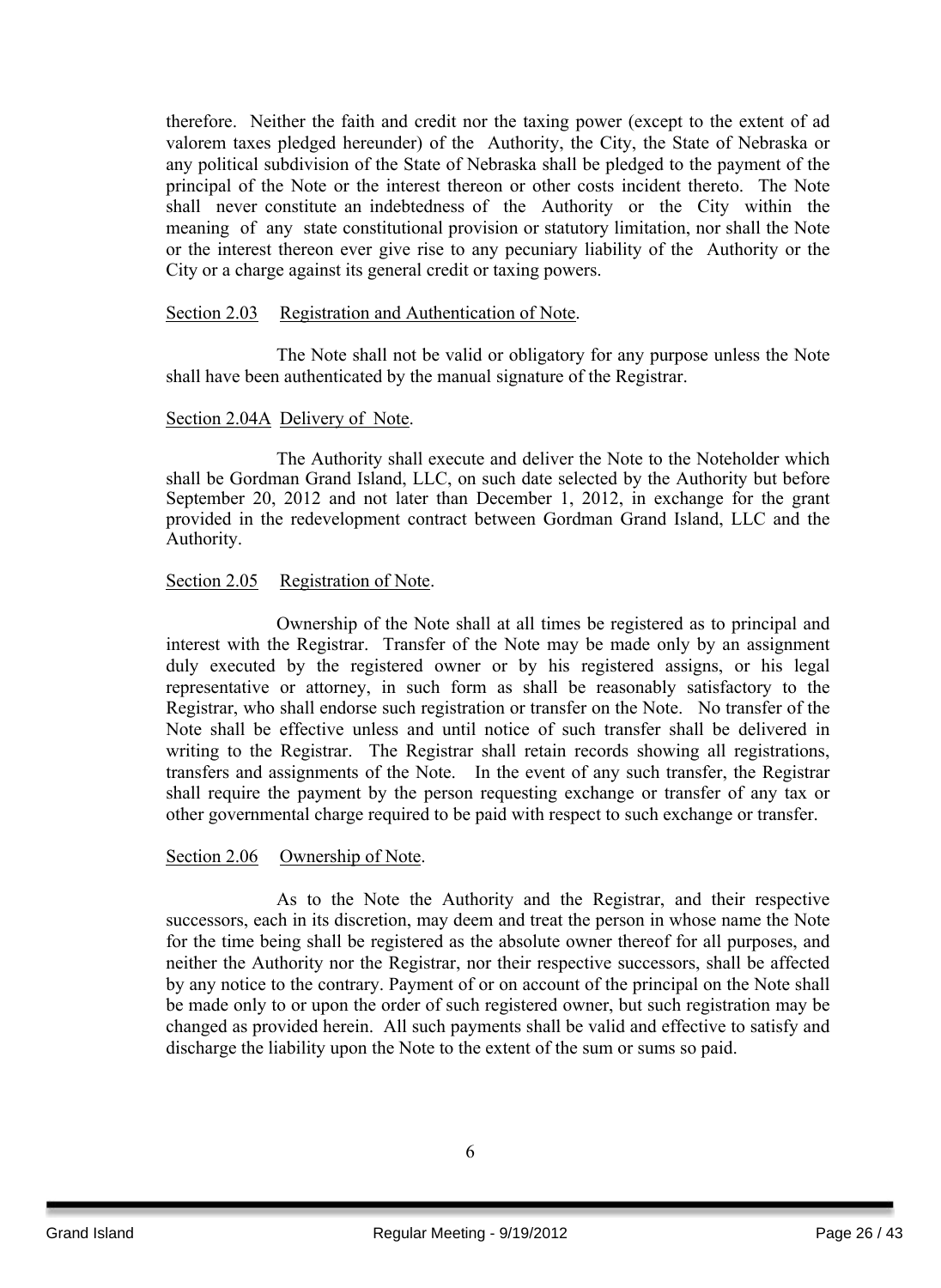therefore. Neither the faith and credit nor the taxing power (except to the extent of ad valorem taxes pledged hereunder) of the Authority, the City, the State of Nebraska or any political subdivision of the State of Nebraska shall be pledged to the payment of the principal of the Note or the interest thereon or other costs incident thereto. The Note shall never constitute an indebtedness of the Authority or the City within the meaning of any state constitutional provision or statutory limitation, nor shall the Note or the interest thereon ever give rise to any pecuniary liability of the Authority or the City or a charge against its general credit or taxing powers.

#### Section 2.03 Registration and Authentication of Note.

The Note shall not be valid or obligatory for any purpose unless the Note shall have been authenticated by the manual signature of the Registrar.

#### Section 2.04A Delivery of Note.

The Authority shall execute and deliver the Note to the Noteholder which shall be Gordman Grand Island, LLC, on such date selected by the Authority but before September 20, 2012 and not later than December 1, 2012, in exchange for the grant provided in the redevelopment contract between Gordman Grand Island, LLC and the Authority.

#### Section 2.05 Registration of Note.

Ownership of the Note shall at all times be registered as to principal and interest with the Registrar. Transfer of the Note may be made only by an assignment duly executed by the registered owner or by his registered assigns, or his legal representative or attorney, in such form as shall be reasonably satisfactory to the Registrar, who shall endorse such registration or transfer on the Note. No transfer of the Note shall be effective unless and until notice of such transfer shall be delivered in writing to the Registrar. The Registrar shall retain records showing all registrations, transfers and assignments of the Note. In the event of any such transfer, the Registrar shall require the payment by the person requesting exchange or transfer of any tax or other governmental charge required to be paid with respect to such exchange or transfer.

#### Section 2.06 Ownership of Note.

As to the Note the Authority and the Registrar, and their respective successors, each in its discretion, may deem and treat the person in whose name the Note for the time being shall be registered as the absolute owner thereof for all purposes, and neither the Authority nor the Registrar, nor their respective successors, shall be affected by any notice to the contrary. Payment of or on account of the principal on the Note shall be made only to or upon the order of such registered owner, but such registration may be changed as provided herein. All such payments shall be valid and effective to satisfy and discharge the liability upon the Note to the extent of the sum or sums so paid.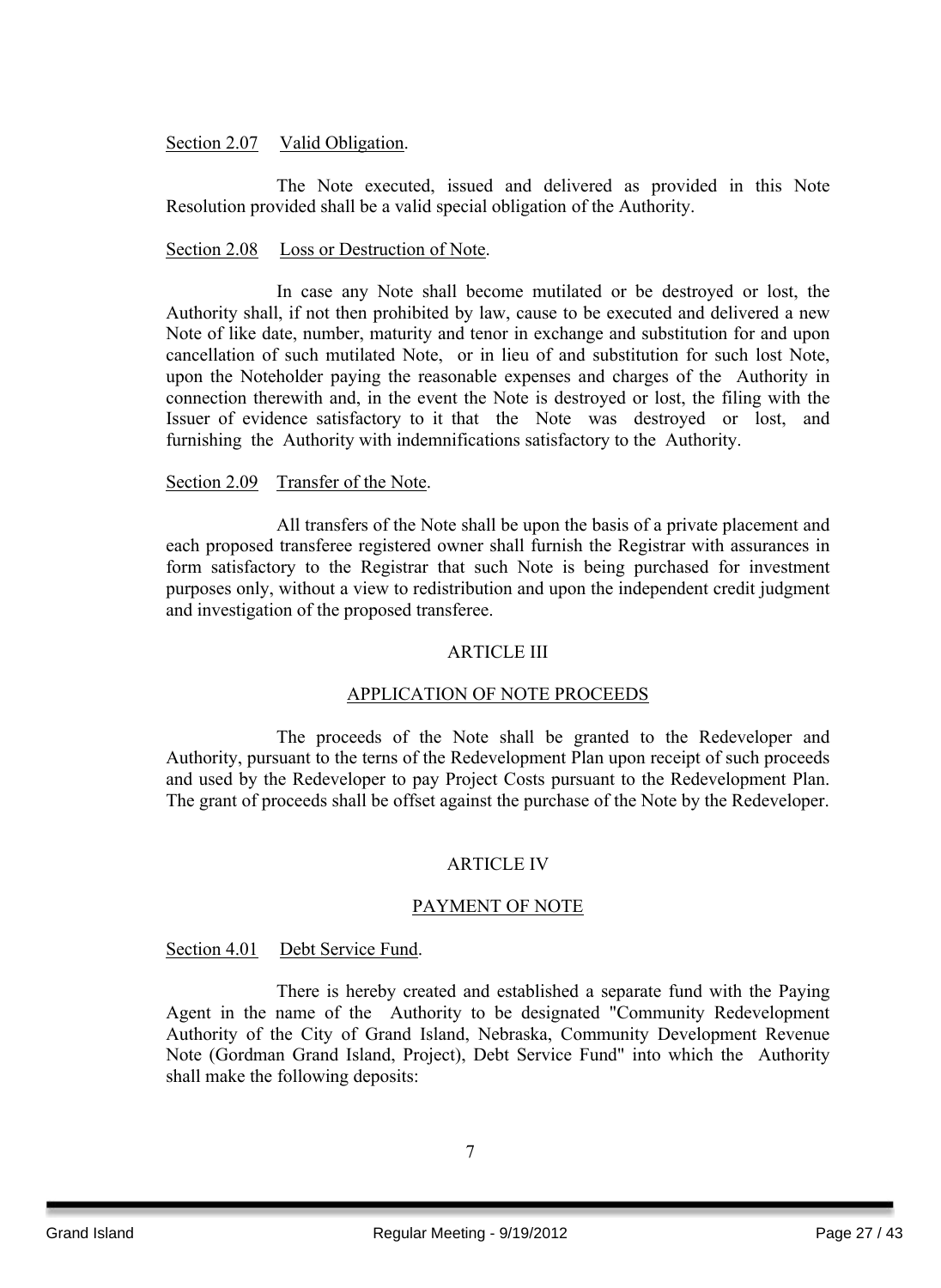#### Section 2.07 Valid Obligation.

The Note executed, issued and delivered as provided in this Note Resolution provided shall be a valid special obligation of the Authority.

#### Section 2.08 Loss or Destruction of Note.

In case any Note shall become mutilated or be destroyed or lost, the Authority shall, if not then prohibited by law, cause to be executed and delivered a new Note of like date, number, maturity and tenor in exchange and substitution for and upon cancellation of such mutilated Note, or in lieu of and substitution for such lost Note, upon the Noteholder paying the reasonable expenses and charges of the Authority in connection therewith and, in the event the Note is destroyed or lost, the filing with the Issuer of evidence satisfactory to it that the Note was destroyed or lost, and furnishing the Authority with indemnifications satisfactory to the Authority.

#### Section 2.09 Transfer of the Note.

All transfers of the Note shall be upon the basis of a private placement and each proposed transferee registered owner shall furnish the Registrar with assurances in form satisfactory to the Registrar that such Note is being purchased for investment purposes only, without a view to redistribution and upon the independent credit judgment and investigation of the proposed transferee.

#### ARTICLE III

#### APPLICATION OF NOTE PROCEEDS

The proceeds of the Note shall be granted to the Redeveloper and Authority, pursuant to the terns of the Redevelopment Plan upon receipt of such proceeds and used by the Redeveloper to pay Project Costs pursuant to the Redevelopment Plan. The grant of proceeds shall be offset against the purchase of the Note by the Redeveloper.

#### ARTICLE IV

#### PAYMENT OF NOTE

#### Section 4.01 Debt Service Fund.

There is hereby created and established a separate fund with the Paying Agent in the name of the Authority to be designated "Community Redevelopment Authority of the City of Grand Island, Nebraska, Community Development Revenue Note (Gordman Grand Island, Project), Debt Service Fund" into which the Authority shall make the following deposits: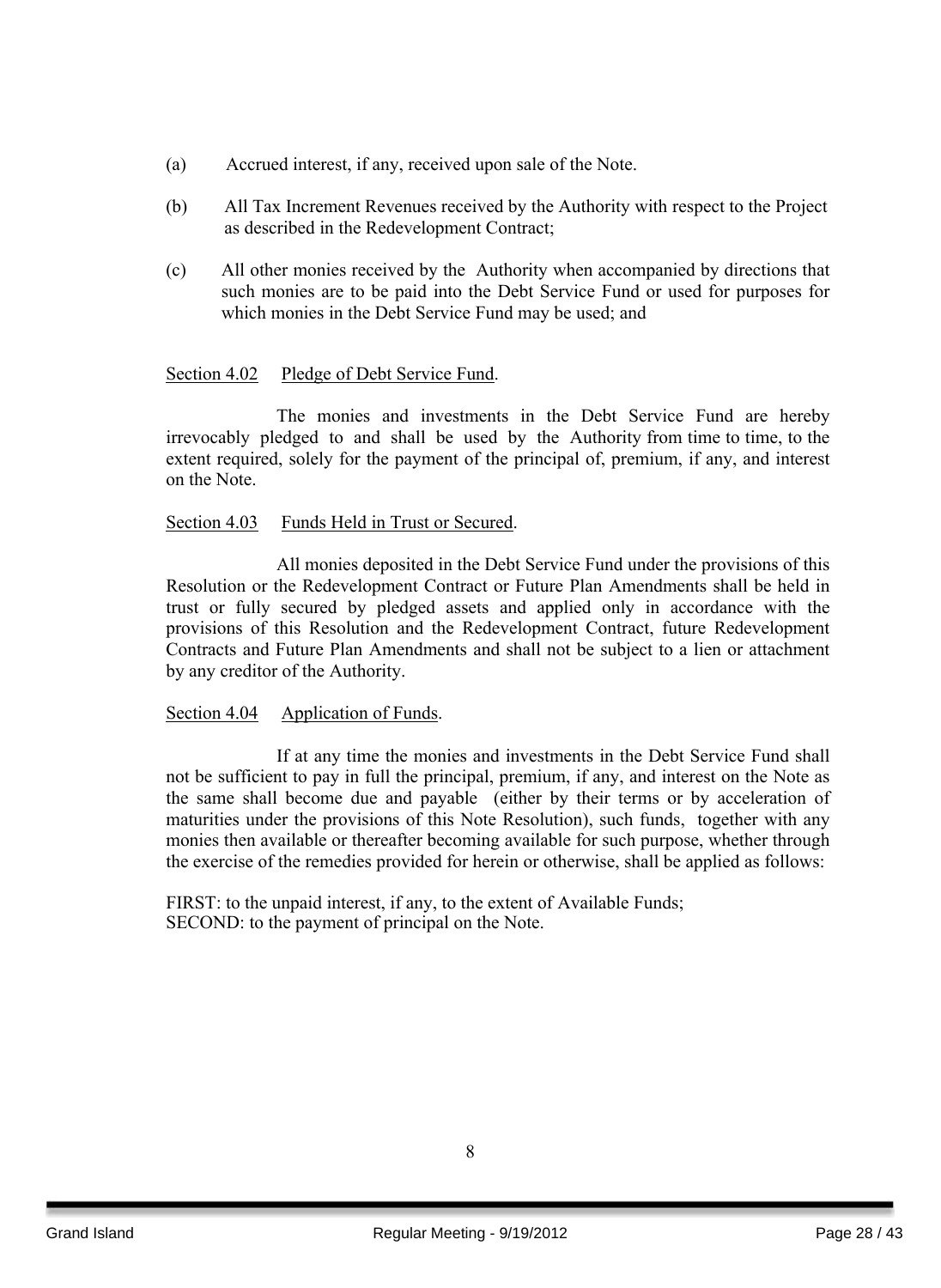- (a) Accrued interest, if any, received upon sale of the Note.
- (b) All Tax Increment Revenues received by the Authority with respect to the Project as described in the Redevelopment Contract;
- (c) All other monies received by the Authority when accompanied by directions that such monies are to be paid into the Debt Service Fund or used for purposes for which monies in the Debt Service Fund may be used; and

#### Section 4.02 Pledge of Debt Service Fund.

The monies and investments in the Debt Service Fund are hereby irrevocably pledged to and shall be used by the Authority from time to time, to the extent required, solely for the payment of the principal of, premium, if any, and interest on the Note.

#### Section 4.03 Funds Held in Trust or Secured.

All monies deposited in the Debt Service Fund under the provisions of this Resolution or the Redevelopment Contract or Future Plan Amendments shall be held in trust or fully secured by pledged assets and applied only in accordance with the provisions of this Resolution and the Redevelopment Contract, future Redevelopment Contracts and Future Plan Amendments and shall not be subject to a lien or attachment by any creditor of the Authority.

#### Section 4.04 Application of Funds.

If at any time the monies and investments in the Debt Service Fund shall not be sufficient to pay in full the principal, premium, if any, and interest on the Note as the same shall become due and payable (either by their terms or by acceleration of maturities under the provisions of this Note Resolution), such funds, together with any monies then available or thereafter becoming available for such purpose, whether through the exercise of the remedies provided for herein or otherwise, shall be applied as follows:

FIRST: to the unpaid interest, if any, to the extent of Available Funds; SECOND: to the payment of principal on the Note.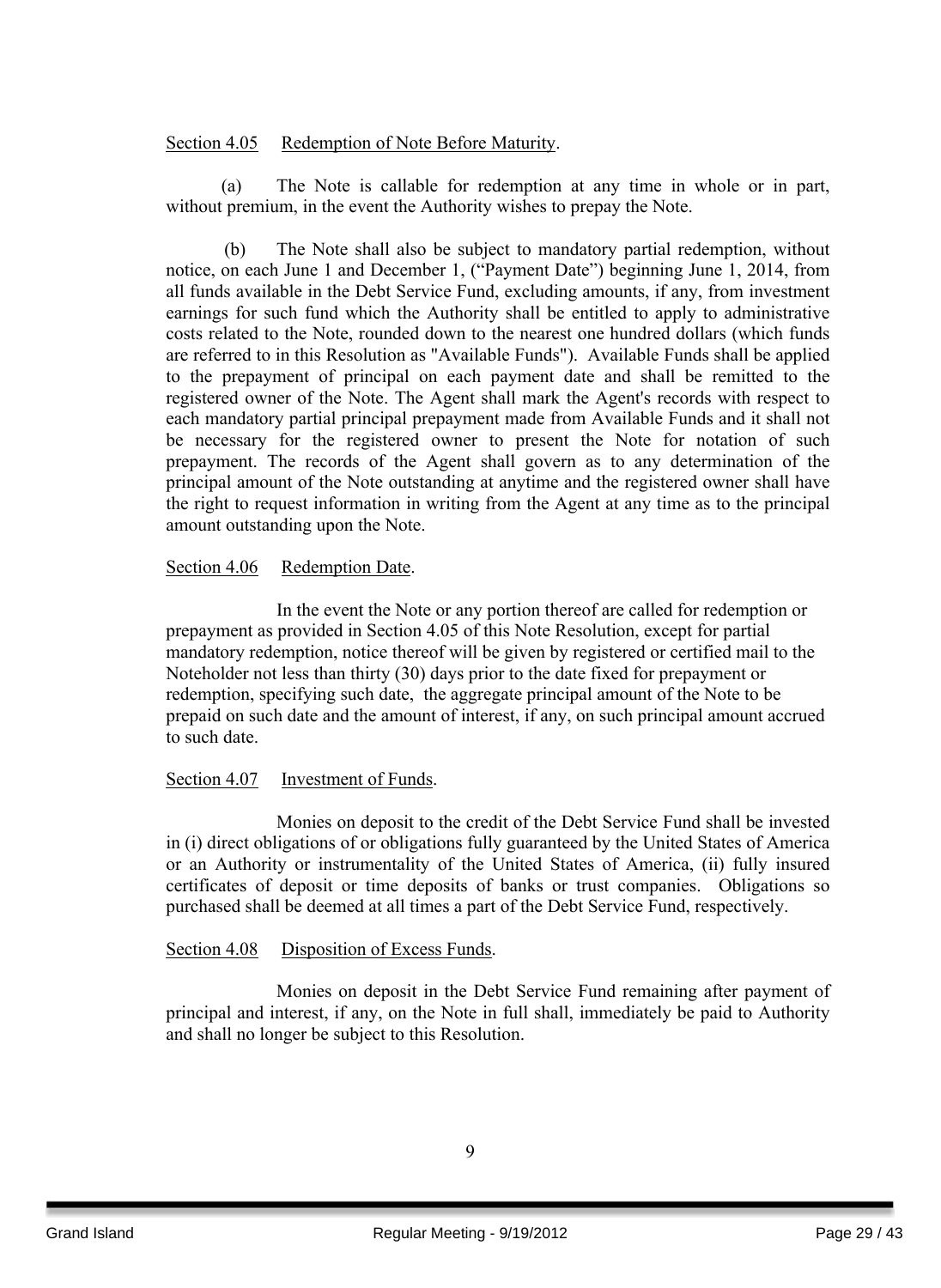#### Section 4.05 Redemption of Note Before Maturity.

(a) The Note is callable for redemption at any time in whole or in part, without premium, in the event the Authority wishes to prepay the Note.

(b) The Note shall also be subject to mandatory partial redemption, without notice, on each June 1 and December 1, ("Payment Date") beginning June 1, 2014, from all funds available in the Debt Service Fund, excluding amounts, if any, from investment earnings for such fund which the Authority shall be entitled to apply to administrative costs related to the Note, rounded down to the nearest one hundred dollars (which funds are referred to in this Resolution as "Available Funds"). Available Funds shall be applied to the prepayment of principal on each payment date and shall be remitted to the registered owner of the Note. The Agent shall mark the Agent's records with respect to each mandatory partial principal prepayment made from Available Funds and it shall not be necessary for the registered owner to present the Note for notation of such prepayment. The records of the Agent shall govern as to any determination of the principal amount of the Note outstanding at anytime and the registered owner shall have the right to request information in writing from the Agent at any time as to the principal amount outstanding upon the Note.

#### Section 4.06 Redemption Date.

In the event the Note or any portion thereof are called for redemption or prepayment as provided in Section 4.05 of this Note Resolution, except for partial mandatory redemption, notice thereof will be given by registered or certified mail to the Noteholder not less than thirty (30) days prior to the date fixed for prepayment or redemption, specifying such date, the aggregate principal amount of the Note to be prepaid on such date and the amount of interest, if any, on such principal amount accrued to such date.

#### Section 4.07 Investment of Funds.

Monies on deposit to the credit of the Debt Service Fund shall be invested in (i) direct obligations of or obligations fully guaranteed by the United States of America or an Authority or instrumentality of the United States of America, (ii) fully insured certificates of deposit or time deposits of banks or trust companies. Obligations so purchased shall be deemed at all times a part of the Debt Service Fund, respectively.

#### Section 4.08 Disposition of Excess Funds.

Monies on deposit in the Debt Service Fund remaining after payment of principal and interest, if any, on the Note in full shall, immediately be paid to Authority and shall no longer be subject to this Resolution.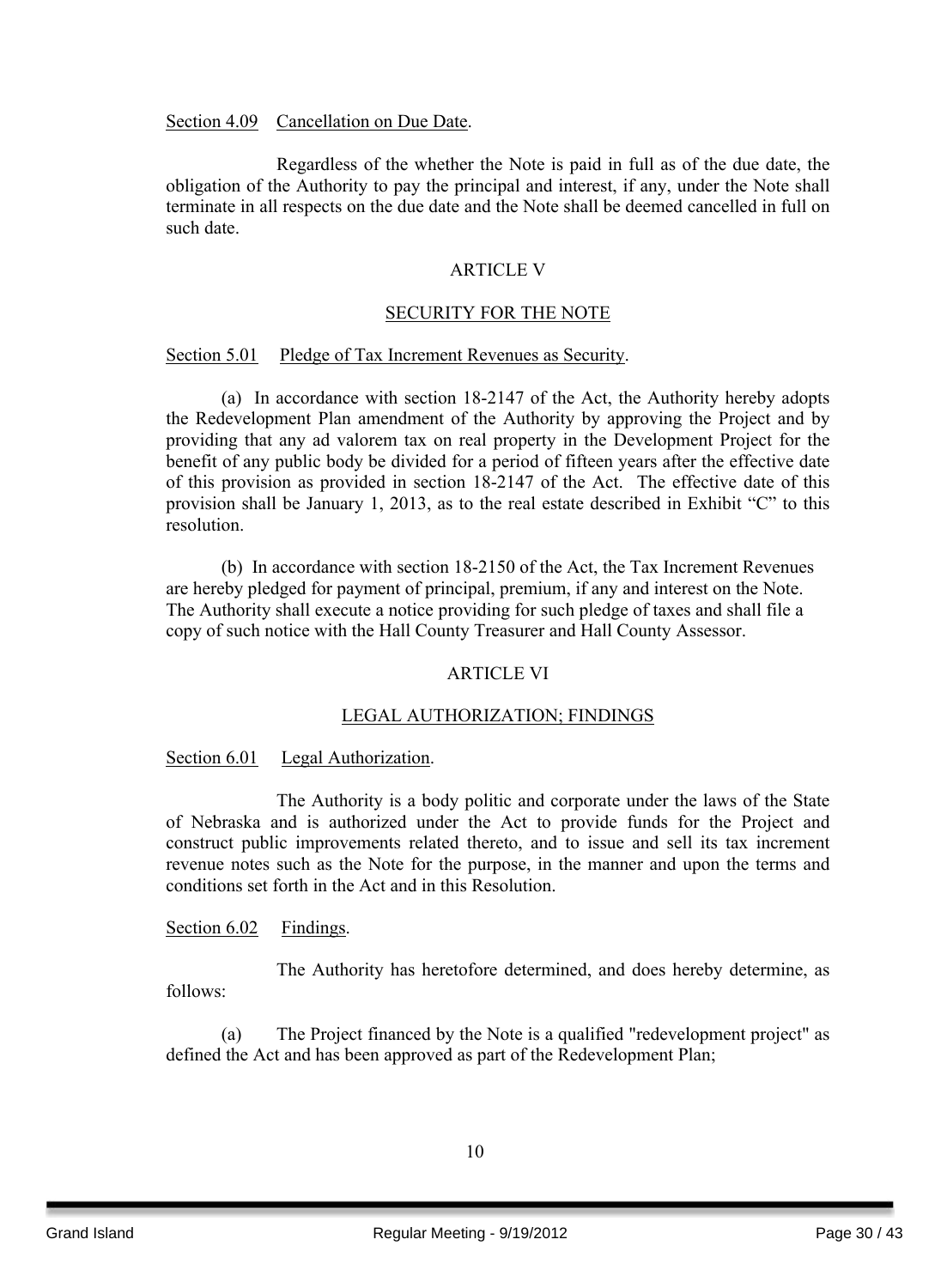Section 4.09 Cancellation on Due Date.

Regardless of the whether the Note is paid in full as of the due date, the obligation of the Authority to pay the principal and interest, if any, under the Note shall terminate in all respects on the due date and the Note shall be deemed cancelled in full on such date.

#### ARTICLE V

#### SECURITY FOR THE NOTE

#### Section 5.01 Pledge of Tax Increment Revenues as Security.

(a) In accordance with section 18-2147 of the Act, the Authority hereby adopts the Redevelopment Plan amendment of the Authority by approving the Project and by providing that any ad valorem tax on real property in the Development Project for the benefit of any public body be divided for a period of fifteen years after the effective date of this provision as provided in section 18-2147 of the Act. The effective date of this provision shall be January 1, 2013, as to the real estate described in Exhibit "C" to this resolution.

(b) In accordance with section 18-2150 of the Act, the Tax Increment Revenues are hereby pledged for payment of principal, premium, if any and interest on the Note. The Authority shall execute a notice providing for such pledge of taxes and shall file a copy of such notice with the Hall County Treasurer and Hall County Assessor.

#### ARTICLE VI

#### LEGAL AUTHORIZATION; FINDINGS

#### Section 6.01 Legal Authorization.

The Authority is a body politic and corporate under the laws of the State of Nebraska and is authorized under the Act to provide funds for the Project and construct public improvements related thereto, and to issue and sell its tax increment revenue notes such as the Note for the purpose, in the manner and upon the terms and conditions set forth in the Act and in this Resolution.

#### Section 6.02 Findings.

The Authority has heretofore determined, and does hereby determine, as follows:

(a) The Project financed by the Note is a qualified "redevelopment project" as defined the Act and has been approved as part of the Redevelopment Plan;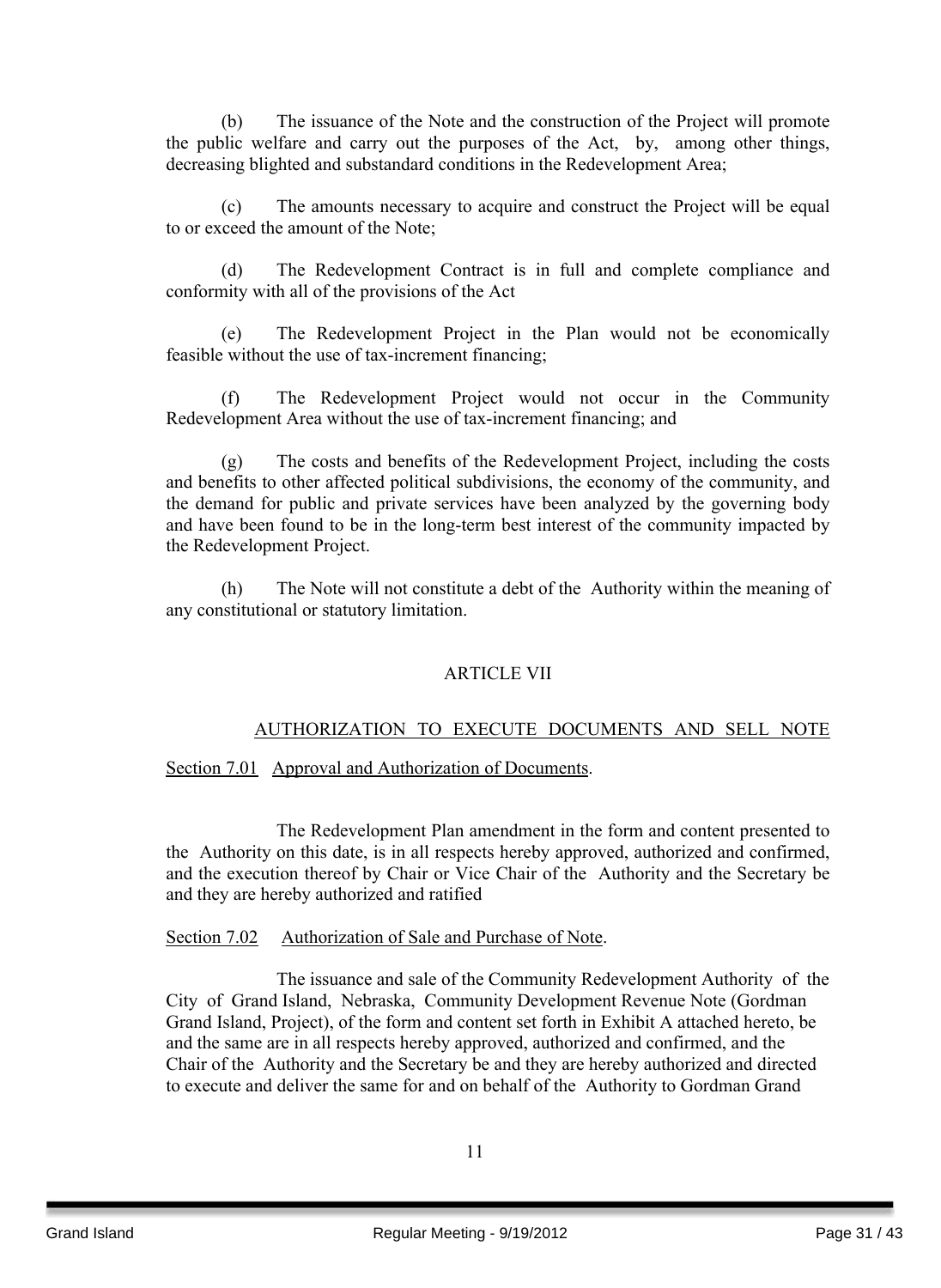(b) The issuance of the Note and the construction of the Project will promote the public welfare and carry out the purposes of the Act, by, among other things, decreasing blighted and substandard conditions in the Redevelopment Area;

(c) The amounts necessary to acquire and construct the Project will be equal to or exceed the amount of the Note;

(d) The Redevelopment Contract is in full and complete compliance and conformity with all of the provisions of the Act

(e) The Redevelopment Project in the Plan would not be economically feasible without the use of tax-increment financing;

(f) The Redevelopment Project would not occur in the Community Redevelopment Area without the use of tax-increment financing; and

(g) The costs and benefits of the Redevelopment Project, including the costs and benefits to other affected political subdivisions, the economy of the community, and the demand for public and private services have been analyzed by the governing body and have been found to be in the long-term best interest of the community impacted by the Redevelopment Project.

(h) The Note will not constitute a debt of the Authority within the meaning of any constitutional or statutory limitation.

#### ARTICLE VII

#### AUTHORIZATION TO EXECUTE DOCUMENTS AND SELL NOTE

Section 7.01 Approval and Authorization of Documents.

The Redevelopment Plan amendment in the form and content presented to the Authority on this date, is in all respects hereby approved, authorized and confirmed, and the execution thereof by Chair or Vice Chair of the Authority and the Secretary be and they are hereby authorized and ratified

#### Section 7.02 Authorization of Sale and Purchase of Note.

The issuance and sale of the Community Redevelopment Authority of the City of Grand Island, Nebraska, Community Development Revenue Note (Gordman Grand Island, Project), of the form and content set forth in Exhibit A attached hereto, be and the same are in all respects hereby approved, authorized and confirmed, and the Chair of the Authority and the Secretary be and they are hereby authorized and directed to execute and deliver the same for and on behalf of the Authority to Gordman Grand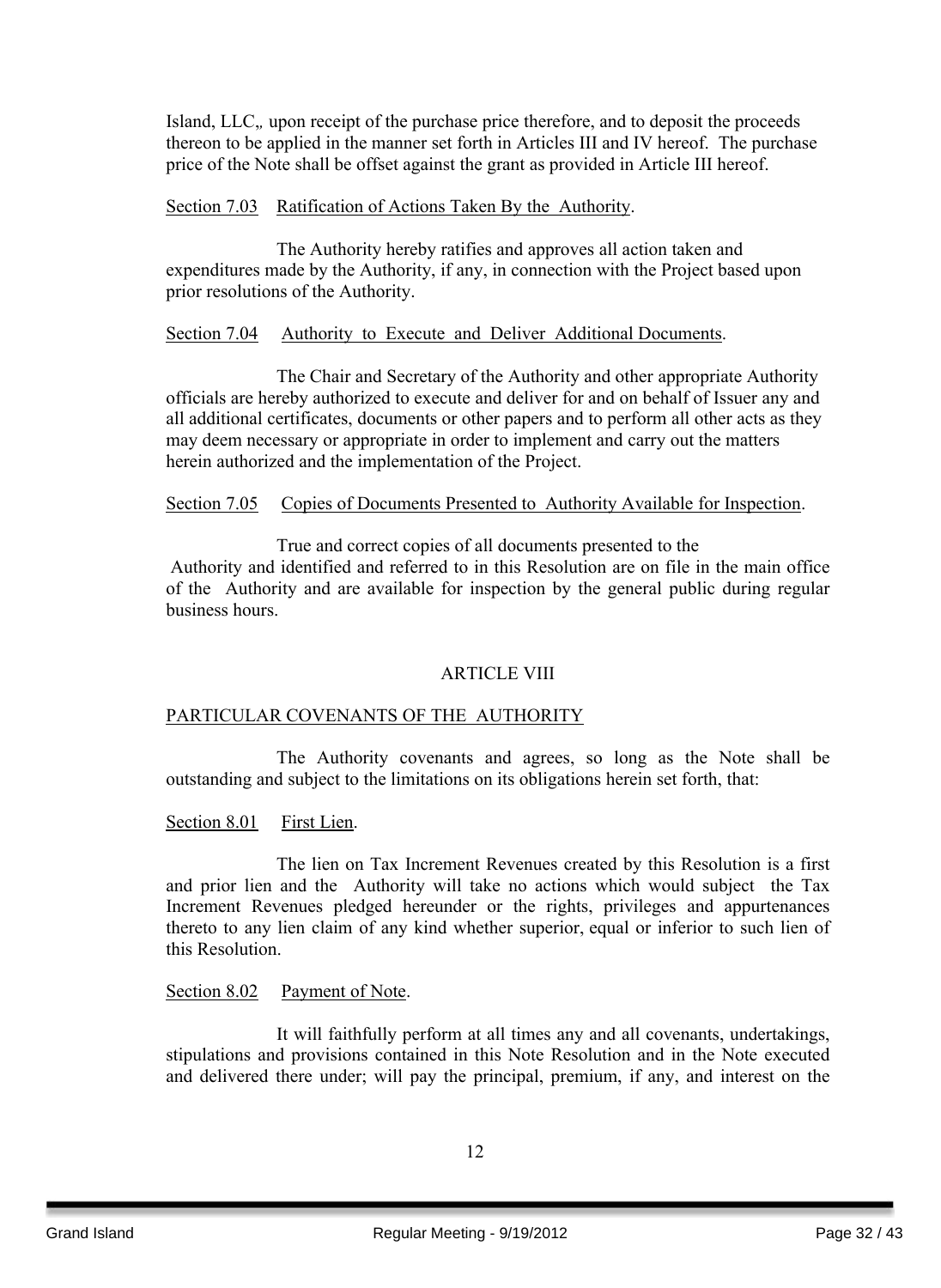Island, LLC,*,* upon receipt of the purchase price therefore, and to deposit the proceeds thereon to be applied in the manner set forth in Articles III and IV hereof. The purchase price of the Note shall be offset against the grant as provided in Article III hereof.

#### Section 7.03 Ratification of Actions Taken By the Authority.

The Authority hereby ratifies and approves all action taken and expenditures made by the Authority, if any, in connection with the Project based upon prior resolutions of the Authority.

#### Section 7.04 Authority to Execute and Deliver Additional Documents.

The Chair and Secretary of the Authority and other appropriate Authority officials are hereby authorized to execute and deliver for and on behalf of Issuer any and all additional certificates, documents or other papers and to perform all other acts as they may deem necessary or appropriate in order to implement and carry out the matters herein authorized and the implementation of the Project.

#### Section 7.05 Copies of Documents Presented to Authority Available for Inspection.

True and correct copies of all documents presented to the Authority and identified and referred to in this Resolution are on file in the main office of the Authority and are available for inspection by the general public during regular business hours.

#### ARTICLE VIII

#### PARTICULAR COVENANTS OF THE AUTHORITY

The Authority covenants and agrees, so long as the Note shall be outstanding and subject to the limitations on its obligations herein set forth, that:

Section 8.01 First Lien.

The lien on Tax Increment Revenues created by this Resolution is a first and prior lien and the Authority will take no actions which would subject the Tax Increment Revenues pledged hereunder or the rights, privileges and appurtenances thereto to any lien claim of any kind whether superior, equal or inferior to such lien of this Resolution.

#### Section 8.02 Payment of Note.

It will faithfully perform at all times any and all covenants, undertakings, stipulations and provisions contained in this Note Resolution and in the Note executed and delivered there under; will pay the principal, premium, if any, and interest on the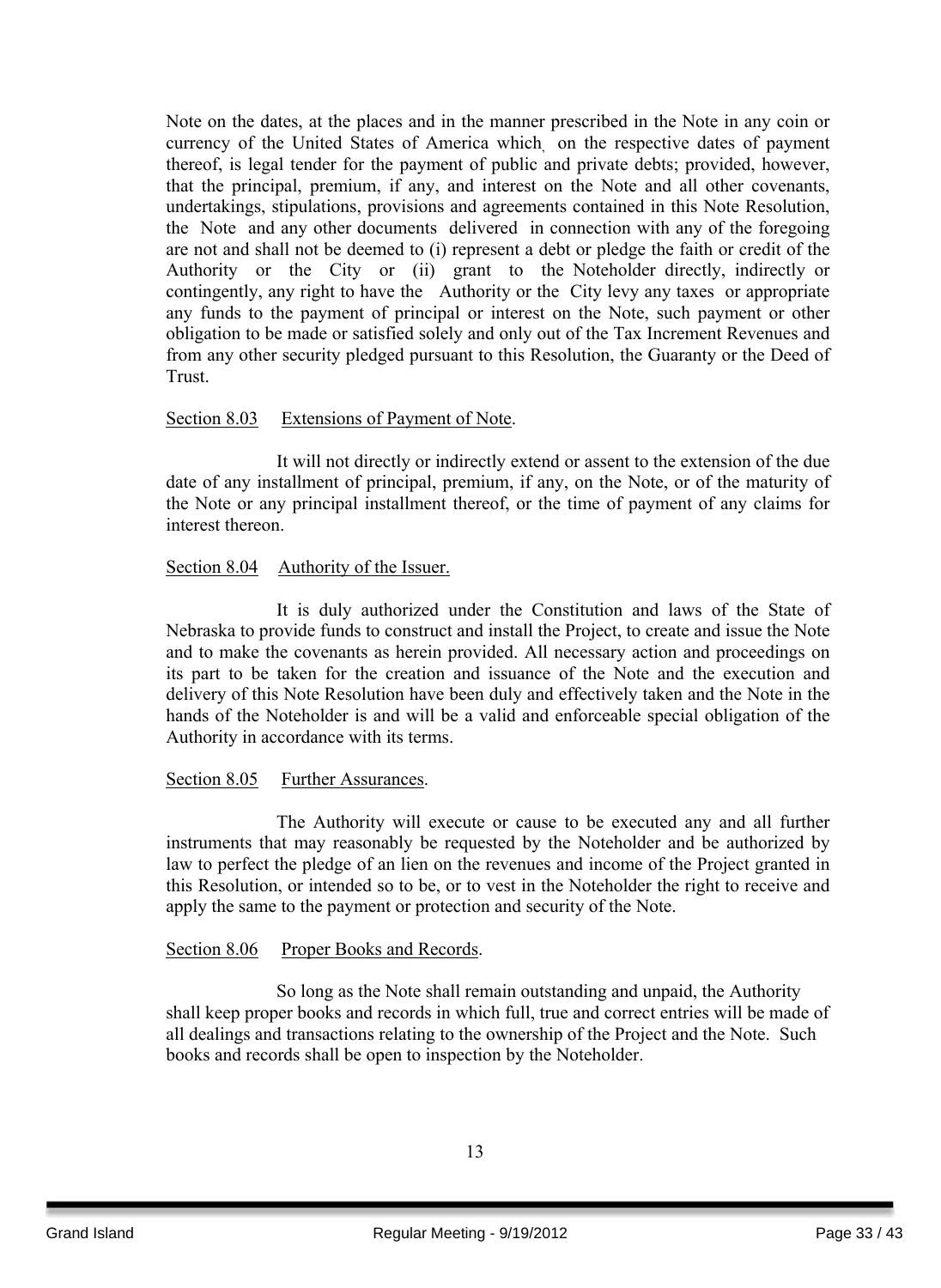Note on the dates, at the places and in the manner prescribed in the Note in any coin or currency of the United States of America which, on the respective dates of payment thereof, is legal tender for the payment of public and private debts; provided, however, that the principal, premium, if any, and interest on the Note and all other covenants, undertakings, stipulations, provisions and agreements contained in this Note Resolution, the Note and any other documents delivered in connection with any of the foregoing are not and shall not be deemed to (i) represent a debt or pledge the faith or credit of the Authority or the City or (ii) grant to the Noteholder directly, indirectly or contingently, any right to have the Authority or the City levy any taxes or appropriate any funds to the payment of principal or interest on the Note, such payment or other obligation to be made or satisfied solely and only out of the Tax Increment Revenues and from any other security pledged pursuant to this Resolution, the Guaranty or the Deed of Trust.

#### Section 8.03 Extensions of Payment of Note.

It will not directly or indirectly extend or assent to the extension of the due date of any installment of principal, premium, if any, on the Note, or of the maturity of the Note or any principal installment thereof, or the time of payment of any claims for interest thereon.

#### Section 8.04 Authority of the Issuer.

It is duly authorized under the Constitution and laws of the State of Nebraska to provide funds to construct and install the Project, to create and issue the Note and to make the covenants as herein provided. All necessary action and proceedings on its part to be taken for the creation and issuance of the Note and the execution and delivery of this Note Resolution have been duly and effectively taken and the Note in the hands of the Noteholder is and will be a valid and enforceable special obligation of the Authority in accordance with its terms.

#### Section 8.05 Further Assurances.

The Authority will execute or cause to be executed any and all further instruments that may reasonably be requested by the Noteholder and be authorized by law to perfect the pledge of an lien on the revenues and income of the Project granted in this Resolution, or intended so to be, or to vest in the Noteholder the right to receive and apply the same to the payment or protection and security of the Note.

#### Section 8.06 Proper Books and Records.

So long as the Note shall remain outstanding and unpaid, the Authority shall keep proper books and records in which full, true and correct entries will be made of all dealings and transactions relating to the ownership of the Project and the Note. Such books and records shall be open to inspection by the Noteholder.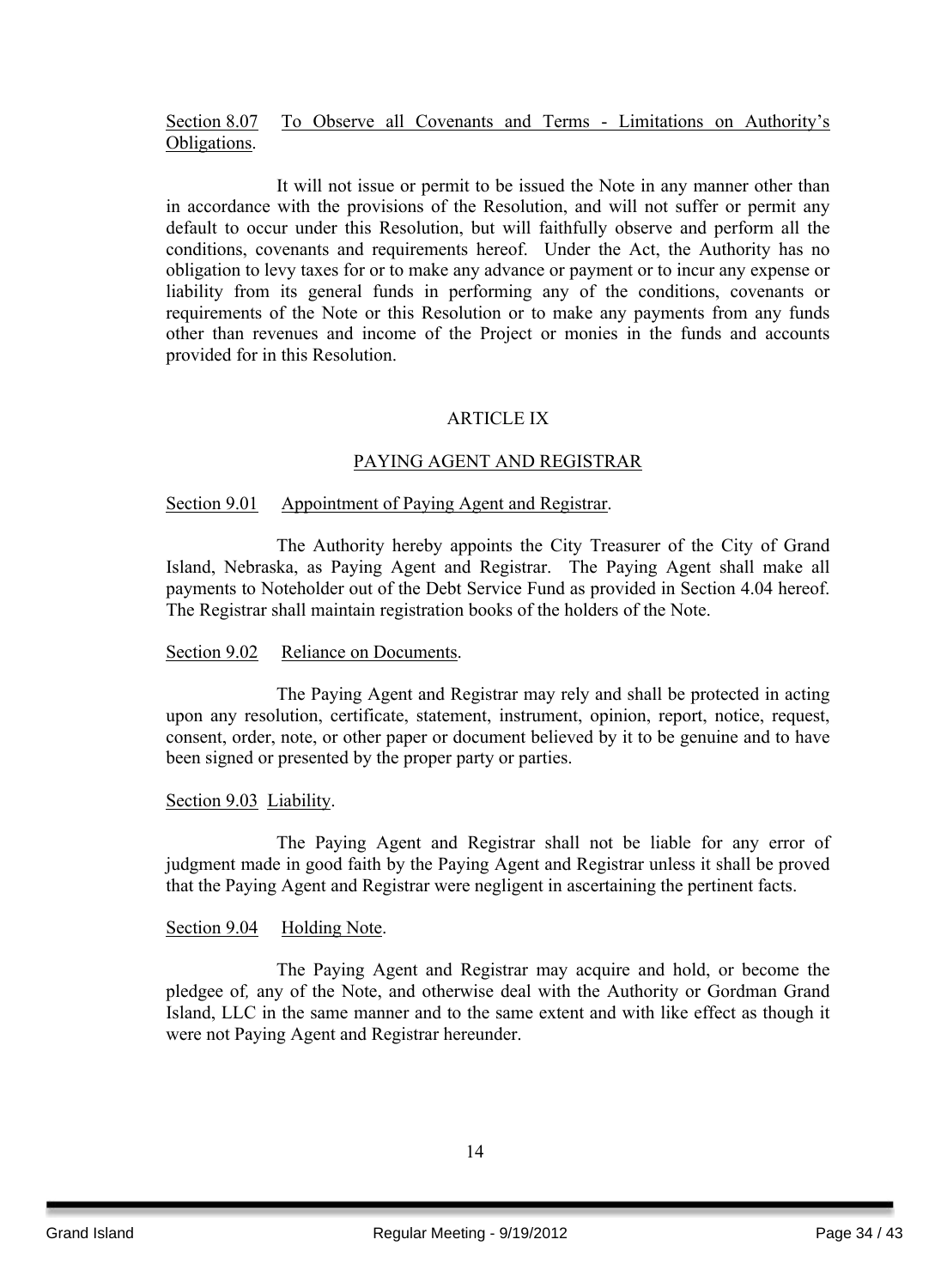#### Section 8.07 To Observe all Covenants and Terms - Limitations on Authority's Obligations.

It will not issue or permit to be issued the Note in any manner other than in accordance with the provisions of the Resolution, and will not suffer or permit any default to occur under this Resolution, but will faithfully observe and perform all the conditions, covenants and requirements hereof. Under the Act, the Authority has no obligation to levy taxes for or to make any advance or payment or to incur any expense or liability from its general funds in performing any of the conditions, covenants or requirements of the Note or this Resolution or to make any payments from any funds other than revenues and income of the Project or monies in the funds and accounts provided for in this Resolution.

#### ARTICLE IX

#### PAYING AGENT AND REGISTRAR

#### Section 9.01 Appointment of Paying Agent and Registrar.

The Authority hereby appoints the City Treasurer of the City of Grand Island, Nebraska, as Paying Agent and Registrar. The Paying Agent shall make all payments to Noteholder out of the Debt Service Fund as provided in Section 4.04 hereof. The Registrar shall maintain registration books of the holders of the Note.

#### Section 9.02 Reliance on Documents.

The Paying Agent and Registrar may rely and shall be protected in acting upon any resolution, certificate, statement, instrument, opinion, report, notice, request, consent, order, note, or other paper or document believed by it to be genuine and to have been signed or presented by the proper party or parties.

#### Section 9.03 Liability.

The Paying Agent and Registrar shall not be liable for any error of judgment made in good faith by the Paying Agent and Registrar unless it shall be proved that the Paying Agent and Registrar were negligent in ascertaining the pertinent facts.

#### Section 9.04 Holding Note.

The Paying Agent and Registrar may acquire and hold, or become the pledgee of*,* any of the Note, and otherwise deal with the Authority or Gordman Grand Island, LLC in the same manner and to the same extent and with like effect as though it were not Paying Agent and Registrar hereunder.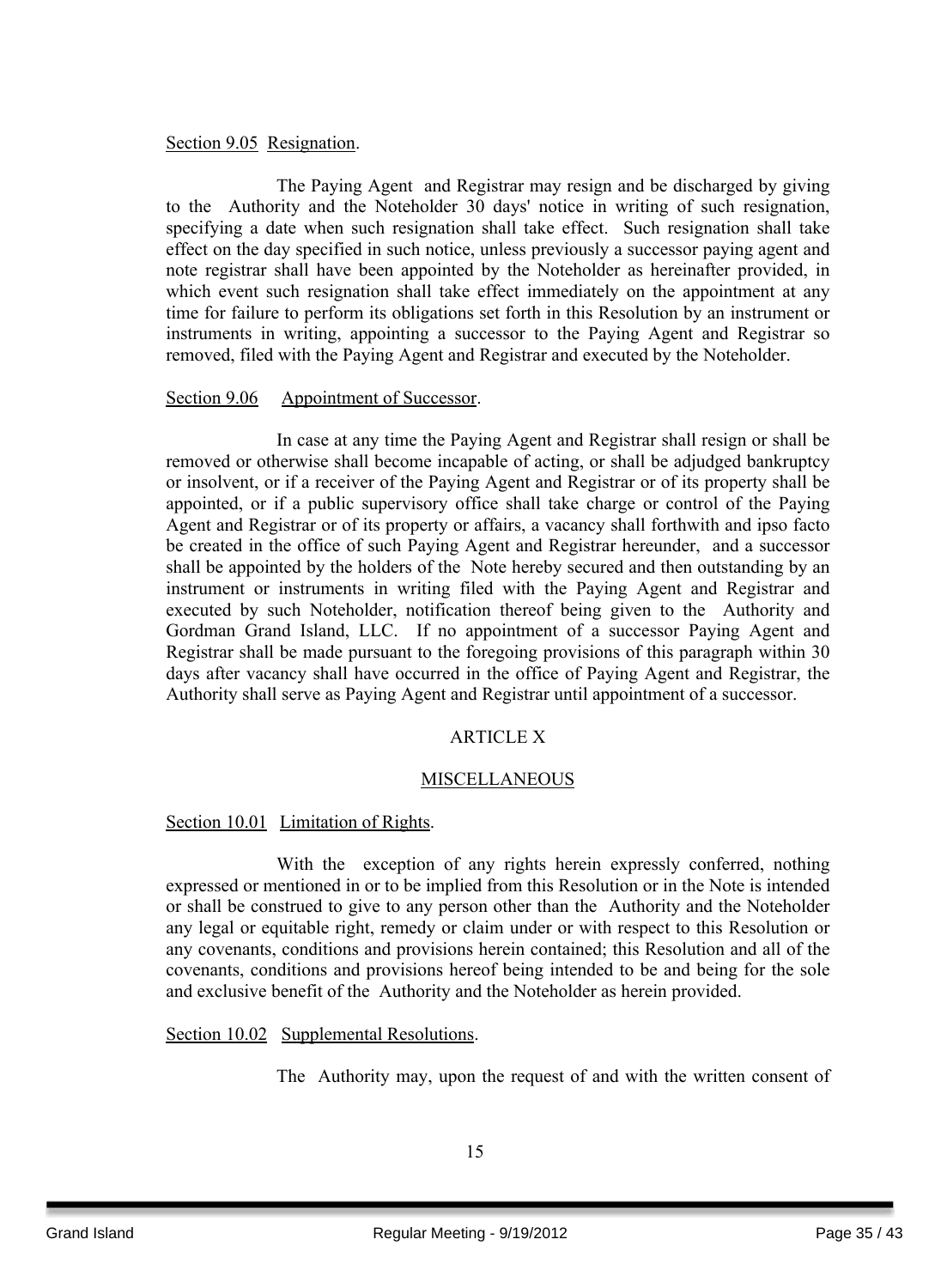#### Section 9.05 Resignation.

The Paying Agent and Registrar may resign and be discharged by giving to the Authority and the Noteholder 30 days' notice in writing of such resignation, specifying a date when such resignation shall take effect. Such resignation shall take effect on the day specified in such notice, unless previously a successor paying agent and note registrar shall have been appointed by the Noteholder as hereinafter provided, in which event such resignation shall take effect immediately on the appointment at any time for failure to perform its obligations set forth in this Resolution by an instrument or instruments in writing, appointing a successor to the Paying Agent and Registrar so removed, filed with the Paying Agent and Registrar and executed by the Noteholder.

#### Section 9.06 Appointment of Successor.

In case at any time the Paying Agent and Registrar shall resign or shall be removed or otherwise shall become incapable of acting, or shall be adjudged bankruptcy or insolvent, or if a receiver of the Paying Agent and Registrar or of its property shall be appointed, or if a public supervisory office shall take charge or control of the Paying Agent and Registrar or of its property or affairs, a vacancy shall forthwith and ipso facto be created in the office of such Paying Agent and Registrar hereunder, and a successor shall be appointed by the holders of the Note hereby secured and then outstanding by an instrument or instruments in writing filed with the Paying Agent and Registrar and executed by such Noteholder, notification thereof being given to the Authority and Gordman Grand Island, LLC. If no appointment of a successor Paying Agent and Registrar shall be made pursuant to the foregoing provisions of this paragraph within 30 days after vacancy shall have occurred in the office of Paying Agent and Registrar, the Authority shall serve as Paying Agent and Registrar until appointment of a successor.

#### ARTICLE X

#### MISCELLANEOUS

#### Section 10.01 Limitation of Rights.

With the exception of any rights herein expressly conferred, nothing expressed or mentioned in or to be implied from this Resolution or in the Note is intended or shall be construed to give to any person other than the Authority and the Noteholder any legal or equitable right, remedy or claim under or with respect to this Resolution or any covenants, conditions and provisions herein contained; this Resolution and all of the covenants, conditions and provisions hereof being intended to be and being for the sole and exclusive benefit of the Authority and the Noteholder as herein provided.

Section 10.02 Supplemental Resolutions.

The Authority may, upon the request of and with the written consent of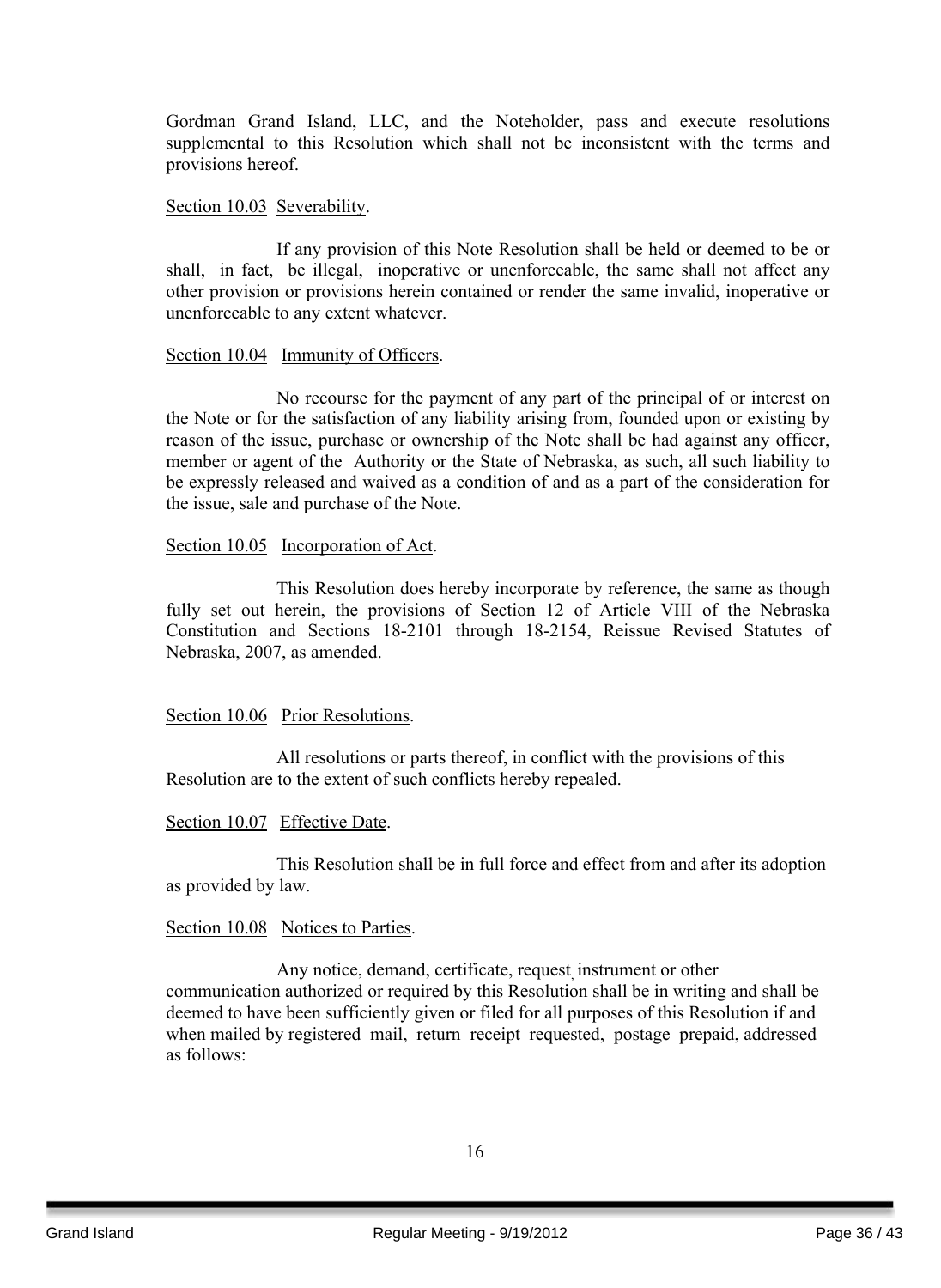Gordman Grand Island, LLC, and the Noteholder, pass and execute resolutions supplemental to this Resolution which shall not be inconsistent with the terms and provisions hereof.

#### Section 10.03 Severability.

If any provision of this Note Resolution shall be held or deemed to be or shall, in fact, be illegal, inoperative or unenforceable, the same shall not affect any other provision or provisions herein contained or render the same invalid, inoperative or unenforceable to any extent whatever.

#### Section 10.04 Immunity of Officers.

No recourse for the payment of any part of the principal of or interest on the Note or for the satisfaction of any liability arising from, founded upon or existing by reason of the issue, purchase or ownership of the Note shall be had against any officer, member or agent of the Authority or the State of Nebraska, as such, all such liability to be expressly released and waived as a condition of and as a part of the consideration for the issue, sale and purchase of the Note.

#### Section 10.05 Incorporation of Act.

This Resolution does hereby incorporate by reference, the same as though fully set out herein, the provisions of Section 12 of Article VIII of the Nebraska Constitution and Sections 18-2101 through 18-2154, Reissue Revised Statutes of Nebraska, 2007, as amended.

#### Section 10.06 Prior Resolutions.

All resolutions or parts thereof, in conflict with the provisions of this Resolution are to the extent of such conflicts hereby repealed.

Section 10.07 Effective Date.

This Resolution shall be in full force and effect from and after its adoption as provided by law.

#### Section 10.08 Notices to Parties.

Any notice, demand, certificate, request, instrument or other communication authorized or required by this Resolution shall be in writing and shall be deemed to have been sufficiently given or filed for all purposes of this Resolution if and when mailed by registered mail, return receipt requested, postage prepaid, addressed as follows: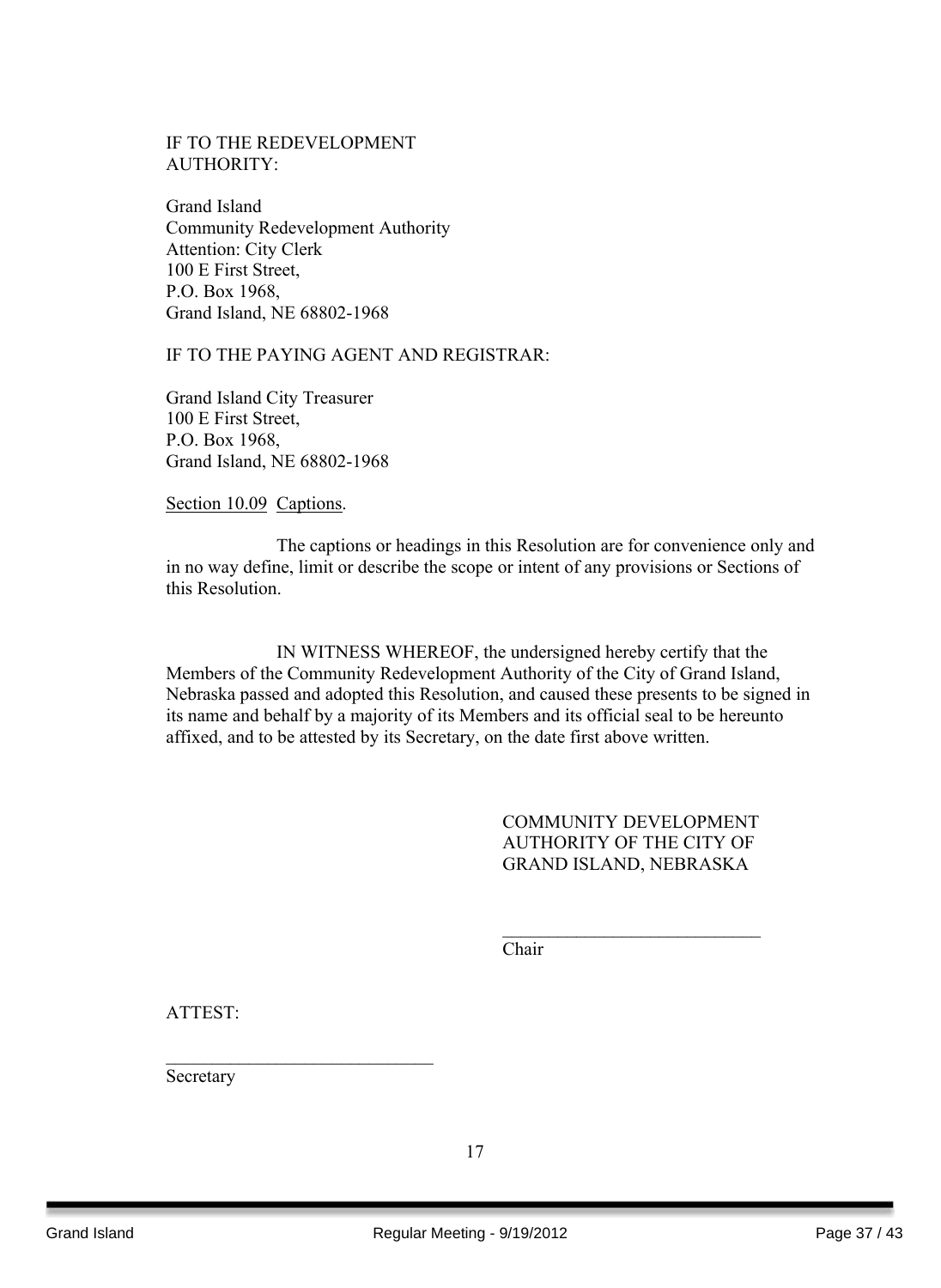#### IF TO THE REDEVELOPMENT AUTHORITY:

Grand Island Community Redevelopment Authority Attention: City Clerk 100 E First Street, P.O. Box 1968, Grand Island, NE 68802-1968

#### IF TO THE PAYING AGENT AND REGISTRAR:

Grand Island City Treasurer 100 E First Street, P.O. Box 1968, Grand Island, NE 68802-1968

Section 10.09 Captions.

The captions or headings in this Resolution are for convenience only and in no way define, limit or describe the scope or intent of any provisions or Sections of this Resolution.

IN WITNESS WHEREOF, the undersigned hereby certify that the Members of the Community Redevelopment Authority of the City of Grand Island, Nebraska passed and adopted this Resolution, and caused these presents to be signed in its name and behalf by a majority of its Members and its official seal to be hereunto affixed, and to be attested by its Secretary, on the date first above written.

> COMMUNITY DEVELOPMENT AUTHORITY OF THE CITY OF GRAND ISLAND, NEBRASKA

> $\mathcal{L}_\text{max}$  , where  $\mathcal{L}_\text{max}$  , we have the set of the set of the set of the set of the set of the set of the set of the set of the set of the set of the set of the set of the set of the set of the set of the set of

Chair

ATTEST:

Secretary

 $\mathcal{L}_\text{max}$  , where  $\mathcal{L}_\text{max}$  , we have the set of  $\mathcal{L}_\text{max}$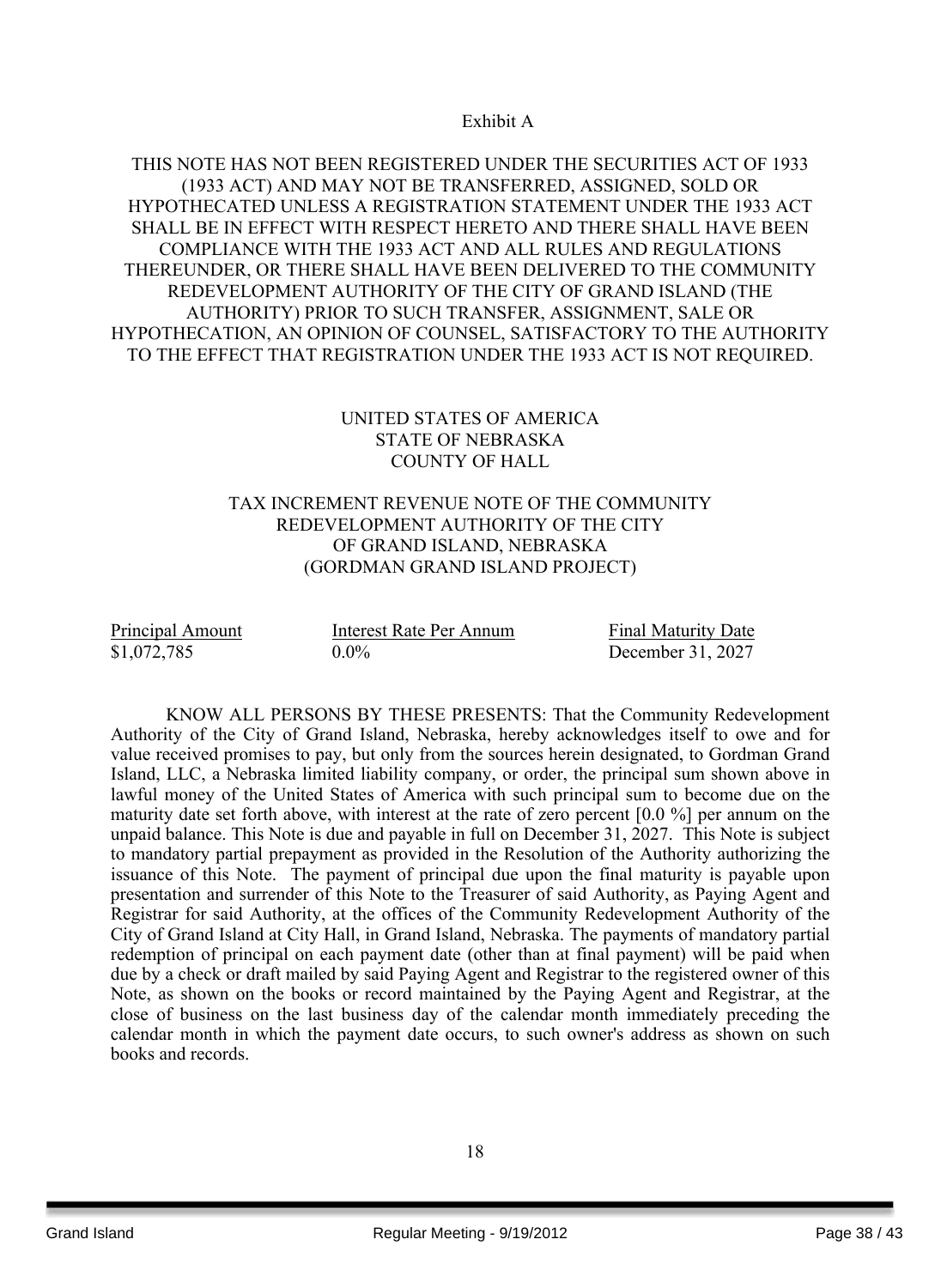#### Exhibit A

#### THIS NOTE HAS NOT BEEN REGISTERED UNDER THE SECURITIES ACT OF 1933 (1933 ACT) AND MAY NOT BE TRANSFERRED, ASSIGNED, SOLD OR HYPOTHECATED UNLESS A REGISTRATION STATEMENT UNDER THE 1933 ACT SHALL BE IN EFFECT WITH RESPECT HERETO AND THERE SHALL HAVE BEEN COMPLIANCE WITH THE 1933 ACT AND ALL RULES AND REGULATIONS THEREUNDER, OR THERE SHALL HAVE BEEN DELIVERED TO THE COMMUNITY REDEVELOPMENT AUTHORITY OF THE CITY OF GRAND ISLAND (THE AUTHORITY) PRIOR TO SUCH TRANSFER, ASSIGNMENT, SALE OR HYPOTHECATION, AN OPINION OF COUNSEL, SATISFACTORY TO THE AUTHORITY TO THE EFFECT THAT REGISTRATION UNDER THE 1933 ACT IS NOT REQUIRED.

#### UNITED STATES OF AMERICA STATE OF NEBRASKA COUNTY OF HALL

#### TAX INCREMENT REVENUE NOTE OF THE COMMUNITY REDEVELOPMENT AUTHORITY OF THE CITY OF GRAND ISLAND, NEBRASKA (GORDMAN GRAND ISLAND PROJECT)

| Principal Amount | Interest Rate Per Annum | <b>Final Maturity Date</b> |
|------------------|-------------------------|----------------------------|
| \$1,072,785      | $0.0\%$                 | December 31, 2027          |

KNOW ALL PERSONS BY THESE PRESENTS: That the Community Redevelopment Authority of the City of Grand Island, Nebraska, hereby acknowledges itself to owe and for value received promises to pay, but only from the sources herein designated, to Gordman Grand Island, LLC, a Nebraska limited liability company, or order, the principal sum shown above in lawful money of the United States of America with such principal sum to become due on the maturity date set forth above, with interest at the rate of zero percent [0.0 %] per annum on the unpaid balance. This Note is due and payable in full on December 31, 2027. This Note is subject to mandatory partial prepayment as provided in the Resolution of the Authority authorizing the issuance of this Note. The payment of principal due upon the final maturity is payable upon presentation and surrender of this Note to the Treasurer of said Authority, as Paying Agent and Registrar for said Authority, at the offices of the Community Redevelopment Authority of the City of Grand Island at City Hall, in Grand Island, Nebraska. The payments of mandatory partial redemption of principal on each payment date (other than at final payment) will be paid when due by a check or draft mailed by said Paying Agent and Registrar to the registered owner of this Note, as shown on the books or record maintained by the Paying Agent and Registrar, at the close of business on the last business day of the calendar month immediately preceding the calendar month in which the payment date occurs, to such owner's address as shown on such books and records.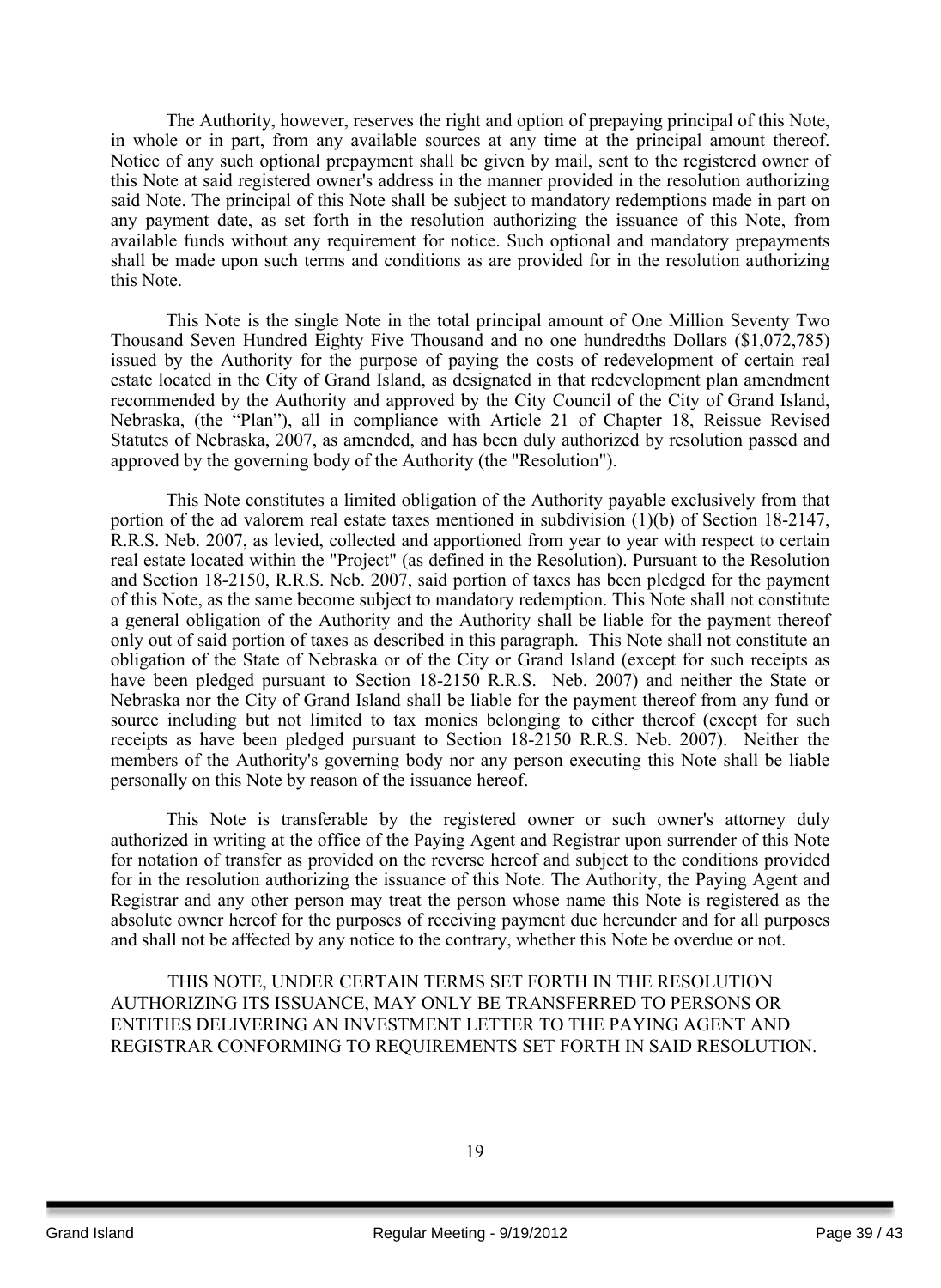The Authority, however, reserves the right and option of prepaying principal of this Note, in whole or in part, from any available sources at any time at the principal amount thereof. Notice of any such optional prepayment shall be given by mail, sent to the registered owner of this Note at said registered owner's address in the manner provided in the resolution authorizing said Note. The principal of this Note shall be subject to mandatory redemptions made in part on any payment date, as set forth in the resolution authorizing the issuance of this Note, from available funds without any requirement for notice. Such optional and mandatory prepayments shall be made upon such terms and conditions as are provided for in the resolution authorizing this Note.

This Note is the single Note in the total principal amount of One Million Seventy Two Thousand Seven Hundred Eighty Five Thousand and no one hundredths Dollars (\$1,072,785) issued by the Authority for the purpose of paying the costs of redevelopment of certain real estate located in the City of Grand Island, as designated in that redevelopment plan amendment recommended by the Authority and approved by the City Council of the City of Grand Island, Nebraska, (the "Plan"), all in compliance with Article 21 of Chapter 18, Reissue Revised Statutes of Nebraska, 2007, as amended, and has been duly authorized by resolution passed and approved by the governing body of the Authority (the "Resolution").

This Note constitutes a limited obligation of the Authority payable exclusively from that portion of the ad valorem real estate taxes mentioned in subdivision (1)(b) of Section 18-2147, R.R.S. Neb. 2007, as levied, collected and apportioned from year to year with respect to certain real estate located within the "Project" (as defined in the Resolution). Pursuant to the Resolution and Section 18-2150, R.R.S. Neb. 2007, said portion of taxes has been pledged for the payment of this Note, as the same become subject to mandatory redemption. This Note shall not constitute a general obligation of the Authority and the Authority shall be liable for the payment thereof only out of said portion of taxes as described in this paragraph. This Note shall not constitute an obligation of the State of Nebraska or of the City or Grand Island (except for such receipts as have been pledged pursuant to Section 18-2150 R.R.S. Neb. 2007) and neither the State or Nebraska nor the City of Grand Island shall be liable for the payment thereof from any fund or source including but not limited to tax monies belonging to either thereof (except for such receipts as have been pledged pursuant to Section 18-2150 R.R.S. Neb. 2007). Neither the members of the Authority's governing body nor any person executing this Note shall be liable personally on this Note by reason of the issuance hereof.

This Note is transferable by the registered owner or such owner's attorney duly authorized in writing at the office of the Paying Agent and Registrar upon surrender of this Note for notation of transfer as provided on the reverse hereof and subject to the conditions provided for in the resolution authorizing the issuance of this Note. The Authority, the Paying Agent and Registrar and any other person may treat the person whose name this Note is registered as the absolute owner hereof for the purposes of receiving payment due hereunder and for all purposes and shall not be affected by any notice to the contrary, whether this Note be overdue or not.

THIS NOTE, UNDER CERTAIN TERMS SET FORTH IN THE RESOLUTION AUTHORIZING ITS ISSUANCE, MAY ONLY BE TRANSFERRED TO PERSONS OR ENTITIES DELIVERING AN INVESTMENT LETTER TO THE PAYING AGENT AND REGISTRAR CONFORMING TO REQUIREMENTS SET FORTH IN SAID RESOLUTION.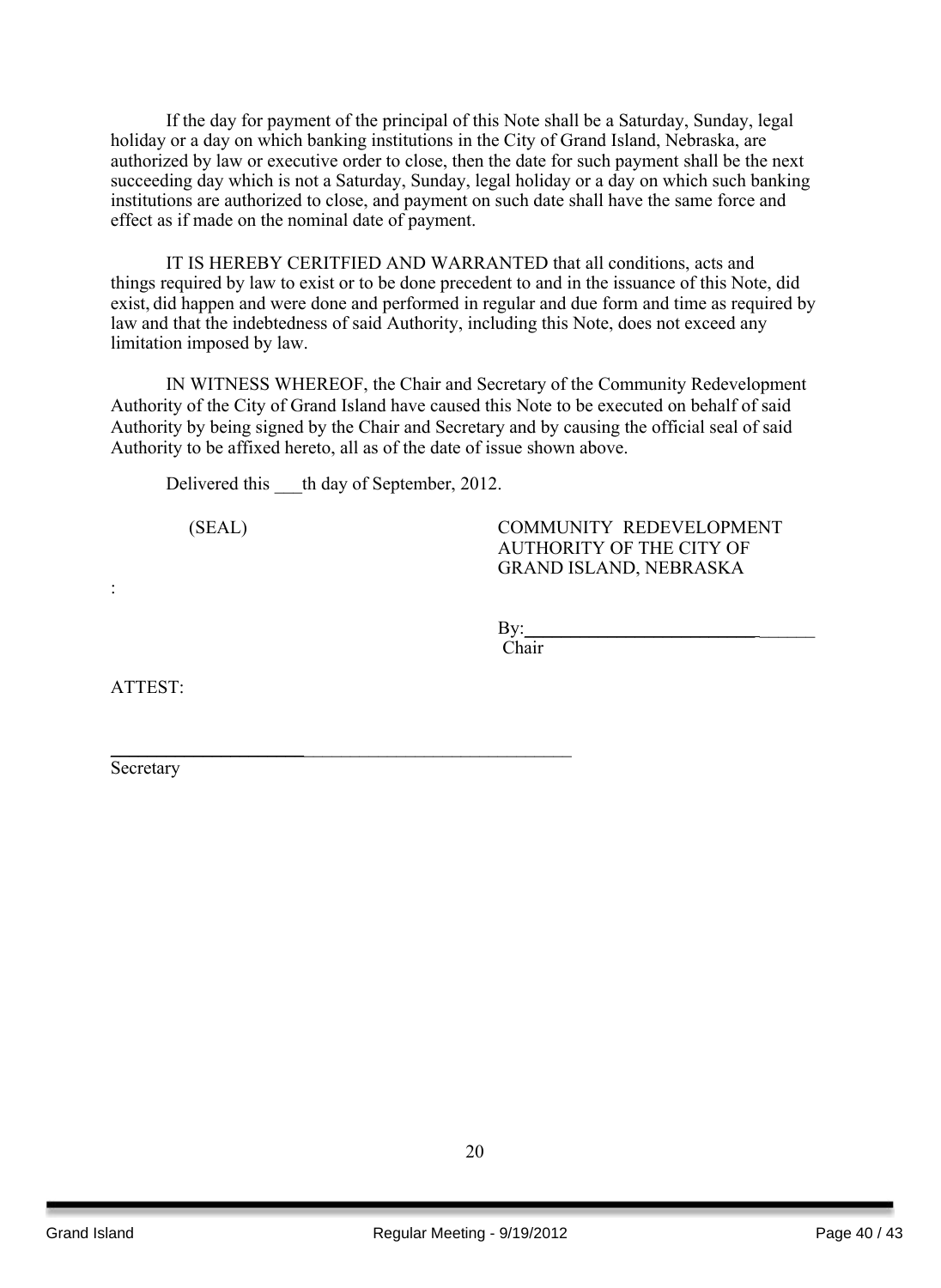If the day for payment of the principal of this Note shall be a Saturday, Sunday, legal holiday or a day on which banking institutions in the City of Grand Island, Nebraska, are authorized by law or executive order to close, then the date for such payment shall be the next succeeding day which is not a Saturday, Sunday, legal holiday or a day on which such banking institutions are authorized to close, and payment on such date shall have the same force and effect as if made on the nominal date of payment.

IT IS HEREBY CERITFIED AND WARRANTED that all conditions, acts and things required by law to exist or to be done precedent to and in the issuance of this Note, did exist, did happen and were done and performed in regular and due form and time as required by law and that the indebtedness of said Authority, including this Note, does not exceed any limitation imposed by law.

IN WITNESS WHEREOF, the Chair and Secretary of the Community Redevelopment Authority of the City of Grand Island have caused this Note to be executed on behalf of said Authority by being signed by the Chair and Secretary and by causing the official seal of said Authority to be affixed hereto, all as of the date of issue shown above.

Delivered this th day of September, 2012.

\_\_\_\_\_\_\_\_\_\_\_\_\_\_\_\_\_\_\_\_\_\_\_\_\_\_\_\_\_\_\_\_\_\_\_\_\_\_\_\_\_\_\_\_\_\_\_\_\_\_

(SEAL) COMMUNITY REDEVELOPMENT AUTHORITY OF THE CITY OF GRAND ISLAND, NEBRASKA

By:\_\_\_\_\_\_\_\_\_\_\_\_\_\_\_\_\_\_\_\_\_\_\_\_\_ \_\_\_\_\_\_

Chair

ATTEST:

:

Secretary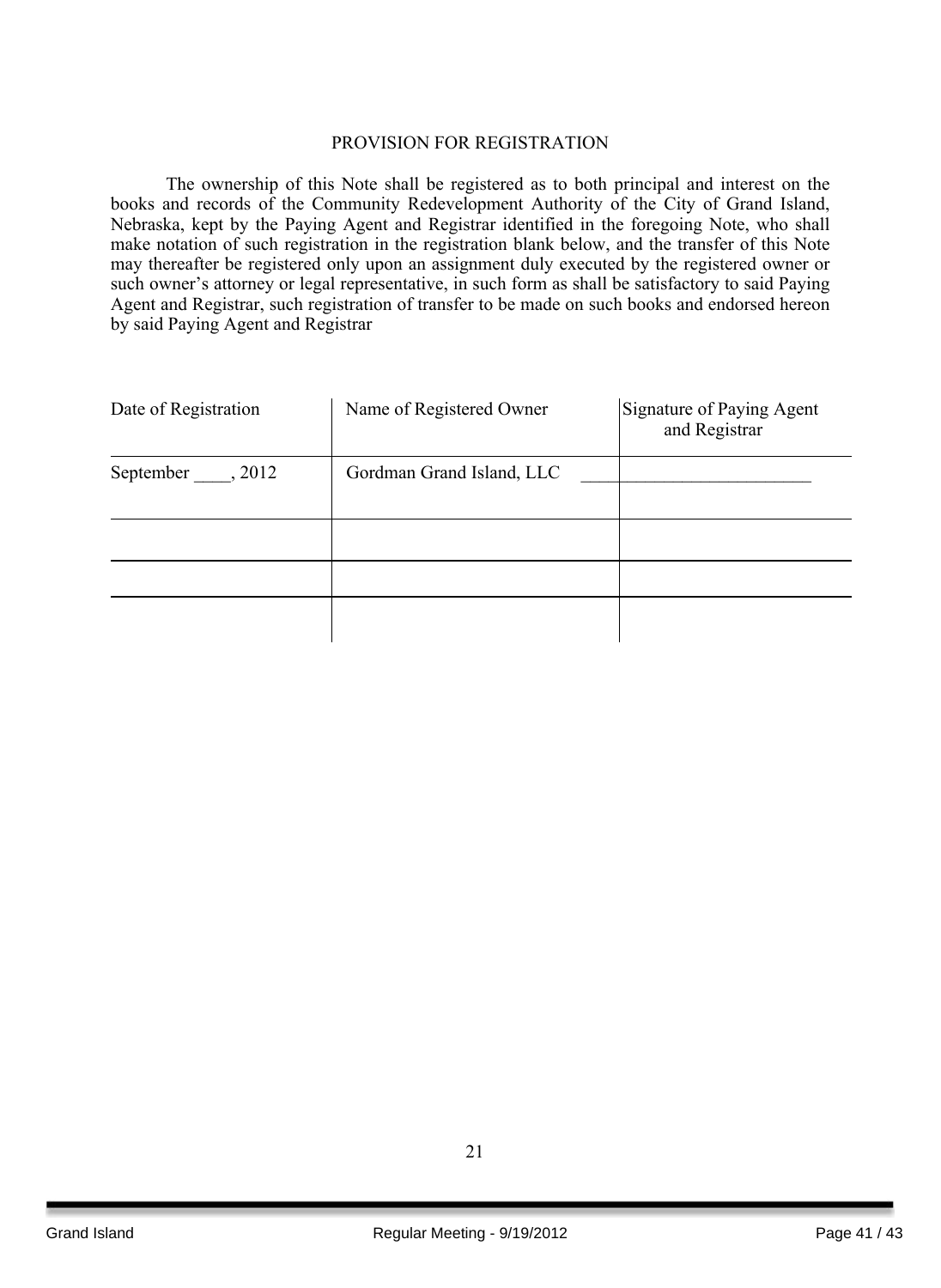#### PROVISION FOR REGISTRATION

The ownership of this Note shall be registered as to both principal and interest on the books and records of the Community Redevelopment Authority of the City of Grand Island, Nebraska, kept by the Paying Agent and Registrar identified in the foregoing Note, who shall make notation of such registration in the registration blank below, and the transfer of this Note may thereafter be registered only upon an assignment duly executed by the registered owner or such owner's attorney or legal representative, in such form as shall be satisfactory to said Paying Agent and Registrar, such registration of transfer to be made on such books and endorsed hereon by said Paying Agent and Registrar

| Date of Registration | Name of Registered Owner  | Signature of Paying Agent<br>and Registrar |
|----------------------|---------------------------|--------------------------------------------|
| September , 2012     | Gordman Grand Island, LLC |                                            |
|                      |                           |                                            |
|                      |                           |                                            |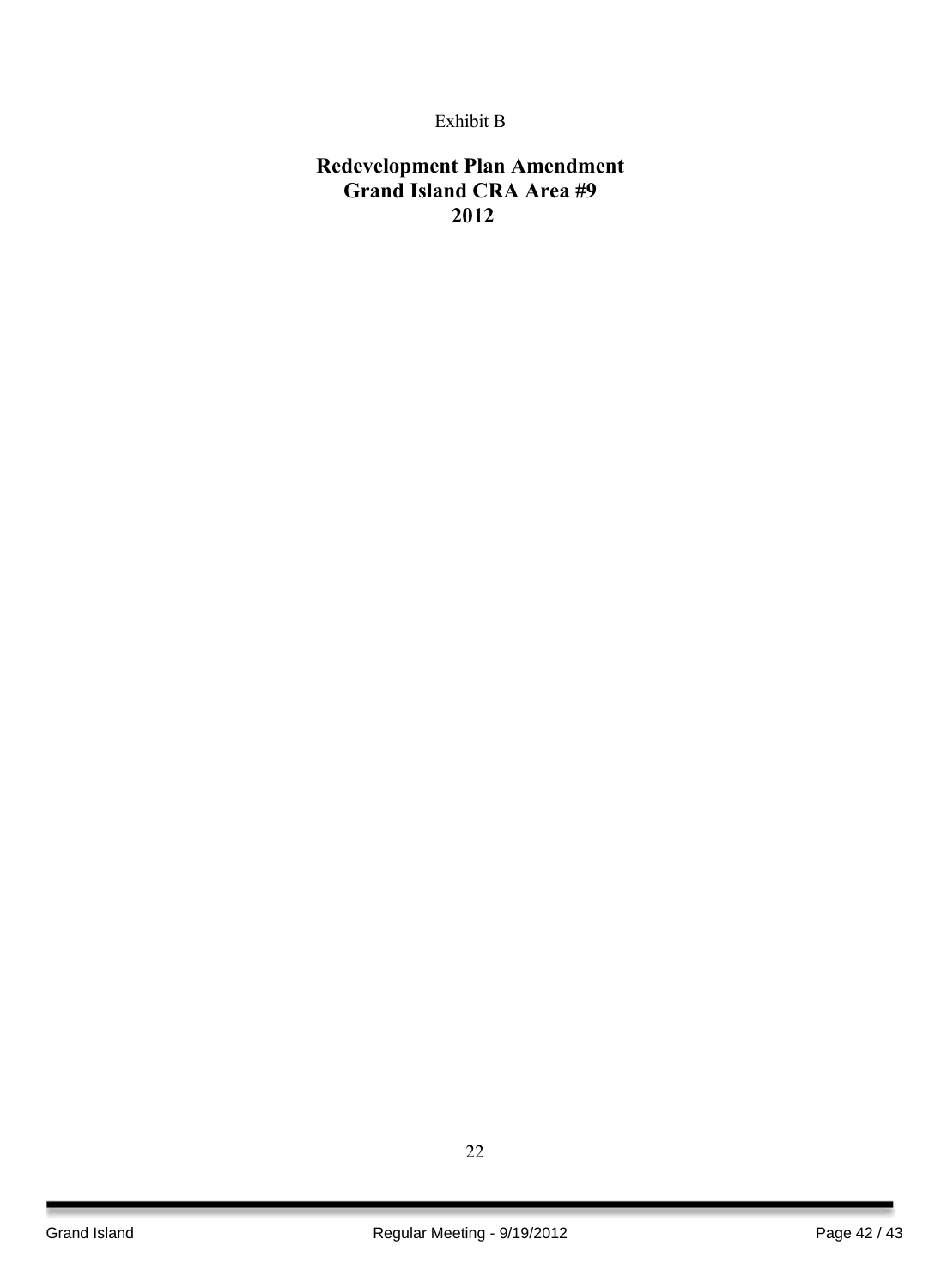## Exhibit B

## **Redevelopment Plan Amendment Grand Island CRA Area #9 2012**